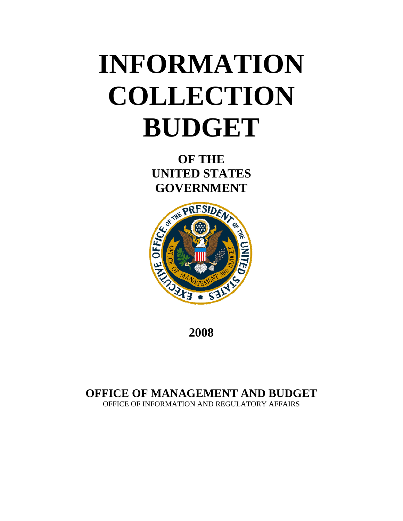# **INFORMATION COLLECTION BUDGET**

**OF THE UNITED STATES GOVERNMENT** 



**2008**

## **OFFICE OF MANAGEMENT AND BUDGET**

OFFICE OF INFORMATION AND REGULATORY AFFAIRS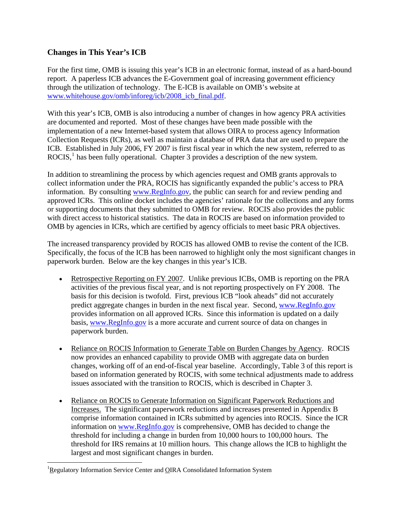#### **Changes in This Year's ICB**

For the first time, OMB is issuing this year's ICB in an electronic format, instead of as a hard-bound report. A paperless ICB advances the E-Government goal of increasing government efficiency through the utilization of technology. The E-ICB is available on OMB's website at [www.whitehouse.gov/omb/inforeg/icb/2008\\_icb\\_final.pdf.](http://www.whitehouse.gov/omb/inforeg/icb/2008_icb_final.pdf)

With this year's ICB, OMB is also introducing a number of changes in how agency PRA activities are documented and reported. Most of these changes have been made possible with the implementation of a new Internet-based system that allows OIRA to process agency Information Collection Requests (ICRs), as well as maintain a database of PRA data that are used to prepare the ICB. Established in July 2006, FY 2007 is first fiscal year in which the new system, referred to as ROCIS, $<sup>1</sup>$  $<sup>1</sup>$  $<sup>1</sup>$  has been fully operational. Chapter 3 provides a description of the new system.</sup>

In addition to streamlining the process by which agencies request and OMB grants approvals to collect information under the PRA, ROCIS has significantly expanded the public's access to PRA information. By consulting [www.RegInfo.gov,](http://www.reginfo.gov/) the public can search for and review pending and approved ICRs. This online docket includes the agencies' rationale for the collections and any forms or supporting documents that they submitted to OMB for review. ROCIS also provides the public with direct access to historical statistics. The data in ROCIS are based on information provided to OMB by agencies in ICRs, which are certified by agency officials to meet basic PRA objectives.

The increased transparency provided by ROCIS has allowed OMB to revise the content of the ICB. Specifically, the focus of the ICB has been narrowed to highlight only the most significant changes in paperwork burden. Below are the key changes in this year's ICB.

- Retrospective Reporting on FY 2007. Unlike previous ICBs, OMB is reporting on the PRA activities of the previous fiscal year, and is not reporting prospectively on FY 2008. The basis for this decision is twofold. First, previous ICB "look aheads" did not accurately predict aggregate changes in burden in the next fiscal year. Second, [www.RegInfo.gov](http://www.reginfo.gov/) provides information on all approved ICRs. Since this information is updated on a daily basis, [www.RegInfo.gov](http://www.reginfo.gov/) is a more accurate and current source of data on changes in paperwork burden.
- Reliance on ROCIS Information to Generate Table on Burden Changes by Agency. ROCIS now provides an enhanced capability to provide OMB with aggregate data on burden changes, working off of an end-of-fiscal year baseline. Accordingly, Table 3 of this report is based on information generated by ROCIS, with some technical adjustments made to address issues associated with the transition to ROCIS, which is described in Chapter 3.
- Reliance on ROCIS to Generate Information on Significant Paperwork Reductions and Increases. The significant paperwork reductions and increases presented in Appendix B comprise information contained in ICRs submitted by agencies into ROCIS. Since the ICR information on [www.RegInfo.gov](http://www.reginfo.gov/) is comprehensive, OMB has decided to change the threshold for including a change in burden from 10,000 hours to 100,000 hours. The threshold for IRS remains at 10 million hours. This change allows the ICB to highlight the largest and most significant changes in burden.

-

<span id="page-1-0"></span><sup>&</sup>lt;sup>1</sup>Regulatory Information Service Center and **OIRA** Consolidated Information System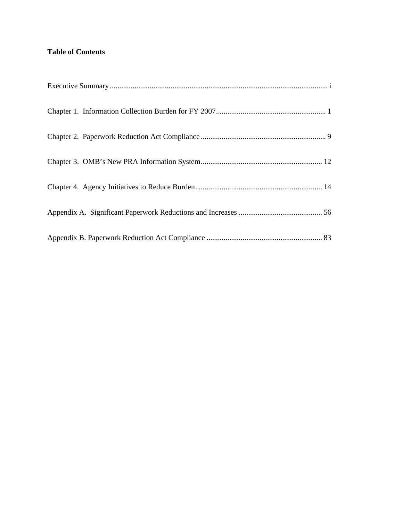#### **Table of Contents**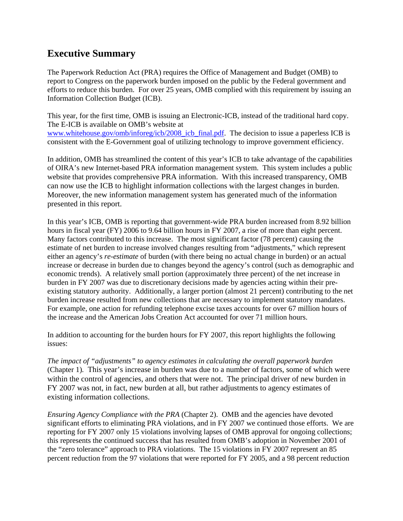## <span id="page-4-0"></span>**Executive Summary**

The Paperwork Reduction Act (PRA) requires the Office of Management and Budget (OMB) to report to Congress on the paperwork burden imposed on the public by the Federal government and efforts to reduce this burden. For over 25 years, OMB complied with this requirement by issuing an Information Collection Budget (ICB).

This year, for the first time, OMB is issuing an Electronic-ICB, instead of the traditional hard copy. The E-ICB is available on OMB's website at [www.whitehouse.gov/omb/inforeg/icb/2008\\_icb\\_final.pdf.](http://www.whitehouse.gov/omb/inforeg/icb/2008_icb_final.pdf) The decision to issue a paperless ICB is consistent with the E-Government goal of utilizing technology to improve government efficiency.

In addition, OMB has streamlined the content of this year's ICB to take advantage of the capabilities of OIRA's new Internet-based PRA information management system. This system includes a public website that provides comprehensive PRA information. With this increased transparency, OMB can now use the ICB to highlight information collections with the largest changes in burden. Moreover, the new information management system has generated much of the information presented in this report.

In this year's ICB, OMB is reporting that government-wide PRA burden increased from 8.92 billion hours in fiscal year (FY) 2006 to 9.64 billion hours in FY 2007, a rise of more than eight percent. Many factors contributed to this increase. The most significant factor (78 percent) causing the estimate of net burden to increase involved changes resulting from "adjustments," which represent either an agency's *re-estimate* of burden (with there being no actual change in burden) or an actual increase or decrease in burden due to changes beyond the agency's control (such as demographic and economic trends). A relatively small portion (approximately three percent) of the net increase in burden in FY 2007 was due to discretionary decisions made by agencies acting within their preexisting statutory authority. Additionally, a larger portion (almost 21 percent) contributing to the net burden increase resulted from new collections that are necessary to implement statutory mandates. For example, one action for refunding telephone excise taxes accounts for over 67 million hours of the increase and the American Jobs Creation Act accounted for over 71 million hours.

In addition to accounting for the burden hours for FY 2007, this report highlights the following issues:

*The impact of "adjustments" to agency estimates in calculating the overall paperwork burden*  (Chapter 1)*.* This year's increase in burden was due to a number of factors, some of which were within the control of agencies, and others that were not. The principal driver of new burden in FY 2007 was not, in fact, new burden at all, but rather adjustments to agency estimates of existing information collections.

*Ensuring Agency Compliance with the PRA* (Chapter 2). OMB and the agencies have devoted significant efforts to eliminating PRA violations, and in FY 2007 we continued those efforts. We are reporting for FY 2007 only 15 violations involving lapses of OMB approval for ongoing collections; this represents the continued success that has resulted from OMB's adoption in November 2001 of the "zero tolerance" approach to PRA violations. The 15 violations in FY 2007 represent an 85 percent reduction from the 97 violations that were reported for FY 2005, and a 98 percent reduction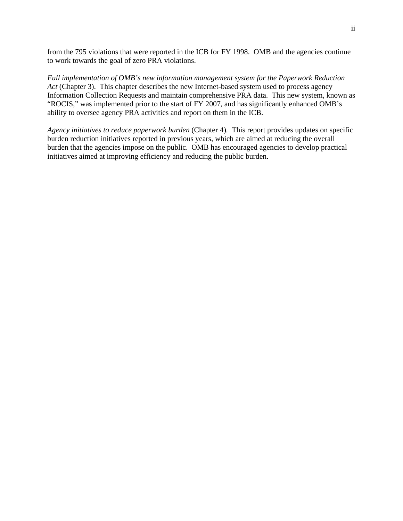from the 795 violations that were reported in the ICB for FY 1998. OMB and the agencies continue to work towards the goal of zero PRA violations.

*Full implementation of OMB's new information management system for the Paperwork Reduction Act* (Chapter 3). This chapter describes the new Internet-based system used to process agency Information Collection Requests and maintain comprehensive PRA data. This new system, known as "ROCIS," was implemented prior to the start of FY 2007, and has significantly enhanced OMB's ability to oversee agency PRA activities and report on them in the ICB.

*Agency initiatives to reduce paperwork burden* (Chapter 4)*.* This report provides updates on specific burden reduction initiatives reported in previous years, which are aimed at reducing the overall burden that the agencies impose on the public. OMB has encouraged agencies to develop practical initiatives aimed at improving efficiency and reducing the public burden.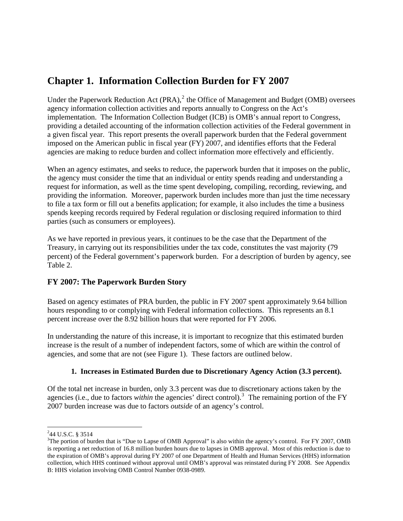## <span id="page-6-0"></span>**Chapter 1. Information Collection Burden for FY 2007**

Under the Paperwork Reduction Act  $(PRA)$ ,  $^2$  $^2$  the Office of Management and Budget (OMB) oversees agency information collection activities and reports annually to Congress on the Act's implementation. The Information Collection Budget (ICB) is OMB's annual report to Congress, providing a detailed accounting of the information collection activities of the Federal government in a given fiscal year. This report presents the overall paperwork burden that the Federal government imposed on the American public in fiscal year (FY) 2007, and identifies efforts that the Federal agencies are making to reduce burden and collect information more effectively and efficiently.

When an agency estimates, and seeks to reduce, the paperwork burden that it imposes on the public, the agency must consider the time that an individual or entity spends reading and understanding a request for information, as well as the time spent developing, compiling, recording, reviewing, and providing the information. Moreover, paperwork burden includes more than just the time necessary to file a tax form or fill out a benefits application; for example, it also includes the time a business spends keeping records required by Federal regulation or disclosing required information to third parties (such as consumers or employees).

As we have reported in previous years, it continues to be the case that the Department of the Treasury, in carrying out its responsibilities under the tax code, constitutes the vast majority (79 percent) of the Federal government's paperwork burden. For a description of burden by agency, see Table 2.

#### **FY 2007: The Paperwork Burden Story**

Based on agency estimates of PRA burden, the public in FY 2007 spent approximately 9.64 billion hours responding to or complying with Federal information collections. This represents an 8.1 percent increase over the 8.92 billion hours that were reported for FY 2006.

In understanding the nature of this increase, it is important to recognize that this estimated burden increase is the result of a number of independent factors, some of which are within the control of agencies, and some that are not (see Figure 1). These factors are outlined below.

#### **1. Increases in Estimated Burden due to Discretionary Agency Action (3.3 percent).**

Of the total net increase in burden, only 3.3 percent was due to discretionary actions taken by the agencies (i.e., due to factors *within* the agencies' direct control).<sup>[3](#page-6-2)</sup> The remaining portion of the FY 2007 burden increase was due to factors *outside* of an agency's control.

  $244$  U.S.C. § 3514

<span id="page-6-2"></span><span id="page-6-1"></span> $3$ The portion of burden that is "Due to Lapse of OMB Approval" is also within the agency's control. For FY 2007, OMB is reporting a net reduction of 16.8 million burden hours due to lapses in OMB approval. Most of this reduction is due to the expiration of OMB's approval during FY 2007 of one Department of Health and Human Services (HHS) information collection, which HHS continued without approval until OMB's approval was reinstated during FY 2008. See Appendix B: HHS violation involving OMB Control Number 0938-0989.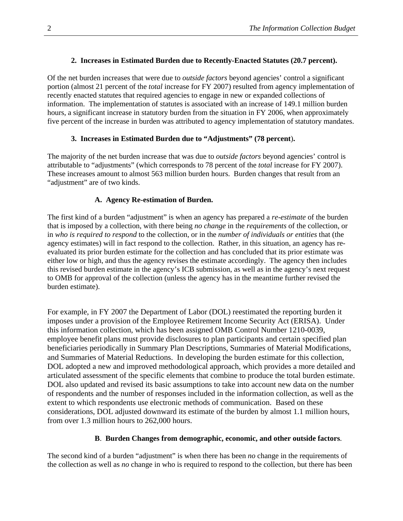#### **2. Increases in Estimated Burden due to Recently-Enacted Statutes (20.7 percent).**

Of the net burden increases that were due to *outside factors* beyond agencies' control a significant portion (almost 21 percent of the *total* increase for FY 2007) resulted from agency implementation of recently enacted statutes that required agencies to engage in new or expanded collections of information. The implementation of statutes is associated with an increase of 149.1 million burden hours, a significant increase in statutory burden from the situation in FY 2006, when approximately five percent of the increase in burden was attributed to agency implementation of statutory mandates.

#### **3. Increases in Estimated Burden due to "Adjustments" (78 percent**)**.**

The majority of the net burden increase that was due to *outside factors* beyond agencies' control is attributable to "adjustments" (which corresponds to 78 percent of the *total* increase for FY 2007). These increases amount to almost 563 million burden hours. Burden changes that result from an "adjustment" are of two kinds.

#### **A. Agency Re-estimation of Burden.**

The first kind of a burden "adjustment" is when an agency has prepared a *re-estimate* of the burden that is imposed by a collection, with there being *no change* in the *requirements* of the collection, or in *who is required to respond* to the collection, or in the *number of individuals or entities* that (the agency estimates) will in fact respond to the collection. Rather, in this situation, an agency has reevaluated its prior burden estimate for the collection and has concluded that its prior estimate was either low or high, and thus the agency revises the estimate accordingly. The agency then includes this revised burden estimate in the agency's ICB submission, as well as in the agency's next request to OMB for approval of the collection (unless the agency has in the meantime further revised the burden estimate).

For example, in FY 2007 the Department of Labor (DOL) reestimated the reporting burden it imposes under a provision of the Employee Retirement Income Security Act (ERISA). Under this information collection, which has been assigned OMB Control Number 1210-0039, employee benefit plans must provide disclosures to plan participants and certain specified plan beneficiaries periodically in Summary Plan Descriptions, Summaries of Material Modifications, and Summaries of Material Reductions. In developing the burden estimate for this collection, DOL adopted a new and improved methodological approach, which provides a more detailed and articulated assessment of the specific elements that combine to produce the total burden estimate. DOL also updated and revised its basic assumptions to take into account new data on the number of respondents and the number of responses included in the information collection, as well as the extent to which respondents use electronic methods of communication. Based on these considerations, DOL adjusted downward its estimate of the burden by almost 1.1 million hours, from over 1.3 million hours to 262,000 hours.

#### **B**. **Burden Changes from demographic, economic, and other outside factors**.

The second kind of a burden "adjustment" is when there has been *no* change in the requirements of the collection as well as *no* change in who is required to respond to the collection, but there has been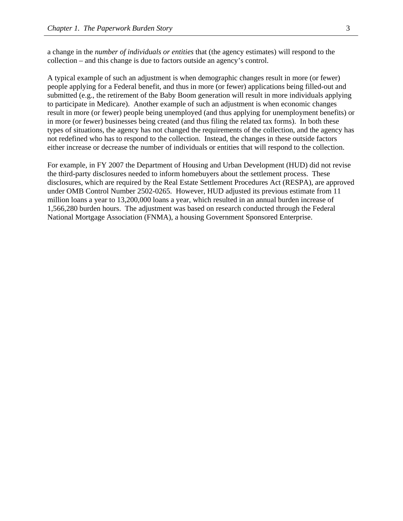a change in the *number of individuals or entities* that (the agency estimates) will respond to the collection – and this change is due to factors outside an agency's control.

A typical example of such an adjustment is when demographic changes result in more (or fewer) people applying for a Federal benefit, and thus in more (or fewer) applications being filled-out and submitted (e.g., the retirement of the Baby Boom generation will result in more individuals applying to participate in Medicare). Another example of such an adjustment is when economic changes result in more (or fewer) people being unemployed (and thus applying for unemployment benefits) or in more (or fewer) businesses being created (and thus filing the related tax forms). In both these types of situations, the agency has not changed the requirements of the collection, and the agency has not redefined who has to respond to the collection. Instead, the changes in these outside factors either increase or decrease the number of individuals or entities that will respond to the collection.

For example, in FY 2007 the Department of Housing and Urban Development (HUD) did not revise the third-party disclosures needed to inform homebuyers about the settlement process. These disclosures, which are required by the Real Estate Settlement Procedures Act (RESPA), are approved under OMB Control Number 2502-0265. However, HUD adjusted its previous estimate from 11 million loans a year to 13,200,000 loans a year, which resulted in an annual burden increase of 1,566,280 burden hours. The adjustment was based on research conducted through the Federal National Mortgage Association (FNMA), a housing Government Sponsored Enterprise.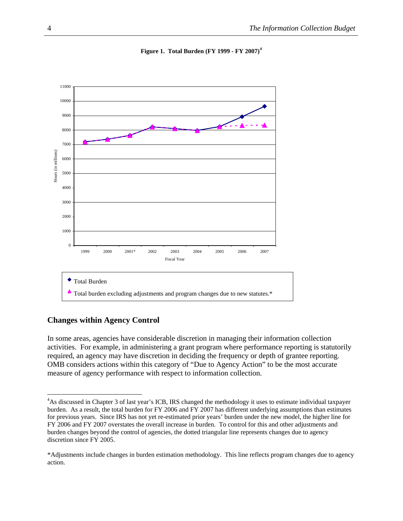<span id="page-9-0"></span>

**Figure 1. Total Burden (FY 1999 - FY 2007)[4](#page-9-0)**

#### **Changes within Agency Control**

In some areas, agencies have considerable discretion in managing their information collection activities. For example, in administering a grant program where performance reporting is statutorily required, an agency may have discretion in deciding the frequency or depth of grantee reporting. OMB considers actions within this category of "Due to Agency Action" to be the most accurate measure of agency performance with respect to information collection.

<sup>&</sup>lt;sup>4</sup>As discussed in Chapter 3 of last year's ICB, IRS changed the methodology it uses to estimate individual taxpayer burden. As a result, the total burden for FY 2006 and FY 2007 has different underlying assumptions than estimates for previous years. Since IRS has not yet re-estimated prior years' burden under the new model, the higher line for FY 2006 and FY 2007 overstates the overall increase in burden. To control for this and other adjustments and burden changes beyond the control of agencies, the dotted triangular line represents changes due to agency discretion since FY 2005.

<sup>\*</sup>Adjustments include changes in burden estimation methodology. This line reflects program changes due to agency action.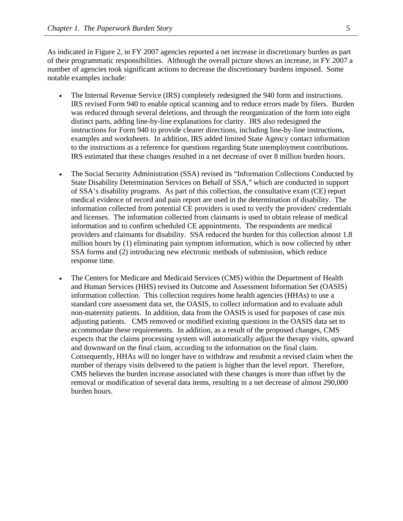As indicated in Figure 2, in FY 2007 agencies reported a net increase in discretionary burden as part of their programmatic responsibilities. Although the overall picture shows an increase, in FY 2007 a number of agencies took significant actions to decrease the discretionary burdens imposed. Some notable examples include:

- The Internal Revenue Service (IRS) completely redesigned the 940 form and instructions. IRS revised Form 940 to enable optical scanning and to reduce errors made by filers. Burden was reduced through several deletions, and through the reorganization of the form into eight distinct parts, adding line-by-line explanations for clarity. IRS also redesigned the instructions for Form 940 to provide clearer directions, including line-by-line instructions, examples and worksheets. In addition, IRS added limited State Agency contact information to the instructions as a reference for questions regarding State unemployment contributions. IRS estimated that these changes resulted in a net decrease of over 8 million burden hours.
- The Social Security Administration (SSA) revised its "Information Collections Conducted by State Disability Determination Services on Behalf of SSA," which are conducted in support of SSA's disability programs. As part of this collection, the consultative exam (CE) report medical evidence of record and pain report are used in the determination of disability. The information collected from potential CE providers is used to verify the providers' credentials and licenses. The information collected from claimants is used to obtain release of medical information and to confirm scheduled CE appointments. The respondents are medical providers and claimants for disability. SSA reduced the burden for this collection almost 1.8 million hours by (1) eliminating pain symptom information, which is now collected by other SSA forms and (2) introducing new electronic methods of submission, which reduce response time.
- The Centers for Medicare and Medicaid Services (CMS) within the Department of Health and Human Services (HHS) revised its Outcome and Assessment Information Set (OASIS) information collection. This collection requires home health agencies (HHAs) to use a standard core assessment data set, the OASIS, to collect information and to evaluate adult non-maternity patients. In addition, data from the OASIS is used for purposes of case mix adjusting patients. CMS removed or modified existing questions in the OASIS data set to accommodate these requirements. In addition, as a result of the proposed changes, CMS expects that the claims processing system will automatically adjust the therapy visits, upward and downward on the final claim, according to the information on the final claim. Consequently, HHAs will no longer have to withdraw and resubmit a revised claim when the number of therapy visits delivered to the patient is higher than the level report. Therefore, CMS believes the burden increase associated with these changes is more than offset by the removal or modification of several data items, resulting in a net decrease of almost 290,000 burden hours.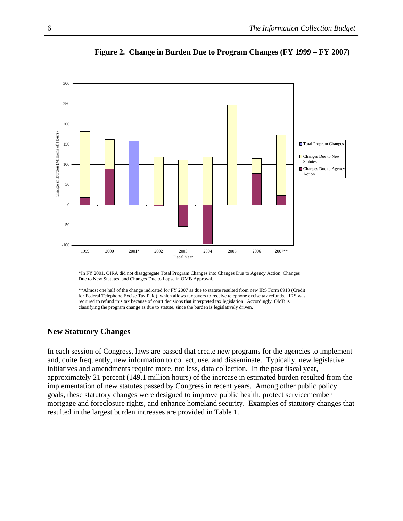

**Figure 2. Change in Burden Due to Program Changes (FY 1999 – FY 2007)**

\*In FY 2001, OIRA did not disaggregate Total Program Changes into Changes Due to Agency Action, Changes Due to New Statutes, and Changes Due to Lapse in OMB Approval.

\*\*Almost one half of the change indicated for FY 2007 as due to statute resulted from new IRS Form 8913 (Credit for Federal Telephone Excise Tax Paid), which allows taxpayers to receive telephone excise tax refunds. IRS was required to refund this tax because of court decisions that interpreted tax legislation. Accordingly, OMB is classifying the program change as due to statute, since the burden is legislatively driven.

#### **New Statutory Changes**

In each session of Congress, laws are passed that create new programs for the agencies to implement and, quite frequently, new information to collect, use, and disseminate. Typically, new legislative initiatives and amendments require more, not less, data collection. In the past fiscal year, approximately 21 percent (149.1 million hours) of the increase in estimated burden resulted from the implementation of new statutes passed by Congress in recent years. Among other public policy goals, these statutory changes were designed to improve public health, protect servicemember mortgage and foreclosure rights, and enhance homeland security. Examples of statutory changes that resulted in the largest burden increases are provided in Table 1.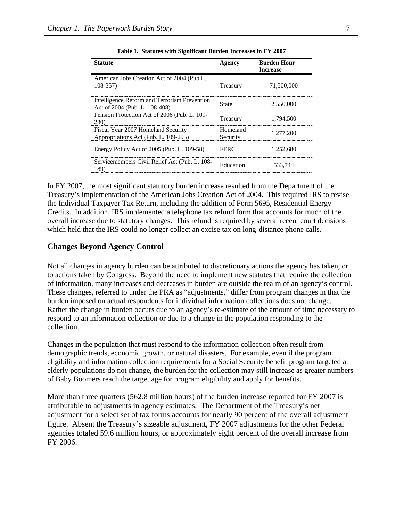| <b>Statute</b>                                                                | Agency               | <b>Burden Hour</b><br><b>Increase</b> |
|-------------------------------------------------------------------------------|----------------------|---------------------------------------|
| American Jobs Creation Act of 2004 (Pub.L.<br>$108 - 357$                     | Treasury             | 71,500,000                            |
| Intelligence Reform and Terrorism Prevention<br>Act of 2004 (Pub. L. 108-408) | <b>State</b>         | 2,550,000                             |
| Pension Protection Act of 2006 (Pub. L. 109-<br><b>280</b> )                  | Treasury             | 1.794.500                             |
| Fiscal Year 2007 Homeland Security<br>Appropriations Act (Pub. L. 109-295)    | Homeland<br>Security | 1,277,200                             |
| Energy Policy Act of 2005 (Pub. L. 109-58)                                    | <b>FERC</b>          | 1,252,680                             |
| Servicemembers Civil Relief Act (Pub. L. 108-<br>189)                         | Education            | 533,744                               |

**Table 1. Statutes with Significant Burden Increases in FY 2007** 

In FY 2007, the most significant statutory burden increase resulted from the Department of the Treasury's implementation of the American Jobs Creation Act of 2004. This required IRS to revise the Individual Taxpayer Tax Return, including the addition of Form 5695, Residential Energy Credits. In addition, IRS implemented a telephone tax refund form that accounts for much of the overall increase due to statutory changes. This refund is required by several recent court decisions which held that the IRS could no longer collect an excise tax on long-distance phone calls.

#### **Changes Beyond Agency Control**

Not all changes in agency burden can be attributed to discretionary actions the agency has taken, or to actions taken by Congress. Beyond the need to implement new statutes that require the collection of information, many increases and decreases in burden are outside the realm of an agency's control. These changes, referred to under the PRA as "adjustments," differ from program changes in that the burden imposed on actual respondents for individual information collections does not change. Rather the change in burden occurs due to an agency's re-estimate of the amount of time necessary to respond to an information collection or due to a change in the population responding to the collection.

Changes in the population that must respond to the information collection often result from demographic trends, economic growth, or natural disasters. For example, even if the program eligibility and information collection requirements for a Social Security benefit program targeted at elderly populations do not change, the burden for the collection may still increase as greater numbers of Baby Boomers reach the target age for program eligibility and apply for benefits.

More than three quarters (562.8 million hours) of the burden increase reported for FY 2007 is attributable to adjustments in agency estimates. The Department of the Treasury's net adjustment for a select set of tax forms accounts for nearly 90 percent of the overall adjustment figure. Absent the Treasury's sizeable adjustment, FY 2007 adjustments for the other Federal agencies totaled 59.6 million hours, or approximately eight percent of the overall increase from FY 2006.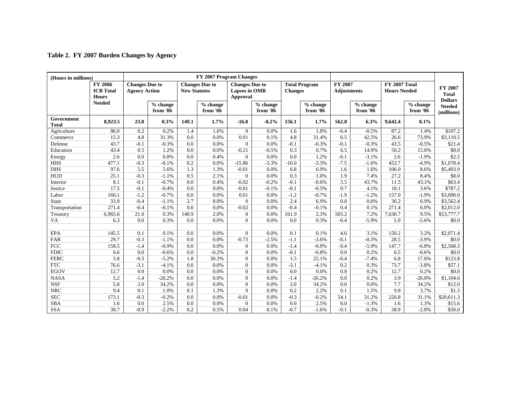#### **Table 2. FY 2007 Burden Changes by Agency**

| (Hours in millions)        |                                                    |                                               |                      |                     | FY 2007 Program Changes |                                                                                                                                      |                      |         |                      |        |                      |         |                      |                             |  |  |  |  |  |  |  |                                             |  |                                           |
|----------------------------|----------------------------------------------------|-----------------------------------------------|----------------------|---------------------|-------------------------|--------------------------------------------------------------------------------------------------------------------------------------|----------------------|---------|----------------------|--------|----------------------|---------|----------------------|-----------------------------|--|--|--|--|--|--|--|---------------------------------------------|--|-------------------------------------------|
|                            | <b>FY 2006</b><br><b>ICB</b> Total<br><b>Hours</b> | <b>Changes Due to</b><br><b>Agency Action</b> |                      | <b>New Statutes</b> | <b>Changes Due to</b>   | FY 2007<br><b>Total Program</b><br><b>Changes Due to</b><br>Lapses in OMB<br><b>Changes</b><br><b>Adjustments</b><br><b>Approval</b> |                      |         |                      |        |                      |         |                      |                             |  |  |  |  |  |  |  | <b>FY 2007 Total</b><br><b>Hours Needed</b> |  | FY 2007<br><b>Total</b><br><b>Dollars</b> |
|                            | <b>Needed</b>                                      |                                               | % change<br>from '06 |                     | % change<br>from '06    |                                                                                                                                      | % change<br>from '06 |         | % change<br>from '06 |        | % change<br>from '06 |         | % change<br>from '06 | <b>Needed</b><br>(millions) |  |  |  |  |  |  |  |                                             |  |                                           |
| Government<br><b>Total</b> | 8.923.5                                            | 23.8                                          | 0.3%                 | 149.1               | 1.7%                    | $-16.8$                                                                                                                              | $-0.2%$              | 156.1   | 1.7%                 | 562.8  | 6.3%                 | 9,642.4 | 8.1%                 |                             |  |  |  |  |  |  |  |                                             |  |                                           |
| Agriculture                | 86.0                                               | 0.2                                           | 0.2%                 | 1.4                 | 1.6%                    | $\Omega$                                                                                                                             | 0.0%                 | 1.6     | 1.8%                 | $-0.4$ | $-0.5%$              | 87.2    | 1.4%                 | \$107.2                     |  |  |  |  |  |  |  |                                             |  |                                           |
| Commerce                   | 15.3                                               | 4.8                                           | 31.3%                | 0.0                 | 0.0%                    | 0.01                                                                                                                                 | 0.1%                 | 4.8     | 31.4%                | 6.5    | 42.5%                | 26.6    | 73.9%                | \$3,110.5                   |  |  |  |  |  |  |  |                                             |  |                                           |
| Defense                    | 43.7                                               | $-0.1$                                        | $-0.3%$              | 0.0                 | 0.0%                    | $\Omega$                                                                                                                             | 0.0%                 | $-0.1$  | $-0.3%$              | $-0.1$ | $-0.3%$              | 43.5    | $-0.5%$              | \$21.4                      |  |  |  |  |  |  |  |                                             |  |                                           |
| Education                  | 43.4                                               | 0.5                                           | 1.2%                 | 0.0                 | 0.0%                    | $-0.21$                                                                                                                              | $-0.5%$              | 0.3     | 0.7%                 | 6.5    | 14.9%                | 50.2    | 15.6%                | \$0.0                       |  |  |  |  |  |  |  |                                             |  |                                           |
| Energy                     | 2.6                                                | 0.0                                           | 0.8%                 | 0.0                 | 0.4%                    | $\Omega$                                                                                                                             | 0.0%                 | 0.0     | 1.2%                 | $-0.1$ | $-3.1%$              | 2.6     | $-1.9%$              | \$2.5                       |  |  |  |  |  |  |  |                                             |  |                                           |
| <b>HHS</b>                 | 477.1                                              | $-0.3$                                        | $-0.1%$              | 0.2                 | 0.0%                    | $-15.86$                                                                                                                             | $-3.3%$              | $-16.0$ | $-3.3%$              | $-7.5$ | $-1.6%$              | 453.7   | $-4.9%$              | \$1,078.4                   |  |  |  |  |  |  |  |                                             |  |                                           |
| <b>DHS</b>                 | 97.6                                               | 5.5                                           | 5.6%                 | 1.3                 | 1.3%                    | $-0.01$                                                                                                                              | 0.0%                 | 6.8     | 6.9%                 | 1.6    | 1.6%                 | 106.0   | 8.6%                 | \$5,493.9                   |  |  |  |  |  |  |  |                                             |  |                                           |
| HUD                        | 25.1                                               | $-0.3$                                        | $-1.1%$              | 0.5                 | 2.1%                    | $\Omega$                                                                                                                             | 0.0%                 | 0.3     | 1.0%                 | 1.9    | 7.4%                 | 27.2    | 8.4%                 | \$8.0                       |  |  |  |  |  |  |  |                                             |  |                                           |
| Interior                   | 8.1                                                | $-0.1$                                        | $-0.7%$              | 0.0                 | 0.4%                    | $-0.02$                                                                                                                              | $-0.2%$              | $-0.1$  | $-0.6%$              | 3.5    | 43.7%                | 11.5    | 43.1%                | \$63.4                      |  |  |  |  |  |  |  |                                             |  |                                           |
| Justice                    | 17.5                                               | $-0.1$                                        | $-0.4%$              | 0.0                 | 0.0%                    | $-0.01$                                                                                                                              | $-0.1%$              | $-0.1$  | $-0.5%$              | 0.7    | 4.1%                 | 18.1    | 3.6%                 | \$787.2                     |  |  |  |  |  |  |  |                                             |  |                                           |
| Labor                      | 160.1                                              | $-1.2$                                        | $-0.7%$              | 0.0                 | 0.0%                    | 0.01                                                                                                                                 | 0.0%                 | $-1.2$  | $-0.7%$              | $-1.9$ | $-1.2%$              | 157.0   | $-1.9%$              | \$3,090.0                   |  |  |  |  |  |  |  |                                             |  |                                           |
| <b>State</b>               | 33.9                                               | $-0.4$                                        | $-1.1%$              | 2.7                 | 8.0%                    | $\theta$                                                                                                                             | 0.0%                 | 2.4     | 6.9%                 | 0.0    | 0.0%                 | 36.2    | 6.9%                 | \$3,562.4                   |  |  |  |  |  |  |  |                                             |  |                                           |
| Transportation             | 271.4                                              | $-0.4$                                        | $-0.1%$              | 0.0                 | 0.0%                    | $-0.02$                                                                                                                              | 0.0%                 | $-0.4$  | $-0.1%$              | 0.4    | 0.1%                 | 271.4   | 0.0%                 | \$2,012.0                   |  |  |  |  |  |  |  |                                             |  |                                           |
| Treasury                   | 6,965.6                                            | 21.0                                          | 0.3%                 | 140.9               | 2.0%                    | $\theta$                                                                                                                             | 0.0%                 | 161.9   | 2.3%                 | 503.2  | 7.2%                 | 7,630.7 | 9.5%                 | \$53,777.7                  |  |  |  |  |  |  |  |                                             |  |                                           |
| VA                         | 6.3                                                | 0.0                                           | 0.3%                 | 0.0                 | 0.0%                    | $\Omega$                                                                                                                             | 0.0%                 | 0.0     | 0.3%                 | $-0.4$ | $-5.9%$              | 5.9     | $-5.6%$              | \$0.0                       |  |  |  |  |  |  |  |                                             |  |                                           |
|                            |                                                    |                                               |                      |                     |                         |                                                                                                                                      |                      |         |                      |        |                      |         |                      |                             |  |  |  |  |  |  |  |                                             |  |                                           |
| <b>EPA</b>                 | 145.5                                              | 0.1                                           | 0.1%                 | 0.0                 | 0.0%                    | $\Omega$                                                                                                                             | 0.0%                 | 0.1     | 0.1%                 | 4.6    | 3.1%                 | 150.2   | 3.2%                 | \$2,071.4                   |  |  |  |  |  |  |  |                                             |  |                                           |
| FAR                        | 29.7                                               | $-0.3$                                        | $-1.1%$              | 0.0                 | 0.0%                    | $-0.73$                                                                                                                              | $-2.5%$              | $-1.1$  | $-3.6%$              | $-0.1$ | $-0.3%$              | 28.5    | $-3.9%$              | \$0.0                       |  |  |  |  |  |  |  |                                             |  |                                           |
| <b>FCC</b>                 | 158.5                                              | $-1.4$                                        | $-0.9%$              | 0.0                 | 0.0%                    | $\theta$                                                                                                                             | 0.0%                 | $-1.4$  | $-0.9%$              | $-9.4$ | $-5.9\%$             | 147.7   | $-6.8%$              | \$2,568.3                   |  |  |  |  |  |  |  |                                             |  |                                           |
| <b>FDIC</b>                | 6.6                                                | 0.0                                           | $-0.6%$              | 0.0                 | $-0.2%$                 | $\overline{0}$                                                                                                                       | 0.0%                 | $-0.1$  | $-0.8%$              | 0.0    | 0.2%                 | 6.5     | $-0.6%$              | \$0.0                       |  |  |  |  |  |  |  |                                             |  |                                           |
| <b>FERC</b>                | 5.8                                                | $-0.3$                                        | $-5.2%$              | 1.8                 | 30.3%                   | $\Omega$                                                                                                                             | 0.0%                 | 1.5     | 25.1%                | $-0.4$ | $-7.4%$              | 6.8     | 17.6%                | \$123.8                     |  |  |  |  |  |  |  |                                             |  |                                           |
| <b>FTC</b>                 | 76.6                                               | $-3.1$                                        | $-4.1%$              | 0.0                 | 0.0%                    | $\Omega$                                                                                                                             | 0.0%                 | $-3.1$  | $-4.1%$              | 0.2    | 0.3%                 | 73.7    | $-3.8%$              | \$57.1                      |  |  |  |  |  |  |  |                                             |  |                                           |
| <b>EGOV</b>                | 12.7                                               | 0.0                                           | 0.0%                 | 0.0                 | 0.0%                    | $\overline{0}$                                                                                                                       | 0.0%                 | 0.0     | 0.0%                 | 0.0    | 0.2%                 | 12.7    | 0.2%                 | \$0.0                       |  |  |  |  |  |  |  |                                             |  |                                           |
| <b>NASA</b>                | 5.2                                                | $-1.4$                                        | $-26.2%$             | 0.0                 | 0.0%                    | $\Omega$                                                                                                                             | 0.0%                 | $-1.4$  | $-26.2%$             | 0.0    | 0.2%                 | 3.9     | $-26.0%$             | \$1,104.6                   |  |  |  |  |  |  |  |                                             |  |                                           |
| <b>NSF</b>                 | 5.8                                                | 2.0                                           | 34.2%                | 0.0                 | 0.0%                    | $\Omega$                                                                                                                             | 0.0%                 | 2.0     | 34.2%                | 0.0    | 0.0%                 | 7.7     | 34.2%                | \$12.0                      |  |  |  |  |  |  |  |                                             |  |                                           |
| <b>NRC</b>                 | 9.4                                                | 0.1                                           | 1.0%                 | 0.1                 | 1.3%                    | $\Omega$                                                                                                                             | 0.0%                 | 0.2     | 2.2%                 | 0.1    | 1.5%                 | 9.8     | 3.7%                 | \$1.3                       |  |  |  |  |  |  |  |                                             |  |                                           |
| <b>SEC</b>                 | 173.1                                              | $-0.3$                                        | $-0.2%$              | 0.0                 | 0.0%                    | $-0.01$                                                                                                                              | 0.0%                 | $-0.3$  | $-0.2%$              | 54.1   | 31.2%                | 226.8   | 31.1%                | \$20,611.3                  |  |  |  |  |  |  |  |                                             |  |                                           |
| <b>SBA</b>                 | 1.6                                                | 0.0                                           | 2.5%                 | 0.0                 | 0.0%                    | $\mathbf{0}$                                                                                                                         | 0.0%                 | 0.0     | 2.5%                 | 0.0    | $-1.3%$              | 1.6     | 1.3%                 | \$15.6                      |  |  |  |  |  |  |  |                                             |  |                                           |
| <b>SSA</b>                 | 39.7                                               | $-0.9$                                        | $-2.2%$              | 0.2                 | 0.5%                    | 0.04                                                                                                                                 | 0.1%                 | $-0.7$  | $-1.6%$              | $-0.1$ | $-0.3%$              | 38.9    | $-2.0%$              | \$50.0                      |  |  |  |  |  |  |  |                                             |  |                                           |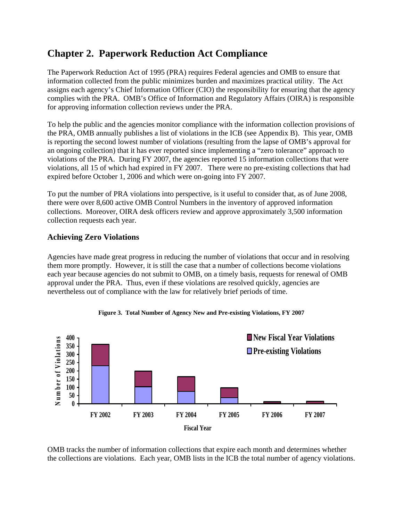## <span id="page-14-0"></span>**Chapter 2. Paperwork Reduction Act Compliance**

The Paperwork Reduction Act of 1995 (PRA) requires Federal agencies and OMB to ensure that information collected from the public minimizes burden and maximizes practical utility. The Act assigns each agency's Chief Information Officer (CIO) the responsibility for ensuring that the agency complies with the PRA. OMB's Office of Information and Regulatory Affairs (OIRA) is responsible for approving information collection reviews under the PRA.

To help the public and the agencies monitor compliance with the information collection provisions of the PRA, OMB annually publishes a list of violations in the ICB (see Appendix B). This year, OMB is reporting the second lowest number of violations (resulting from the lapse of OMB's approval for an ongoing collection) that it has ever reported since implementing a "zero tolerance" approach to violations of the PRA. During FY 2007, the agencies reported 15 information collections that were violations, all 15 of which had expired in FY 2007. There were no pre-existing collections that had expired before October 1, 2006 and which were on-going into FY 2007.

To put the number of PRA violations into perspective, is it useful to consider that, as of June 2008, there were over 8,600 active OMB Control Numbers in the inventory of approved information collections. Moreover, OIRA desk officers review and approve approximately 3,500 information collection requests each year.

#### **Achieving Zero Violations**

Agencies have made great progress in reducing the number of violations that occur and in resolving them more promptly. However, it is still the case that a number of collections become violations each year because agencies do not submit to OMB, on a timely basis, requests for renewal of OMB approval under the PRA. Thus, even if these violations are resolved quickly, agencies are nevertheless out of compliance with the law for relatively brief periods of time.



**Figure 3. Total Number of Agency New and Pre-existing Violations, FY 2007** 

OMB tracks the number of information collections that expire each month and determines whether the collections are violations. Each year, OMB lists in the ICB the total number of agency violations.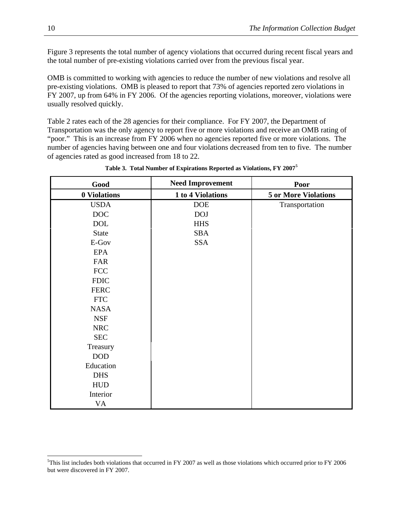<span id="page-15-0"></span>Figure 3 represents the total number of agency violations that occurred during recent fiscal years and the total number of pre-existing violations carried over from the previous fiscal year.

OMB is committed to working with agencies to reduce the number of new violations and resolve all pre-existing violations. OMB is pleased to report that 73% of agencies reported zero violations in FY 2007, up from 64% in FY 2006. Of the agencies reporting violations, moreover, violations were usually resolved quickly.

Table 2 rates each of the 28 agencies for their compliance. For FY 2007, the Department of Transportation was the only agency to report five or more violations and receive an OMB rating of "poor." This is an increase from FY 2006 when no agencies reported five or more violations. The number of agencies having between one and four violations decreased from ten to five. The number of agencies rated as good increased from 18 to 22.

| Good                        | <b>Need Improvement</b> | Poor                        |
|-----------------------------|-------------------------|-----------------------------|
| 0 Violations                | 1 to 4 Violations       | <b>5 or More Violations</b> |
| <b>USDA</b>                 | <b>DOE</b>              | Transportation              |
| <b>DOC</b>                  | <b>DOJ</b>              |                             |
| <b>DOL</b>                  | <b>HHS</b>              |                             |
| State                       | <b>SBA</b>              |                             |
| E-Gov                       | <b>SSA</b>              |                             |
| <b>EPA</b>                  |                         |                             |
| <b>FAR</b>                  |                         |                             |
| <b>FCC</b>                  |                         |                             |
| <b>FDIC</b>                 |                         |                             |
| <b>FERC</b>                 |                         |                             |
| $\ensuremath{\mathsf{FTC}}$ |                         |                             |
| <b>NASA</b>                 |                         |                             |
| <b>NSF</b>                  |                         |                             |
| <b>NRC</b>                  |                         |                             |
| <b>SEC</b>                  |                         |                             |
| Treasury                    |                         |                             |
| <b>DOD</b>                  |                         |                             |
| Education                   |                         |                             |
| <b>DHS</b>                  |                         |                             |
| <b>HUD</b>                  |                         |                             |
| Interior                    |                         |                             |
| VA                          |                         |                             |

#### **Table 3. Total Number of Expirations Reported as Violations, FY 2007[5](#page-15-0)**

l

<sup>&</sup>lt;sup>5</sup>This list includes both violations that occurred in FY 2007 as well as those violations which occurred prior to FY 2006 but were discovered in FY 2007.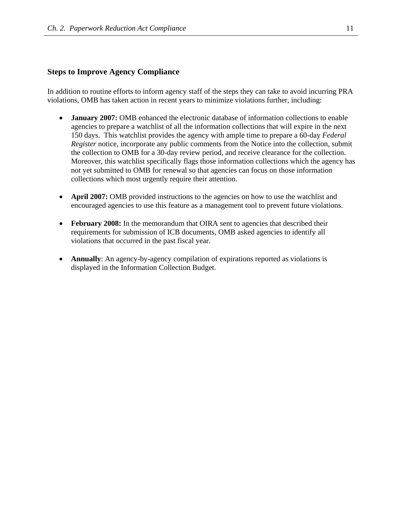#### **Steps to Improve Agency Compliance**

In addition to routine efforts to inform agency staff of the steps they can take to avoid incurring PRA violations, OMB has taken action in recent years to minimize violations further, including:

- **January 2007:** OMB enhanced the electronic database of information collections to enable agencies to prepare a watchlist of all the information collections that will expire in the next 150 days. This watchlist provides the agency with ample time to prepare a 60-day *Federal Register* notice, incorporate any public comments from the Notice into the collection, submit the collection to OMB for a 30-day review period, and receive clearance for the collection. Moreover, this watchlist specifically flags those information collections which the agency has not yet submitted to OMB for renewal so that agencies can focus on those information collections which most urgently require their attention.
- **April 2007:** OMB provided instructions to the agencies on how to use the watchlist and encouraged agencies to use this feature as a management tool to prevent future violations.
- **February 2008:** In the memorandum that OIRA sent to agencies that described their requirements for submission of ICB documents, OMB asked agencies to identify all violations that occurred in the past fiscal year.
- **Annually**: An agency-by-agency compilation of expirations reported as violations is displayed in the Information Collection Budget.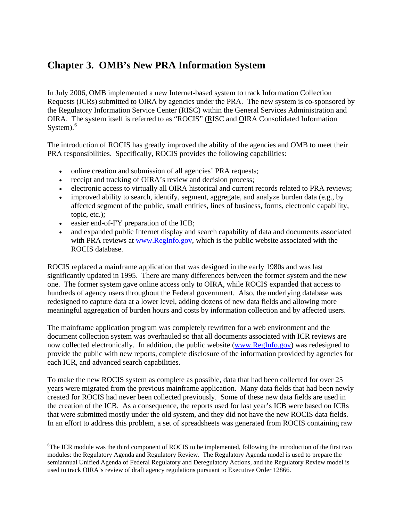## <span id="page-17-0"></span>**Chapter 3. OMB's New PRA Information System**

In July 2006, OMB implemented a new Internet-based system to track Information Collection Requests (ICRs) submitted to OIRA by agencies under the PRA. The new system is co-sponsored by the Regulatory Information Service Center (RISC) within the General Services Administration and OIRA. The system itself is referred to as "ROCIS" (RISC and OIRA Consolidated Information System). $^6$  $^6$ 

The introduction of ROCIS has greatly improved the ability of the agencies and OMB to meet their PRA responsibilities. Specifically, ROCIS provides the following capabilities:

- online creation and submission of all agencies' PRA requests;
- receipt and tracking of OIRA's review and decision process;
- electronic access to virtually all OIRA historical and current records related to PRA reviews;
- improved ability to search, identify, segment, aggregate, and analyze burden data (e.g., by affected segment of the public, small entities, lines of business, forms, electronic capability, topic, etc.);
- easier end-of-FY preparation of the ICB;

• and expanded public Internet display and search capability of data and documents associated with PRA reviews at [www.RegInfo.gov,](http://www.reginfo.gov/) which is the public website associated with the ROCIS database.

ROCIS replaced a mainframe application that was designed in the early 1980s and was last significantly updated in 1995. There are many differences between the former system and the new one. The former system gave online access only to OIRA, while ROCIS expanded that access to hundreds of agency users throughout the Federal government. Also, the underlying database was redesigned to capture data at a lower level, adding dozens of new data fields and allowing more meaningful aggregation of burden hours and costs by information collection and by affected users.

The mainframe application program was completely rewritten for a web environment and the document collection system was overhauled so that all documents associated with ICR reviews are now collected electronically. In addition, the public website ([www.RegInfo.gov](http://www.reginfo.gov/)) was redesigned to provide the public with new reports, complete disclosure of the information provided by agencies for each ICR, and advanced search capabilities.

To make the new ROCIS system as complete as possible, data that had been collected for over 25 years were migrated from the previous mainframe application. Many data fields that had been newly created for ROCIS had never been collected previously. Some of these new data fields are used in the creation of the ICB. As a consequence, the reports used for last year's ICB were based on ICRs that were submitted mostly under the old system, and they did not have the new ROCIS data fields. In an effort to address this problem, a set of spreadsheets was generated from ROCIS containing raw

<sup>&</sup>lt;sup>6</sup>The ICR module was the third component of ROCIS to be implemented, following the introduction of the first two modules: the Regulatory Agenda and Regulatory Review. The Regulatory Agenda model is used to prepare the semiannual Unified Agenda of Federal Regulatory and Deregulatory Actions, and the Regulatory Review model is used to track OIRA's review of draft agency regulations pursuant to Executive Order 12866.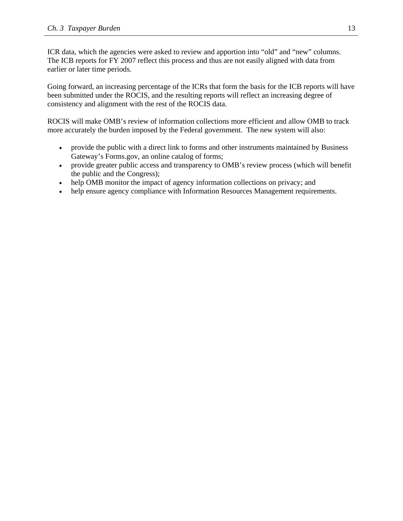ICR data, which the agencies were asked to review and apportion into "old" and "new" columns. The ICB reports for FY 2007 reflect this process and thus are not easily aligned with data from earlier or later time periods.

Going forward, an increasing percentage of the ICRs that form the basis for the ICB reports will have been submitted under the ROCIS, and the resulting reports will reflect an increasing degree of consistency and alignment with the rest of the ROCIS data.

ROCIS will make OMB's review of information collections more efficient and allow OMB to track more accurately the burden imposed by the Federal government. The new system will also:

- provide the public with a direct link to forms and other instruments maintained by Business Gateway's Forms.gov, an online catalog of forms;
- provide greater public access and transparency to OMB's review process (which will benefit the public and the Congress);
- help OMB monitor the impact of agency information collections on privacy; and
- help ensure agency compliance with Information Resources Management requirements.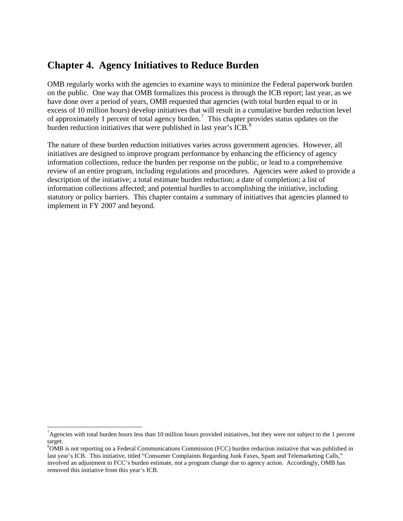### <span id="page-19-0"></span>**Chapter 4. Agency Initiatives to Reduce Burden**

OMB regularly works with the agencies to examine ways to minimize the Federal paperwork burden on the public. One way that OMB formalizes this process is through the ICB report; last year, as we have done over a period of years, OMB requested that agencies (with total burden equal to or in excess of 10 million hours) develop initiatives that will result in a cumulative burden reduction level of approximately 1 percent of total agency burden.<sup>[7](#page-19-0)</sup> This chapter provides status updates on the burden reduction initiatives that were published in last year's ICB.<sup>[8](#page-19-0)</sup>

The nature of these burden reduction initiatives varies across government agencies. However, all initiatives are designed to improve program performance by enhancing the efficiency of agency information collections, reduce the burden per response on the public, or lead to a comprehensive review of an entire program, including regulations and procedures. Agencies were asked to provide a description of the initiative; a total estimate burden reduction; a date of completion; a list of information collections affected; and potential hurdles to accomplishing the initiative, including statutory or policy barriers. This chapter contains a summary of initiatives that agencies planned to implement in FY 2007 and beyond.

 $^7$ Agencies with total burden hours less than 10 million hours provided initiatives, but they were not subject to the 1 percent target.

<sup>&</sup>lt;sup>8</sup>OMB is not reporting on a Federal Communications Commission (FCC) burden reduction initiative that was published in last year's ICB. This initiative, titled "Consumer Complaints Regarding Junk Faxes, Spam and Telemarketing Calls," involved an adjustment to FCC's burden estimate, not a program change due to agency action. Accordingly, OMB has removed this initiative from this year's ICB.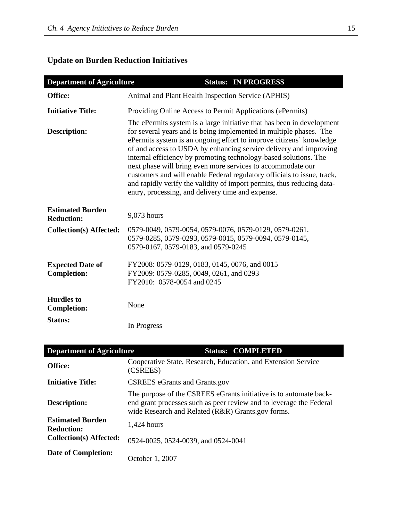## **Update on Burden Reduction Initiatives**

| <b>Department of Agriculture</b>              | <b>Status: IN PROGRESS</b>                                                                                                                                                                                                                                                                                                                                                                                                                                                                                                                                                                                                            |
|-----------------------------------------------|---------------------------------------------------------------------------------------------------------------------------------------------------------------------------------------------------------------------------------------------------------------------------------------------------------------------------------------------------------------------------------------------------------------------------------------------------------------------------------------------------------------------------------------------------------------------------------------------------------------------------------------|
| Office:                                       | Animal and Plant Health Inspection Service (APHIS)                                                                                                                                                                                                                                                                                                                                                                                                                                                                                                                                                                                    |
| <b>Initiative Title:</b>                      | Providing Online Access to Permit Applications (ePermits)                                                                                                                                                                                                                                                                                                                                                                                                                                                                                                                                                                             |
| <b>Description:</b>                           | The ePermits system is a large initiative that has been in development<br>for several years and is being implemented in multiple phases. The<br>ePermits system is an ongoing effort to improve citizens' knowledge<br>of and access to USDA by enhancing service delivery and improving<br>internal efficiency by promoting technology-based solutions. The<br>next phase will bring even more services to accommodate our<br>customers and will enable Federal regulatory officials to issue, track,<br>and rapidly verify the validity of import permits, thus reducing data-<br>entry, processing, and delivery time and expense. |
| <b>Estimated Burden</b><br><b>Reduction:</b>  | 9,073 hours                                                                                                                                                                                                                                                                                                                                                                                                                                                                                                                                                                                                                           |
| <b>Collection(s) Affected:</b>                | 0579-0049, 0579-0054, 0579-0076, 0579-0129, 0579-0261,<br>0579-0285, 0579-0293, 0579-0015, 0579-0094, 0579-0145,<br>0579-0167, 0579-0183, and 0579-0245                                                                                                                                                                                                                                                                                                                                                                                                                                                                               |
| <b>Expected Date of</b><br><b>Completion:</b> | FY2008: 0579-0129, 0183, 0145, 0076, and 0015<br>FY2009: 0579-0285, 0049, 0261, and 0293<br>FY2010: 0578-0054 and 0245                                                                                                                                                                                                                                                                                                                                                                                                                                                                                                                |
| <b>Hurdles</b> to<br><b>Completion:</b>       | None                                                                                                                                                                                                                                                                                                                                                                                                                                                                                                                                                                                                                                  |
| <b>Status:</b>                                | In Progress                                                                                                                                                                                                                                                                                                                                                                                                                                                                                                                                                                                                                           |
| Donowtmont of Aguiantina                      | $\mathcal{C}$ to trace<br>$COM$ di eten                                                                                                                                                                                                                                                                                                                                                                                                                                                                                                                                                                                               |

| <b>Department of Agriculture</b>             | <b>Status: COMPLETED</b>                                                                                                                                                                      |
|----------------------------------------------|-----------------------------------------------------------------------------------------------------------------------------------------------------------------------------------------------|
| Office:                                      | Cooperative State, Research, Education, and Extension Service<br>(CSREES)                                                                                                                     |
| <b>Initiative Title:</b>                     | <b>CSREES</b> eGrants and Grants.gov                                                                                                                                                          |
| Description:                                 | The purpose of the CSREES eGrants initiative is to automate back-<br>end grant processes such as peer review and to leverage the Federal<br>wide Research and Related (R&R) Grants.gov forms. |
| <b>Estimated Burden</b><br><b>Reduction:</b> | $1,424$ hours                                                                                                                                                                                 |
| <b>Collection(s) Affected:</b>               | 0524-0025, 0524-0039, and 0524-0041                                                                                                                                                           |
| Date of Completion:                          | October 1, 2007                                                                                                                                                                               |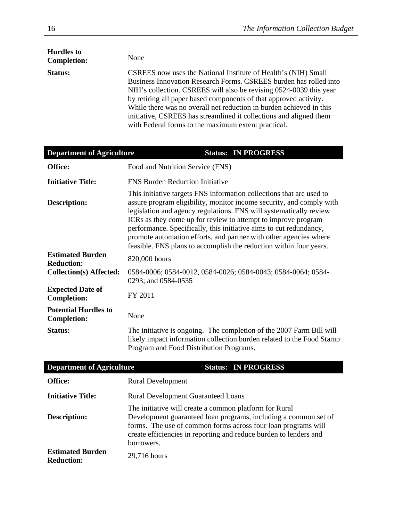| <b>Hurdles to</b><br><b>Completion:</b> | None                                                                                                                                                                                                                                                                                                                                                                                                                                                                               |
|-----------------------------------------|------------------------------------------------------------------------------------------------------------------------------------------------------------------------------------------------------------------------------------------------------------------------------------------------------------------------------------------------------------------------------------------------------------------------------------------------------------------------------------|
| <b>Status:</b>                          | CSREES now uses the National Institute of Health's (NIH) Small<br>Business Innovation Research Forms. CSREES burden has rolled into<br>NIH's collection. CSREES will also be revising 0524-0039 this year<br>by retiring all paper based components of that approved activity.<br>While there was no overall net reduction in burden achieved in this<br>initiative, CSREES has streamlined it collections and aligned them<br>with Federal forms to the maximum extent practical. |

| <b>Department of Agriculture</b>                  | <b>Status: IN PROGRESS</b>                                                                                                                                                                                                                                                                                                                                                                                                                                                                           |
|---------------------------------------------------|------------------------------------------------------------------------------------------------------------------------------------------------------------------------------------------------------------------------------------------------------------------------------------------------------------------------------------------------------------------------------------------------------------------------------------------------------------------------------------------------------|
| Office:                                           | Food and Nutrition Service (FNS)                                                                                                                                                                                                                                                                                                                                                                                                                                                                     |
| <b>Initiative Title:</b>                          | <b>FNS Burden Reduction Initiative</b>                                                                                                                                                                                                                                                                                                                                                                                                                                                               |
| Description:                                      | This initiative targets FNS information collections that are used to<br>assure program eligibility, monitor income security, and comply with<br>legislation and agency regulations. FNS will systematically review<br>ICRs as they come up for review to attempt to improve program<br>performance. Specifically, this initiative aims to cut redundancy,<br>promote automation efforts, and partner with other agencies where<br>feasible. FNS plans to accomplish the reduction within four years. |
| <b>Estimated Burden</b><br><b>Reduction:</b>      | 820,000 hours                                                                                                                                                                                                                                                                                                                                                                                                                                                                                        |
| <b>Collection(s) Affected:</b>                    | 0584-0006; 0584-0012, 0584-0026; 0584-0043; 0584-0064; 0584-<br>0293; and 0584-0535                                                                                                                                                                                                                                                                                                                                                                                                                  |
| <b>Expected Date of</b><br><b>Completion:</b>     | FY 2011                                                                                                                                                                                                                                                                                                                                                                                                                                                                                              |
| <b>Potential Hurdles to</b><br><b>Completion:</b> | None                                                                                                                                                                                                                                                                                                                                                                                                                                                                                                 |
| <b>Status:</b>                                    | The initiative is ongoing. The completion of the 2007 Farm Bill will<br>likely impact information collection burden related to the Food Stamp<br>Program and Food Distribution Programs.                                                                                                                                                                                                                                                                                                             |

| <b>Department of Agriculture</b>             | <b>Status: IN PROGRESS</b>                                                                                                                                                                                                                                                    |
|----------------------------------------------|-------------------------------------------------------------------------------------------------------------------------------------------------------------------------------------------------------------------------------------------------------------------------------|
| <b>Office:</b>                               | <b>Rural Development</b>                                                                                                                                                                                                                                                      |
| <b>Initiative Title:</b>                     | <b>Rural Development Guaranteed Loans</b>                                                                                                                                                                                                                                     |
| <b>Description:</b>                          | The initiative will create a common platform for Rural<br>Development guaranteed loan programs, including a common set of<br>forms. The use of common forms across four loan programs will<br>create efficiencies in reporting and reduce burden to lenders and<br>borrowers. |
| <b>Estimated Burden</b><br><b>Reduction:</b> | 29,716 hours                                                                                                                                                                                                                                                                  |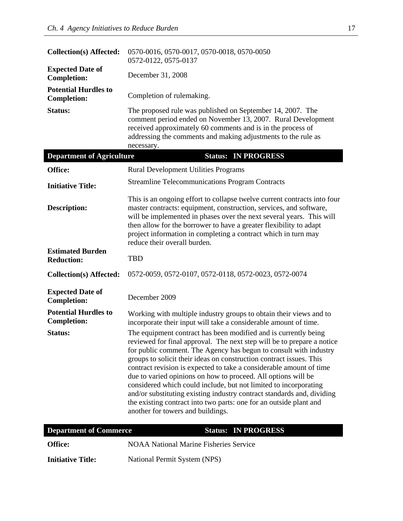| <b>Collection(s) Affected:</b>                               | 0570-0016, 0570-0017, 0570-0018, 0570-0050<br>0572-0122, 0575-0137                                                                                                                                                                                                                                                                                                                                                                                                                                                                                                                                                                                                                                                                                                                                                               |
|--------------------------------------------------------------|----------------------------------------------------------------------------------------------------------------------------------------------------------------------------------------------------------------------------------------------------------------------------------------------------------------------------------------------------------------------------------------------------------------------------------------------------------------------------------------------------------------------------------------------------------------------------------------------------------------------------------------------------------------------------------------------------------------------------------------------------------------------------------------------------------------------------------|
| <b>Expected Date of</b><br><b>Completion:</b>                | December 31, 2008                                                                                                                                                                                                                                                                                                                                                                                                                                                                                                                                                                                                                                                                                                                                                                                                                |
| <b>Potential Hurdles to</b><br><b>Completion:</b>            | Completion of rulemaking.                                                                                                                                                                                                                                                                                                                                                                                                                                                                                                                                                                                                                                                                                                                                                                                                        |
| <b>Status:</b>                                               | The proposed rule was published on September 14, 2007. The<br>comment period ended on November 13, 2007. Rural Development<br>received approximately 60 comments and is in the process of<br>addressing the comments and making adjustments to the rule as<br>necessary.                                                                                                                                                                                                                                                                                                                                                                                                                                                                                                                                                         |
| <b>Department of Agriculture</b>                             | <b>Status: IN PROGRESS</b>                                                                                                                                                                                                                                                                                                                                                                                                                                                                                                                                                                                                                                                                                                                                                                                                       |
| Office:                                                      | <b>Rural Development Utilities Programs</b>                                                                                                                                                                                                                                                                                                                                                                                                                                                                                                                                                                                                                                                                                                                                                                                      |
| <b>Initiative Title:</b>                                     | <b>Streamline Telecommunications Program Contracts</b>                                                                                                                                                                                                                                                                                                                                                                                                                                                                                                                                                                                                                                                                                                                                                                           |
| <b>Description:</b>                                          | This is an ongoing effort to collapse twelve current contracts into four<br>master contracts: equipment, construction, services, and software,<br>will be implemented in phases over the next several years. This will<br>then allow for the borrower to have a greater flexibility to adapt<br>project information in completing a contract which in turn may<br>reduce their overall burden.                                                                                                                                                                                                                                                                                                                                                                                                                                   |
| <b>Estimated Burden</b><br><b>Reduction:</b>                 | <b>TBD</b>                                                                                                                                                                                                                                                                                                                                                                                                                                                                                                                                                                                                                                                                                                                                                                                                                       |
| <b>Collection(s) Affected:</b>                               | 0572-0059, 0572-0107, 0572-0118, 0572-0023, 0572-0074                                                                                                                                                                                                                                                                                                                                                                                                                                                                                                                                                                                                                                                                                                                                                                            |
| <b>Expected Date of</b><br><b>Completion:</b>                | December 2009                                                                                                                                                                                                                                                                                                                                                                                                                                                                                                                                                                                                                                                                                                                                                                                                                    |
| <b>Potential Hurdles to</b><br><b>Completion:</b><br>Status: | Working with multiple industry groups to obtain their views and to<br>incorporate their input will take a considerable amount of time.<br>The equipment contract has been modified and is currently being<br>reviewed for final approval. The next step will be to prepare a notice<br>for public comment. The Agency has begun to consult with industry<br>groups to solicit their ideas on construction contract issues. This<br>contract revision is expected to take a considerable amount of time<br>due to varied opinions on how to proceed. All options will be<br>considered which could include, but not limited to incorporating<br>and/or substituting existing industry contract standards and, dividing<br>the existing contract into two parts: one for an outside plant and<br>another for towers and buildings. |
| <b>Department of Commerce</b>                                | <b>Status: IN PROGRESS</b>                                                                                                                                                                                                                                                                                                                                                                                                                                                                                                                                                                                                                                                                                                                                                                                                       |
| Office:                                                      | <b>NOAA National Marine Fisheries Service</b>                                                                                                                                                                                                                                                                                                                                                                                                                                                                                                                                                                                                                                                                                                                                                                                    |
| <b>Initiative Title:</b>                                     | National Permit System (NPS)                                                                                                                                                                                                                                                                                                                                                                                                                                                                                                                                                                                                                                                                                                                                                                                                     |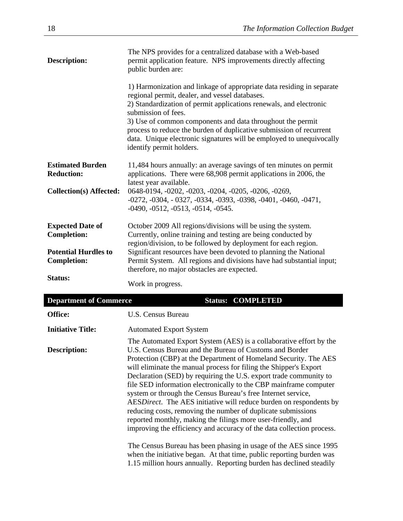| <b>Description:</b>                          | The NPS provides for a centralized database with a Web-based<br>permit application feature. NPS improvements directly affecting<br>public burden are:                                                                                 |
|----------------------------------------------|---------------------------------------------------------------------------------------------------------------------------------------------------------------------------------------------------------------------------------------|
|                                              | 1) Harmonization and linkage of appropriate data residing in separate<br>regional permit, dealer, and vessel databases.                                                                                                               |
|                                              | 2) Standardization of permit applications renewals, and electronic<br>submission of fees.                                                                                                                                             |
|                                              | 3) Use of common components and data throughout the permit<br>process to reduce the burden of duplicative submission of recurrent<br>data. Unique electronic signatures will be employed to unequivocally<br>identify permit holders. |
| <b>Estimated Burden</b><br><b>Reduction:</b> | 11,484 hours annually: an average savings of ten minutes on permit<br>applications. There were 68,908 permit applications in 2006, the<br>latest year available.                                                                      |
| <b>Collection(s) Affected:</b>               | 0648-0194, -0202, -0203, -0204, -0205, -0206, -0269,<br>$-0272, -0304, -0327, -0334, -0393, -0398, -0401, -0460, -0471,$<br>$-0490, -0512, -0513, -0514, -0545.$                                                                      |
| <b>Expected Date of</b>                      | October 2009 All regions/divisions will be using the system.                                                                                                                                                                          |
| <b>Completion:</b>                           | Currently, online training and testing are being conducted by<br>region/division, to be followed by deployment for each region.                                                                                                       |
| <b>Potential Hurdles to</b>                  | Significant resources have been devoted to planning the National                                                                                                                                                                      |
| <b>Completion:</b>                           | Permit System. All regions and divisions have had substantial input;<br>therefore, no major obstacles are expected.                                                                                                                   |
| Status:                                      | Work in progress.                                                                                                                                                                                                                     |

| <b>Department of Commerce</b> | <b>Status: COMPLETED</b>                                                                                                                                                                                                                                                                                                                                                                                                                                                                                                                                                                                                                                                                                                                                        |
|-------------------------------|-----------------------------------------------------------------------------------------------------------------------------------------------------------------------------------------------------------------------------------------------------------------------------------------------------------------------------------------------------------------------------------------------------------------------------------------------------------------------------------------------------------------------------------------------------------------------------------------------------------------------------------------------------------------------------------------------------------------------------------------------------------------|
| <b>Office:</b>                | U.S. Census Bureau                                                                                                                                                                                                                                                                                                                                                                                                                                                                                                                                                                                                                                                                                                                                              |
| <b>Initiative Title:</b>      | <b>Automated Export System</b>                                                                                                                                                                                                                                                                                                                                                                                                                                                                                                                                                                                                                                                                                                                                  |
| Description:                  | The Automated Export System (AES) is a collaborative effort by the<br>U.S. Census Bureau and the Bureau of Customs and Border<br>Protection (CBP) at the Department of Homeland Security. The AES<br>will eliminate the manual process for filing the Shipper's Export<br>Declaration (SED) by requiring the U.S. export trade community to<br>file SED information electronically to the CBP mainframe computer<br>system or through the Census Bureau's free Internet service,<br>AESDirect. The AES initiative will reduce burden on respondents by<br>reducing costs, removing the number of duplicate submissions<br>reported monthly, making the filings more user-friendly, and<br>improving the efficiency and accuracy of the data collection process. |
|                               | The Census Bureau has been phasing in usage of the AES since 1995<br>when the initiative began. At that time, public reporting burden was<br>1.15 million hours annually. Reporting burden has declined steadily                                                                                                                                                                                                                                                                                                                                                                                                                                                                                                                                                |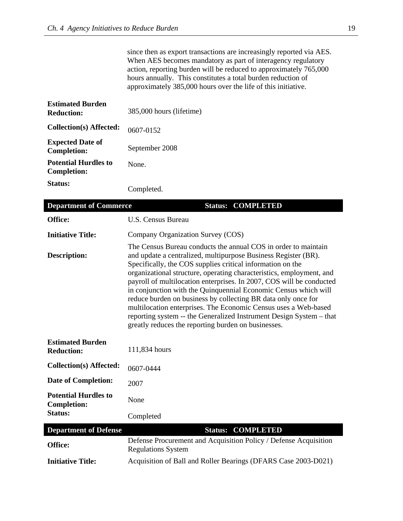since then as export transactions are increasingly reported via AES. When AES becomes mandatory as part of interagency regulatory action, reporting burden will be reduced to approximately 765,000 hours annually. This constitutes a total burden reduction of approximately 385,000 hours over the life of this initiative.

| <b>Estimated Burden</b><br><b>Reduction:</b>      | 385,000 hours (lifetime) |
|---------------------------------------------------|--------------------------|
| Collection(s) Affected:                           | 0607-0152                |
| <b>Expected Date of</b><br><b>Completion:</b>     | September 2008           |
| <b>Potential Hurdles to</b><br><b>Completion:</b> | None.                    |
| Status:                                           | Completed.               |

| <b>Department of Commerce</b>                     | <b>Status: COMPLETED</b>                                                                                                                                                                                                                                                                                                                                                                                                                                                                                                                                                                                                                                                             |
|---------------------------------------------------|--------------------------------------------------------------------------------------------------------------------------------------------------------------------------------------------------------------------------------------------------------------------------------------------------------------------------------------------------------------------------------------------------------------------------------------------------------------------------------------------------------------------------------------------------------------------------------------------------------------------------------------------------------------------------------------|
| Office:                                           | <b>U.S. Census Bureau</b>                                                                                                                                                                                                                                                                                                                                                                                                                                                                                                                                                                                                                                                            |
| <b>Initiative Title:</b>                          | Company Organization Survey (COS)                                                                                                                                                                                                                                                                                                                                                                                                                                                                                                                                                                                                                                                    |
| <b>Description:</b>                               | The Census Bureau conducts the annual COS in order to maintain<br>and update a centralized, multipurpose Business Register (BR).<br>Specifically, the COS supplies critical information on the<br>organizational structure, operating characteristics, employment, and<br>payroll of multilocation enterprises. In 2007, COS will be conducted<br>in conjunction with the Quinquennial Economic Census which will<br>reduce burden on business by collecting BR data only once for<br>multilocation enterprises. The Economic Census uses a Web-based<br>reporting system -- the Generalized Instrument Design System -- that<br>greatly reduces the reporting burden on businesses. |
| <b>Estimated Burden</b><br><b>Reduction:</b>      | 111,834 hours                                                                                                                                                                                                                                                                                                                                                                                                                                                                                                                                                                                                                                                                        |
| <b>Collection(s) Affected:</b>                    | 0607-0444                                                                                                                                                                                                                                                                                                                                                                                                                                                                                                                                                                                                                                                                            |
| <b>Date of Completion:</b>                        | 2007                                                                                                                                                                                                                                                                                                                                                                                                                                                                                                                                                                                                                                                                                 |
| <b>Potential Hurdles to</b><br><b>Completion:</b> | None                                                                                                                                                                                                                                                                                                                                                                                                                                                                                                                                                                                                                                                                                 |
| <b>Status:</b>                                    | Completed                                                                                                                                                                                                                                                                                                                                                                                                                                                                                                                                                                                                                                                                            |
| <b>Department of Defense</b>                      | <b>Status: COMPLETED</b>                                                                                                                                                                                                                                                                                                                                                                                                                                                                                                                                                                                                                                                             |
| Office:                                           | Defense Procurement and Acquisition Policy / Defense Acquisition<br><b>Regulations System</b>                                                                                                                                                                                                                                                                                                                                                                                                                                                                                                                                                                                        |
| <b>Initiative Title:</b>                          | Acquisition of Ball and Roller Bearings (DFARS Case 2003-D021)                                                                                                                                                                                                                                                                                                                                                                                                                                                                                                                                                                                                                       |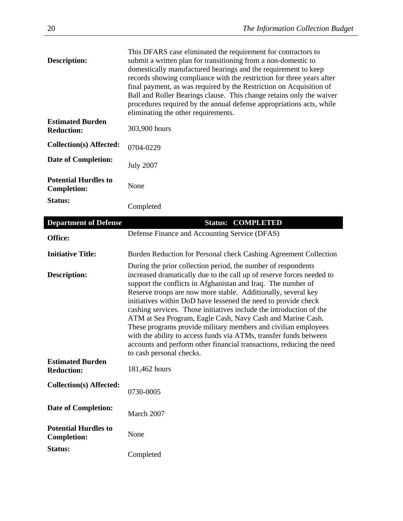| Description:                                      | This DFARS case eliminated the requirement for contractors to<br>submit a written plan for transitioning from a non-domestic to<br>domestically manufactured bearings and the requirement to keep<br>records showing compliance with the restriction for three years after<br>final payment, as was required by the Restriction on Acquisition of<br>Ball and Roller Bearings clause. This change retains only the waiver<br>procedures required by the annual defense appropriations acts, while |
|---------------------------------------------------|---------------------------------------------------------------------------------------------------------------------------------------------------------------------------------------------------------------------------------------------------------------------------------------------------------------------------------------------------------------------------------------------------------------------------------------------------------------------------------------------------|
| <b>Estimated Burden</b><br><b>Reduction:</b>      | eliminating the other requirements.<br>303,900 hours                                                                                                                                                                                                                                                                                                                                                                                                                                              |
| <b>Collection(s) Affected:</b>                    | 0704-0229                                                                                                                                                                                                                                                                                                                                                                                                                                                                                         |
| <b>Date of Completion:</b>                        | <b>July 2007</b>                                                                                                                                                                                                                                                                                                                                                                                                                                                                                  |
| <b>Potential Hurdles to</b><br><b>Completion:</b> | None                                                                                                                                                                                                                                                                                                                                                                                                                                                                                              |
| Status:                                           | Completed                                                                                                                                                                                                                                                                                                                                                                                                                                                                                         |

| <b>Department of Defense</b>                      | <b>Status: COMPLETED</b>                                                                                                                                                                                                                                                                                                                                                                                                                                                                                                                                                                                                                                                                                                  |
|---------------------------------------------------|---------------------------------------------------------------------------------------------------------------------------------------------------------------------------------------------------------------------------------------------------------------------------------------------------------------------------------------------------------------------------------------------------------------------------------------------------------------------------------------------------------------------------------------------------------------------------------------------------------------------------------------------------------------------------------------------------------------------------|
| Office:                                           | Defense Finance and Accounting Service (DFAS)                                                                                                                                                                                                                                                                                                                                                                                                                                                                                                                                                                                                                                                                             |
| <b>Initiative Title:</b>                          | Burden Reduction for Personal check Cashing Agreement Collection                                                                                                                                                                                                                                                                                                                                                                                                                                                                                                                                                                                                                                                          |
| <b>Description:</b>                               | During the prior collection period, the number of respondents<br>increased dramatically due to the call up of reserve forces needed to<br>support the conflicts in Afghanistan and Iraq. The number of<br>Reserve troops are now more stable. Additionally, several key<br>initiatives within DoD have lessened the need to provide check<br>cashing services. Those initiatives include the introduction of the<br>ATM at Sea Program, Eagle Cash, Navy Cash and Marine Cash.<br>These programs provide military members and civilian employees<br>with the ability to access funds via ATMs, transfer funds between<br>accounts and perform other financial transactions, reducing the need<br>to cash personal checks. |
| <b>Estimated Burden</b><br><b>Reduction:</b>      | 181,462 hours                                                                                                                                                                                                                                                                                                                                                                                                                                                                                                                                                                                                                                                                                                             |
| <b>Collection(s) Affected:</b>                    | 0730-0005                                                                                                                                                                                                                                                                                                                                                                                                                                                                                                                                                                                                                                                                                                                 |
| <b>Date of Completion:</b>                        | March 2007                                                                                                                                                                                                                                                                                                                                                                                                                                                                                                                                                                                                                                                                                                                |
| <b>Potential Hurdles to</b><br><b>Completion:</b> | None                                                                                                                                                                                                                                                                                                                                                                                                                                                                                                                                                                                                                                                                                                                      |
| <b>Status:</b>                                    | Completed                                                                                                                                                                                                                                                                                                                                                                                                                                                                                                                                                                                                                                                                                                                 |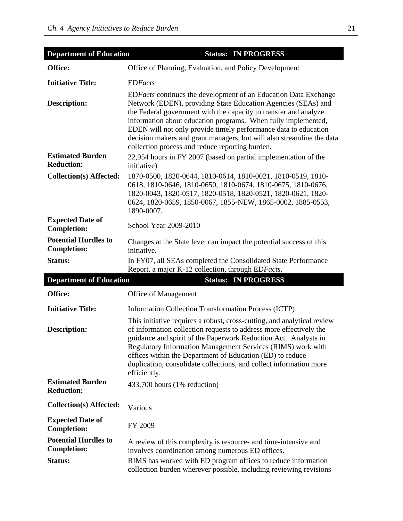| <b>Department of Education</b>                    | <b>Status: IN PROGRESS</b>                                                                                                                                                                                                                                                                                                                                                                                                                                           |
|---------------------------------------------------|----------------------------------------------------------------------------------------------------------------------------------------------------------------------------------------------------------------------------------------------------------------------------------------------------------------------------------------------------------------------------------------------------------------------------------------------------------------------|
| Office:                                           | Office of Planning, Evaluation, and Policy Development                                                                                                                                                                                                                                                                                                                                                                                                               |
| <b>Initiative Title:</b>                          | <b>EDFacts</b>                                                                                                                                                                                                                                                                                                                                                                                                                                                       |
| <b>Description:</b>                               | EDFacts continues the development of an Education Data Exchange<br>Network (EDEN), providing State Education Agencies (SEAs) and<br>the Federal government with the capacity to transfer and analyze<br>information about education programs. When fully implemented,<br>EDEN will not only provide timely performance data to education<br>decision makers and grant managers, but will also streamline the data<br>collection process and reduce reporting burden. |
| <b>Estimated Burden</b><br><b>Reduction:</b>      | 22,954 hours in FY 2007 (based on partial implementation of the<br>initiative)                                                                                                                                                                                                                                                                                                                                                                                       |
| <b>Collection(s) Affected:</b>                    | 1870-0500, 1820-0644, 1810-0614, 1810-0021, 1810-0519, 1810-<br>0618, 1810-0646, 1810-0650, 1810-0674, 1810-0675, 1810-0676,<br>1820-0043, 1820-0517, 1820-0518, 1820-0521, 1820-0621, 1820-<br>0624, 1820-0659, 1850-0067, 1855-NEW, 1865-0002, 1885-0553,<br>1890-0007.                                                                                                                                                                                            |
| <b>Expected Date of</b><br><b>Completion:</b>     | School Year 2009-2010                                                                                                                                                                                                                                                                                                                                                                                                                                                |
| <b>Potential Hurdles to</b><br><b>Completion:</b> | Changes at the State level can impact the potential success of this<br>initiative.                                                                                                                                                                                                                                                                                                                                                                                   |
| Status:                                           | In FY07, all SEAs completed the Consolidated State Performance<br>Report, a major K-12 collection, through EDFacts.                                                                                                                                                                                                                                                                                                                                                  |
| <b>Department of Education</b>                    | <b>Status: IN PROGRESS</b>                                                                                                                                                                                                                                                                                                                                                                                                                                           |
| Office:                                           | Office of Management                                                                                                                                                                                                                                                                                                                                                                                                                                                 |
| <b>Initiative Title:</b>                          | Information Collection Transformation Process (ICTP)                                                                                                                                                                                                                                                                                                                                                                                                                 |
| <b>Description:</b>                               | This initiative requires a robust, cross-cutting, and analytical review<br>of information collection requests to address more effectively the<br>guidance and spirit of the Paperwork Reduction Act. Analysts in<br>Regulatory Information Management Services (RIMS) work with<br>offices within the Department of Education (ED) to reduce<br>duplication, consolidate collections, and collect information more<br>efficiently.                                   |
| <b>Estimated Burden</b><br><b>Reduction:</b>      | 433,700 hours (1% reduction)                                                                                                                                                                                                                                                                                                                                                                                                                                         |
| <b>Collection(s) Affected:</b>                    | Various                                                                                                                                                                                                                                                                                                                                                                                                                                                              |
| <b>Expected Date of</b><br><b>Completion:</b>     | FY 2009                                                                                                                                                                                                                                                                                                                                                                                                                                                              |
| <b>Potential Hurdles to</b><br><b>Completion:</b> | A review of this complexity is resource- and time-intensive and<br>involves coordination among numerous ED offices.                                                                                                                                                                                                                                                                                                                                                  |
| Status:                                           | RIMS has worked with ED program offices to reduce information<br>collection burden wherever possible, including reviewing revisions                                                                                                                                                                                                                                                                                                                                  |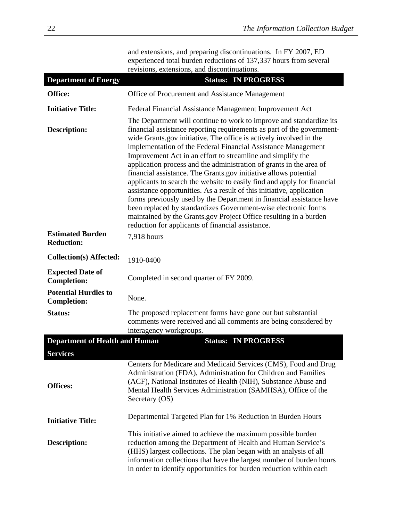| and extensions, and preparing discontinuations. In FY 2007, ED    |
|-------------------------------------------------------------------|
| experienced total burden reductions of 137,337 hours from several |
| revisions, extensions, and discontinuations.                      |

| <b>Department of Energy</b>                       | <b>Status: IN PROGRESS</b>                                                                                                                                                                                                                                                                                                                                                                                                                                                                                                                                                                                                                                                                                                                                                                                                                                                                                             |
|---------------------------------------------------|------------------------------------------------------------------------------------------------------------------------------------------------------------------------------------------------------------------------------------------------------------------------------------------------------------------------------------------------------------------------------------------------------------------------------------------------------------------------------------------------------------------------------------------------------------------------------------------------------------------------------------------------------------------------------------------------------------------------------------------------------------------------------------------------------------------------------------------------------------------------------------------------------------------------|
| Office:                                           | Office of Procurement and Assistance Management                                                                                                                                                                                                                                                                                                                                                                                                                                                                                                                                                                                                                                                                                                                                                                                                                                                                        |
| <b>Initiative Title:</b>                          | Federal Financial Assistance Management Improvement Act                                                                                                                                                                                                                                                                                                                                                                                                                                                                                                                                                                                                                                                                                                                                                                                                                                                                |
| <b>Description:</b>                               | The Department will continue to work to improve and standardize its<br>financial assistance reporting requirements as part of the government-<br>wide Grants.gov initiative. The office is actively involved in the<br>implementation of the Federal Financial Assistance Management<br>Improvement Act in an effort to streamline and simplify the<br>application process and the administration of grants in the area of<br>financial assistance. The Grants gov initiative allows potential<br>applicants to search the website to easily find and apply for financial<br>assistance opportunities. As a result of this initiative, application<br>forms previously used by the Department in financial assistance have<br>been replaced by standardizes Government-wise electronic forms<br>maintained by the Grants.gov Project Office resulting in a burden<br>reduction for applicants of financial assistance. |
| <b>Estimated Burden</b><br><b>Reduction:</b>      | 7,918 hours                                                                                                                                                                                                                                                                                                                                                                                                                                                                                                                                                                                                                                                                                                                                                                                                                                                                                                            |
| <b>Collection(s) Affected:</b>                    | 1910-0400                                                                                                                                                                                                                                                                                                                                                                                                                                                                                                                                                                                                                                                                                                                                                                                                                                                                                                              |
| <b>Expected Date of</b><br><b>Completion:</b>     | Completed in second quarter of FY 2009.                                                                                                                                                                                                                                                                                                                                                                                                                                                                                                                                                                                                                                                                                                                                                                                                                                                                                |
| <b>Potential Hurdles to</b><br><b>Completion:</b> | None.                                                                                                                                                                                                                                                                                                                                                                                                                                                                                                                                                                                                                                                                                                                                                                                                                                                                                                                  |
| <b>Status:</b>                                    | The proposed replacement forms have gone out but substantial<br>comments were received and all comments are being considered by<br>interagency workgroups.                                                                                                                                                                                                                                                                                                                                                                                                                                                                                                                                                                                                                                                                                                                                                             |
| <b>Department of Health and Human</b>             | <b>Status: IN PROGRESS</b>                                                                                                                                                                                                                                                                                                                                                                                                                                                                                                                                                                                                                                                                                                                                                                                                                                                                                             |
| <b>Services</b>                                   |                                                                                                                                                                                                                                                                                                                                                                                                                                                                                                                                                                                                                                                                                                                                                                                                                                                                                                                        |
| <b>Offices:</b>                                   | Centers for Medicare and Medicaid Services (CMS), Food and Drug<br>Administration (FDA), Administration for Children and Families<br>(ACF), National Institutes of Health (NIH), Substance Abuse and<br>Mental Health Services Administration (SAMHSA), Office of the<br>Secretary (OS)                                                                                                                                                                                                                                                                                                                                                                                                                                                                                                                                                                                                                                |
| <b>Initiative Title:</b>                          | Departmental Targeted Plan for 1% Reduction in Burden Hours                                                                                                                                                                                                                                                                                                                                                                                                                                                                                                                                                                                                                                                                                                                                                                                                                                                            |
| <b>Description:</b>                               | This initiative aimed to achieve the maximum possible burden<br>reduction among the Department of Health and Human Service's<br>(HHS) largest collections. The plan began with an analysis of all<br>information collections that have the largest number of burden hours<br>in order to identify opportunities for burden reduction within each                                                                                                                                                                                                                                                                                                                                                                                                                                                                                                                                                                       |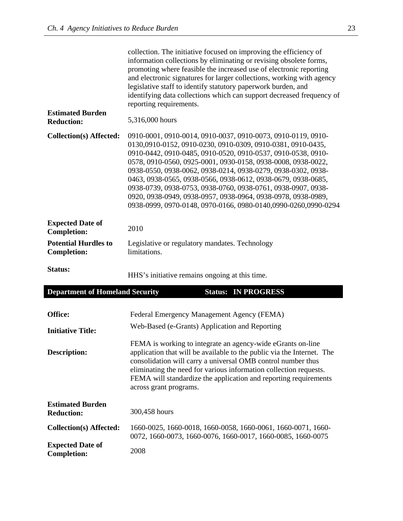|                                                   | collection. The initiative focused on improving the efficiency of<br>information collections by eliminating or revising obsolete forms,<br>promoting where feasible the increased use of electronic reporting<br>and electronic signatures for larger collections, working with agency<br>legislative staff to identify statutory paperwork burden, and<br>identifying data collections which can support decreased frequency of<br>reporting requirements.                                                                                                                                   |
|---------------------------------------------------|-----------------------------------------------------------------------------------------------------------------------------------------------------------------------------------------------------------------------------------------------------------------------------------------------------------------------------------------------------------------------------------------------------------------------------------------------------------------------------------------------------------------------------------------------------------------------------------------------|
| <b>Estimated Burden</b><br><b>Reduction:</b>      | 5,316,000 hours                                                                                                                                                                                                                                                                                                                                                                                                                                                                                                                                                                               |
| <b>Collection(s) Affected:</b>                    | 0910-0001, 0910-0014, 0910-0037, 0910-0073, 0910-0119, 0910-<br>0130,0910-0152, 0910-0230, 0910-0309, 0910-0381, 0910-0435,<br>0910-0442, 0910-0485, 0910-0520, 0910-0537, 0910-0538, 0910-<br>0578, 0910-0560, 0925-0001, 0930-0158, 0938-0008, 0938-0022,<br>0938-0550, 0938-0062, 0938-0214, 0938-0279, 0938-0302, 0938-<br>0463, 0938-0565, 0938-0566, 0938-0612, 0938-0679, 0938-0685,<br>0938-0739, 0938-0753, 0938-0760, 0938-0761, 0938-0907, 0938-<br>0920, 0938-0949, 0938-0957, 0938-0964, 0938-0978, 0938-0989,<br>0938-0999, 0970-0148, 0970-0166, 0980-0140,0990-0260,0990-0294 |
| <b>Expected Date of</b><br><b>Completion:</b>     | 2010                                                                                                                                                                                                                                                                                                                                                                                                                                                                                                                                                                                          |
| <b>Potential Hurdles to</b><br><b>Completion:</b> | Legislative or regulatory mandates. Technology<br>limitations.                                                                                                                                                                                                                                                                                                                                                                                                                                                                                                                                |
| <b>Status:</b>                                    | HHS's initiative remains ongoing at this time.                                                                                                                                                                                                                                                                                                                                                                                                                                                                                                                                                |
| <b>Department of Homeland Security</b>            | <b>Status: IN PROGRESS</b>                                                                                                                                                                                                                                                                                                                                                                                                                                                                                                                                                                    |
| Office:                                           | Federal Emergency Management Agency (FEMA)                                                                                                                                                                                                                                                                                                                                                                                                                                                                                                                                                    |
| <b>Initiative Title:</b>                          | Web-Based (e-Grants) Application and Reporting                                                                                                                                                                                                                                                                                                                                                                                                                                                                                                                                                |
| <b>Description:</b>                               | FEMA is working to integrate an agency-wide eGrants on-line<br>application that will be available to the public via the Internet. The<br>consolidation will carry a universal OMB control number thus<br>eliminating the need for various information collection requests.<br>FEMA will standardize the application and reporting requirements<br>across grant programs.                                                                                                                                                                                                                      |
| <b>Estimated Burden</b><br><b>Reduction:</b>      | 300,458 hours                                                                                                                                                                                                                                                                                                                                                                                                                                                                                                                                                                                 |
| <b>Collection(s) Affected:</b>                    | 1660-0025, 1660-0018, 1660-0058, 1660-0061, 1660-0071, 1660-<br>0072, 1660-0073, 1660-0076, 1660-0017, 1660-0085, 1660-0075                                                                                                                                                                                                                                                                                                                                                                                                                                                                   |
| <b>Expected Date of</b><br><b>Completion:</b>     | 2008                                                                                                                                                                                                                                                                                                                                                                                                                                                                                                                                                                                          |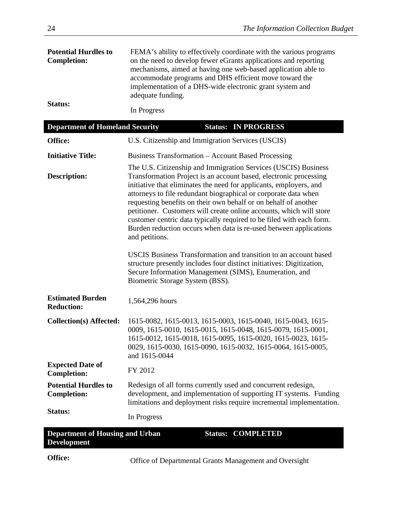| <b>Potential Hurdles to</b><br><b>Completion:</b>            | FEMA's ability to effectively coordinate with the various programs<br>on the need to develop fewer eGrants applications and reporting<br>mechanisms, aimed at having one web-based application able to<br>accommodate programs and DHS efficient move toward the<br>implementation of a DHS-wide electronic grant system and<br>adequate funding.                                                                                                                                                                                                                                     |
|--------------------------------------------------------------|---------------------------------------------------------------------------------------------------------------------------------------------------------------------------------------------------------------------------------------------------------------------------------------------------------------------------------------------------------------------------------------------------------------------------------------------------------------------------------------------------------------------------------------------------------------------------------------|
| Status:                                                      | In Progress                                                                                                                                                                                                                                                                                                                                                                                                                                                                                                                                                                           |
| <b>Department of Homeland Security</b>                       | <b>Status: IN PROGRESS</b>                                                                                                                                                                                                                                                                                                                                                                                                                                                                                                                                                            |
| Office:                                                      | U.S. Citizenship and Immigration Services (USCIS)                                                                                                                                                                                                                                                                                                                                                                                                                                                                                                                                     |
| <b>Initiative Title:</b>                                     | <b>Business Transformation – Account Based Processing</b>                                                                                                                                                                                                                                                                                                                                                                                                                                                                                                                             |
| <b>Description:</b>                                          | The U.S. Citizenship and Immigration Services (USCIS) Business<br>Transformation Project is an account based, electronic processing<br>initiative that eliminates the need for applicants, employers, and<br>attorneys to file redundant biographical or corporate data when<br>requesting benefits on their own behalf or on behalf of another<br>petitioner. Customers will create online accounts, which will store<br>customer centric data typically required to be filed with each form.<br>Burden reduction occurs when data is re-used between applications<br>and petitions. |
|                                                              | USCIS Business Transformation and transition to an account based<br>structure presently includes four distinct initiatives: Digitization,<br>Secure Information Management (SIMS), Enumeration, and<br>Biometric Storage System (BSS).                                                                                                                                                                                                                                                                                                                                                |
| <b>Estimated Burden</b><br><b>Reduction:</b>                 | 1,564,296 hours                                                                                                                                                                                                                                                                                                                                                                                                                                                                                                                                                                       |
| <b>Collection(s) Affected:</b>                               | 1615-0082, 1615-0013, 1615-0003, 1615-0040, 1615-0043, 1615-<br>0009, 1615-0010, 1615-0015, 1615-0048, 1615-0079, 1615-0001,<br>1615-0012, 1615-0018, 1615-0095, 1615-0020, 1615-0023, 1615-<br>0029, 1615-0030, 1615-0090, 1615-0032, 1615-0064, 1615-0005,<br>and 1615-0044                                                                                                                                                                                                                                                                                                         |
| <b>Expected Date of</b><br><b>Completion:</b>                | FY 2012                                                                                                                                                                                                                                                                                                                                                                                                                                                                                                                                                                               |
| <b>Potential Hurdles to</b><br><b>Completion:</b>            | Redesign of all forms currently used and concurrent redesign,<br>development, and implementation of supporting IT systems. Funding<br>limitations and deployment risks require incremental implementation.                                                                                                                                                                                                                                                                                                                                                                            |
| Status:                                                      | In Progress                                                                                                                                                                                                                                                                                                                                                                                                                                                                                                                                                                           |
| <b>Department of Housing and Urban</b><br><b>Development</b> | <b>COMPLETED</b><br><b>Status:</b>                                                                                                                                                                                                                                                                                                                                                                                                                                                                                                                                                    |
|                                                              |                                                                                                                                                                                                                                                                                                                                                                                                                                                                                                                                                                                       |

**Office:** Office of Departmental Grants Management and Oversight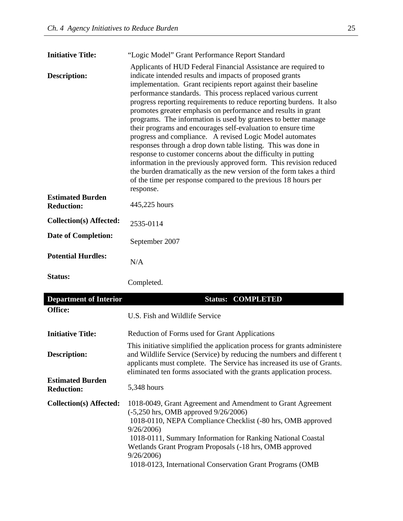| <b>Initiative Title:</b>                     | "Logic Model" Grant Performance Report Standard                                                                                                                                                                                                                                                                                                                                                                                                                                                                                                                                                                                                                                                                                                                                                                                                                                                                                                                    |
|----------------------------------------------|--------------------------------------------------------------------------------------------------------------------------------------------------------------------------------------------------------------------------------------------------------------------------------------------------------------------------------------------------------------------------------------------------------------------------------------------------------------------------------------------------------------------------------------------------------------------------------------------------------------------------------------------------------------------------------------------------------------------------------------------------------------------------------------------------------------------------------------------------------------------------------------------------------------------------------------------------------------------|
| <b>Description:</b>                          | Applicants of HUD Federal Financial Assistance are required to<br>indicate intended results and impacts of proposed grants<br>implementation. Grant recipients report against their baseline<br>performance standards. This process replaced various current<br>progress reporting requirements to reduce reporting burdens. It also<br>promotes greater emphasis on performance and results in grant<br>programs. The information is used by grantees to better manage<br>their programs and encourages self-evaluation to ensure time<br>progress and compliance. A revised Logic Model automates<br>responses through a drop down table listing. This was done in<br>response to customer concerns about the difficulty in putting<br>information in the previously approved form. This revision reduced<br>the burden dramatically as the new version of the form takes a third<br>of the time per response compared to the previous 18 hours per<br>response. |
| <b>Estimated Burden</b><br><b>Reduction:</b> | 445,225 hours                                                                                                                                                                                                                                                                                                                                                                                                                                                                                                                                                                                                                                                                                                                                                                                                                                                                                                                                                      |
| <b>Collection(s) Affected:</b>               | 2535-0114                                                                                                                                                                                                                                                                                                                                                                                                                                                                                                                                                                                                                                                                                                                                                                                                                                                                                                                                                          |
| <b>Date of Completion:</b>                   | September 2007                                                                                                                                                                                                                                                                                                                                                                                                                                                                                                                                                                                                                                                                                                                                                                                                                                                                                                                                                     |
| <b>Potential Hurdles:</b>                    | N/A                                                                                                                                                                                                                                                                                                                                                                                                                                                                                                                                                                                                                                                                                                                                                                                                                                                                                                                                                                |
| <b>Status:</b>                               | Completed.                                                                                                                                                                                                                                                                                                                                                                                                                                                                                                                                                                                                                                                                                                                                                                                                                                                                                                                                                         |

| <b>Department of Interior</b>                | <b>Status: COMPLETED</b>                                                                                                                                                                                                                                                                                                      |
|----------------------------------------------|-------------------------------------------------------------------------------------------------------------------------------------------------------------------------------------------------------------------------------------------------------------------------------------------------------------------------------|
| Office:                                      | U.S. Fish and Wildlife Service                                                                                                                                                                                                                                                                                                |
| <b>Initiative Title:</b>                     | Reduction of Forms used for Grant Applications                                                                                                                                                                                                                                                                                |
| Description:                                 | This initiative simplified the application process for grants administere<br>and Wildlife Service (Service) by reducing the numbers and different t<br>applicants must complete. The Service has increased its use of Grants.<br>eliminated ten forms associated with the grants application process.                         |
| <b>Estimated Burden</b><br><b>Reduction:</b> | 5,348 hours                                                                                                                                                                                                                                                                                                                   |
| Collection(s) Affected:                      | 1018-0049, Grant Agreement and Amendment to Grant Agreement<br>$(-5,250 \text{ hrs}, \text{OMB}$ approved $9/26/2006$ )<br>1018-0110, NEPA Compliance Checklist (-80 hrs, OMB approved<br>9/26/2006<br>1018-0111, Summary Information for Ranking National Coastal<br>Wetlands Grant Program Proposals (-18 hrs, OMB approved |
|                                              | 9/26/2006<br>1018-0123, International Conservation Grant Programs (OMB)                                                                                                                                                                                                                                                       |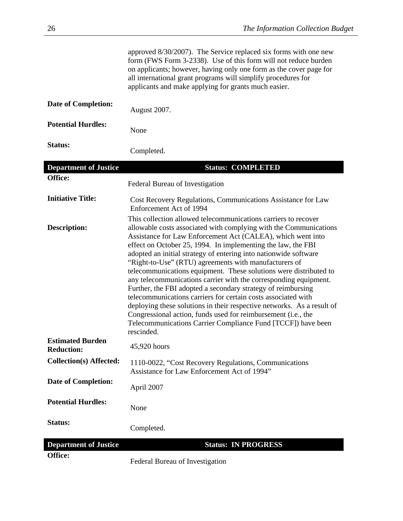|                                              | approved 8/30/2007). The Service replaced six forms with one new<br>form (FWS Form 3-2338). Use of this form will not reduce burden<br>on applicants; however, having only one form as the cover page for<br>all international grant programs will simplify procedures for<br>applicants and make applying for grants much easier.                                                                                                                                                                                                                                                                                                                                                                                                                                                                                               |
|----------------------------------------------|----------------------------------------------------------------------------------------------------------------------------------------------------------------------------------------------------------------------------------------------------------------------------------------------------------------------------------------------------------------------------------------------------------------------------------------------------------------------------------------------------------------------------------------------------------------------------------------------------------------------------------------------------------------------------------------------------------------------------------------------------------------------------------------------------------------------------------|
| <b>Date of Completion:</b>                   | August 2007.                                                                                                                                                                                                                                                                                                                                                                                                                                                                                                                                                                                                                                                                                                                                                                                                                     |
| <b>Potential Hurdles:</b>                    | None                                                                                                                                                                                                                                                                                                                                                                                                                                                                                                                                                                                                                                                                                                                                                                                                                             |
| Status:                                      | Completed.                                                                                                                                                                                                                                                                                                                                                                                                                                                                                                                                                                                                                                                                                                                                                                                                                       |
| <b>Department of Justice</b>                 | <b>Status: COMPLETED</b>                                                                                                                                                                                                                                                                                                                                                                                                                                                                                                                                                                                                                                                                                                                                                                                                         |
| Office:                                      | Federal Bureau of Investigation                                                                                                                                                                                                                                                                                                                                                                                                                                                                                                                                                                                                                                                                                                                                                                                                  |
| <b>Initiative Title:</b>                     | Cost Recovery Regulations, Communications Assistance for Law<br>Enforcement Act of 1994<br>This collection allowed telecommunications carriers to recover                                                                                                                                                                                                                                                                                                                                                                                                                                                                                                                                                                                                                                                                        |
| <b>Description:</b>                          | allowable costs associated with complying with the Communications<br>Assistance for Law Enforcement Act (CALEA), which went into<br>effect on October 25, 1994. In implementing the law, the FBI<br>adopted an initial strategy of entering into nationwide software<br>"Right-to-Use" (RTU) agreements with manufacturers of<br>telecommunications equipment. These solutions were distributed to<br>any telecommunications carrier with the corresponding equipment.<br>Further, the FBI adopted a secondary strategy of reimbursing<br>telecommunications carriers for certain costs associated with<br>deploying these solutions in their respective networks. As a result of<br>Congressional action, funds used for reimbursement (i.e., the<br>Telecommunications Carrier Compliance Fund [TCCF]) have been<br>rescinded. |
| <b>Estimated Burden</b><br><b>Reduction:</b> | 45,920 hours                                                                                                                                                                                                                                                                                                                                                                                                                                                                                                                                                                                                                                                                                                                                                                                                                     |
| <b>Collection(s) Affected:</b>               | 1110-0022, "Cost Recovery Regulations, Communications<br>Assistance for Law Enforcement Act of 1994"                                                                                                                                                                                                                                                                                                                                                                                                                                                                                                                                                                                                                                                                                                                             |
| <b>Date of Completion:</b>                   | April 2007                                                                                                                                                                                                                                                                                                                                                                                                                                                                                                                                                                                                                                                                                                                                                                                                                       |
| <b>Potential Hurdles:</b>                    | None                                                                                                                                                                                                                                                                                                                                                                                                                                                                                                                                                                                                                                                                                                                                                                                                                             |
| Status:                                      | Completed.                                                                                                                                                                                                                                                                                                                                                                                                                                                                                                                                                                                                                                                                                                                                                                                                                       |
| <b>Department of Justice</b>                 | <b>Status: IN PROGRESS</b>                                                                                                                                                                                                                                                                                                                                                                                                                                                                                                                                                                                                                                                                                                                                                                                                       |
| Office:                                      | Federal Bureau of Investigation                                                                                                                                                                                                                                                                                                                                                                                                                                                                                                                                                                                                                                                                                                                                                                                                  |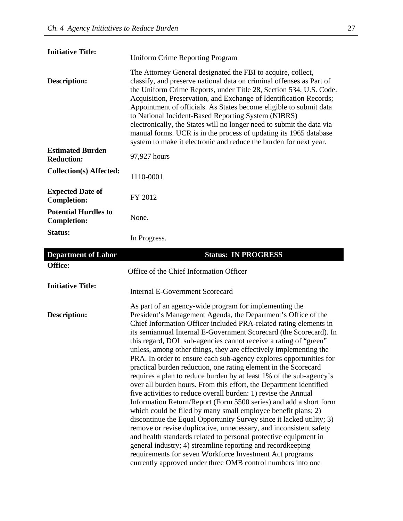| <b>Initiative Title:</b>                          | <b>Uniform Crime Reporting Program</b>                                                                                                                                                                                                                                                                                                                                                                                                                                                                                                                                                                                           |
|---------------------------------------------------|----------------------------------------------------------------------------------------------------------------------------------------------------------------------------------------------------------------------------------------------------------------------------------------------------------------------------------------------------------------------------------------------------------------------------------------------------------------------------------------------------------------------------------------------------------------------------------------------------------------------------------|
| <b>Description:</b>                               | The Attorney General designated the FBI to acquire, collect,<br>classify, and preserve national data on criminal offenses as Part of<br>the Uniform Crime Reports, under Title 28, Section 534, U.S. Code.<br>Acquisition, Preservation, and Exchange of Identification Records;<br>Appointment of officials. As States become eligible to submit data<br>to National Incident-Based Reporting System (NIBRS)<br>electronically, the States will no longer need to submit the data via<br>manual forms. UCR is in the process of updating its 1965 database<br>system to make it electronic and reduce the burden for next year. |
| <b>Estimated Burden</b><br><b>Reduction:</b>      | 97,927 hours                                                                                                                                                                                                                                                                                                                                                                                                                                                                                                                                                                                                                     |
| <b>Collection(s) Affected:</b>                    | 1110-0001                                                                                                                                                                                                                                                                                                                                                                                                                                                                                                                                                                                                                        |
| <b>Expected Date of</b><br><b>Completion:</b>     | FY 2012                                                                                                                                                                                                                                                                                                                                                                                                                                                                                                                                                                                                                          |
| <b>Potential Hurdles to</b><br><b>Completion:</b> | None.                                                                                                                                                                                                                                                                                                                                                                                                                                                                                                                                                                                                                            |
| Status:                                           | In Progress.                                                                                                                                                                                                                                                                                                                                                                                                                                                                                                                                                                                                                     |
| <b>Department of Labor</b>                        | <b>Status: IN PROGRESS</b>                                                                                                                                                                                                                                                                                                                                                                                                                                                                                                                                                                                                       |
|                                                   |                                                                                                                                                                                                                                                                                                                                                                                                                                                                                                                                                                                                                                  |
| Office:                                           | Office of the Chief Information Officer                                                                                                                                                                                                                                                                                                                                                                                                                                                                                                                                                                                          |
| <b>Initiative Title:</b>                          | <b>Internal E-Government Scorecard</b>                                                                                                                                                                                                                                                                                                                                                                                                                                                                                                                                                                                           |

currently approved under three OMB control numbers into one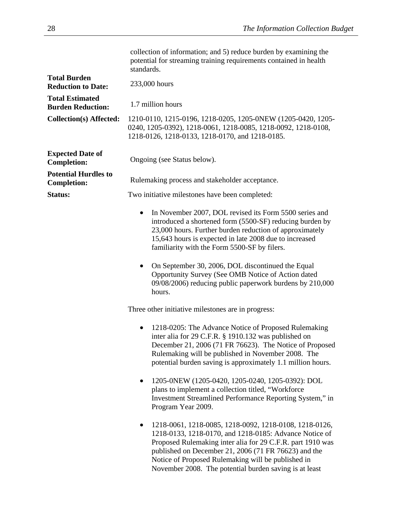|                                                    | collection of information; and 5) reduce burden by examining the<br>potential for streaming training requirements contained in health<br>standards.                                                                                                                                                                                                    |
|----------------------------------------------------|--------------------------------------------------------------------------------------------------------------------------------------------------------------------------------------------------------------------------------------------------------------------------------------------------------------------------------------------------------|
| <b>Total Burden</b><br><b>Reduction to Date:</b>   | 233,000 hours                                                                                                                                                                                                                                                                                                                                          |
| <b>Total Estimated</b><br><b>Burden Reduction:</b> | 1.7 million hours                                                                                                                                                                                                                                                                                                                                      |
| <b>Collection(s) Affected:</b>                     | 1210-0110, 1215-0196, 1218-0205, 1205-0NEW (1205-0420, 1205-<br>0240, 1205-0392), 1218-0061, 1218-0085, 1218-0092, 1218-0108,<br>1218-0126, 1218-0133, 1218-0170, and 1218-0185.                                                                                                                                                                       |
| <b>Expected Date of</b><br><b>Completion:</b>      | Ongoing (see Status below).                                                                                                                                                                                                                                                                                                                            |
| <b>Potential Hurdles to</b><br><b>Completion:</b>  | Rulemaking process and stakeholder acceptance.                                                                                                                                                                                                                                                                                                         |
| Status:                                            | Two initiative milestones have been completed:                                                                                                                                                                                                                                                                                                         |
|                                                    | In November 2007, DOL revised its Form 5500 series and<br>$\bullet$<br>introduced a shortened form (5500-SF) reducing burden by<br>23,000 hours. Further burden reduction of approximately<br>15,643 hours is expected in late 2008 due to increased<br>familiarity with the Form 5500-SF by filers.                                                   |
|                                                    | On September 30, 2006, DOL discontinued the Equal<br>٠<br>Opportunity Survey (See OMB Notice of Action dated<br>09/08/2006) reducing public paperwork burdens by 210,000<br>hours.                                                                                                                                                                     |
|                                                    | Three other initiative milestones are in progress:                                                                                                                                                                                                                                                                                                     |
|                                                    | 1218-0205: The Advance Notice of Proposed Rulemaking<br>$\bullet$<br>inter alia for 29 C.F.R. § 1910.132 was published on<br>December 21, 2006 (71 FR 76623). The Notice of Proposed<br>Rulemaking will be published in November 2008. The<br>potential burden saving is approximately 1.1 million hours.                                              |
|                                                    | 1205-0NEW (1205-0420, 1205-0240, 1205-0392): DOL<br>٠<br>plans to implement a collection titled, "Workforce<br>Investment Streamlined Performance Reporting System," in<br>Program Year 2009.                                                                                                                                                          |
|                                                    | 1218-0061, 1218-0085, 1218-0092, 1218-0108, 1218-0126,<br>1218-0133, 1218-0170, and 1218-0185: Advance Notice of<br>Proposed Rulemaking inter alia for 29 C.F.R. part 1910 was<br>published on December 21, 2006 (71 FR 76623) and the<br>Notice of Proposed Rulemaking will be published in<br>November 2008. The potential burden saving is at least |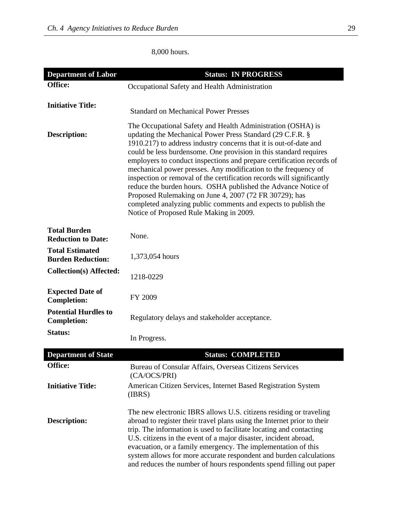8,000 hours.

| <b>Department of Labor</b>                         | <b>Status: IN PROGRESS</b>                                                                                                                                                                                                                                                                                                                                                                                                                                                                                                                                                                                                                                                                                                     |
|----------------------------------------------------|--------------------------------------------------------------------------------------------------------------------------------------------------------------------------------------------------------------------------------------------------------------------------------------------------------------------------------------------------------------------------------------------------------------------------------------------------------------------------------------------------------------------------------------------------------------------------------------------------------------------------------------------------------------------------------------------------------------------------------|
| Office:                                            | Occupational Safety and Health Administration                                                                                                                                                                                                                                                                                                                                                                                                                                                                                                                                                                                                                                                                                  |
|                                                    |                                                                                                                                                                                                                                                                                                                                                                                                                                                                                                                                                                                                                                                                                                                                |
| <b>Initiative Title:</b>                           | <b>Standard on Mechanical Power Presses</b>                                                                                                                                                                                                                                                                                                                                                                                                                                                                                                                                                                                                                                                                                    |
| <b>Description:</b>                                | The Occupational Safety and Health Administration (OSHA) is<br>updating the Mechanical Power Press Standard (29 C.F.R. §<br>1910.217) to address industry concerns that it is out-of-date and<br>could be less burdensome. One provision in this standard requires<br>employers to conduct inspections and prepare certification records of<br>mechanical power presses. Any modification to the frequency of<br>inspection or removal of the certification records will significantly<br>reduce the burden hours. OSHA published the Advance Notice of<br>Proposed Rulemaking on June 4, 2007 (72 FR 30729); has<br>completed analyzing public comments and expects to publish the<br>Notice of Proposed Rule Making in 2009. |
| <b>Total Burden</b><br><b>Reduction to Date:</b>   | None.                                                                                                                                                                                                                                                                                                                                                                                                                                                                                                                                                                                                                                                                                                                          |
| <b>Total Estimated</b><br><b>Burden Reduction:</b> | 1,373,054 hours                                                                                                                                                                                                                                                                                                                                                                                                                                                                                                                                                                                                                                                                                                                |
| <b>Collection(s) Affected:</b>                     | 1218-0229                                                                                                                                                                                                                                                                                                                                                                                                                                                                                                                                                                                                                                                                                                                      |
| <b>Expected Date of</b><br><b>Completion:</b>      | FY 2009                                                                                                                                                                                                                                                                                                                                                                                                                                                                                                                                                                                                                                                                                                                        |
| <b>Potential Hurdles to</b><br><b>Completion:</b>  | Regulatory delays and stakeholder acceptance.                                                                                                                                                                                                                                                                                                                                                                                                                                                                                                                                                                                                                                                                                  |
| <b>Status:</b>                                     | In Progress.                                                                                                                                                                                                                                                                                                                                                                                                                                                                                                                                                                                                                                                                                                                   |
| <b>Department of State</b>                         | <b>Status: COMPLETED</b>                                                                                                                                                                                                                                                                                                                                                                                                                                                                                                                                                                                                                                                                                                       |
| Office:                                            | Bureau of Consular Affairs, Overseas Citizens Services<br>(CA/OCS/PRI)                                                                                                                                                                                                                                                                                                                                                                                                                                                                                                                                                                                                                                                         |
| <b>Initiative Title:</b>                           | American Citizen Services, Internet Based Registration System<br>(IBRS)                                                                                                                                                                                                                                                                                                                                                                                                                                                                                                                                                                                                                                                        |
| <b>Description:</b>                                | The new electronic IBRS allows U.S. citizens residing or traveling<br>abroad to register their travel plans using the Internet prior to their<br>trip. The information is used to facilitate locating and contacting<br>U.S. citizens in the event of a major disaster, incident abroad,<br>evacuation, or a family emergency. The implementation of this<br>system allows for more accurate respondent and burden calculations<br>and reduces the number of hours respondents spend filling out paper                                                                                                                                                                                                                         |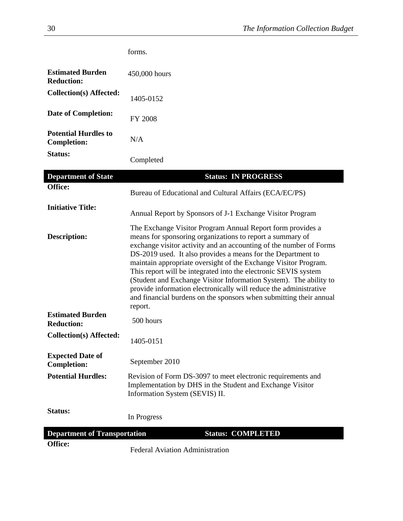|                                                   | forms.                                                                                                                                                                                                                                                                                                                                                                                                                                                                                                                                                                                                                         |
|---------------------------------------------------|--------------------------------------------------------------------------------------------------------------------------------------------------------------------------------------------------------------------------------------------------------------------------------------------------------------------------------------------------------------------------------------------------------------------------------------------------------------------------------------------------------------------------------------------------------------------------------------------------------------------------------|
| <b>Estimated Burden</b><br><b>Reduction:</b>      | 450,000 hours                                                                                                                                                                                                                                                                                                                                                                                                                                                                                                                                                                                                                  |
| Collection(s) Affected:                           | 1405-0152                                                                                                                                                                                                                                                                                                                                                                                                                                                                                                                                                                                                                      |
| <b>Date of Completion:</b>                        | <b>FY 2008</b>                                                                                                                                                                                                                                                                                                                                                                                                                                                                                                                                                                                                                 |
| <b>Potential Hurdles to</b><br><b>Completion:</b> | N/A                                                                                                                                                                                                                                                                                                                                                                                                                                                                                                                                                                                                                            |
| <b>Status:</b>                                    | Completed                                                                                                                                                                                                                                                                                                                                                                                                                                                                                                                                                                                                                      |
| <b>Department of State</b>                        | <b>Status: IN PROGRESS</b>                                                                                                                                                                                                                                                                                                                                                                                                                                                                                                                                                                                                     |
| Office:                                           | Bureau of Educational and Cultural Affairs (ECA/EC/PS)                                                                                                                                                                                                                                                                                                                                                                                                                                                                                                                                                                         |
| <b>Initiative Title:</b>                          | Annual Report by Sponsors of J-1 Exchange Visitor Program                                                                                                                                                                                                                                                                                                                                                                                                                                                                                                                                                                      |
| <b>Description:</b>                               | The Exchange Visitor Program Annual Report form provides a<br>means for sponsoring organizations to report a summary of<br>exchange visitor activity and an accounting of the number of Forms<br>DS-2019 used. It also provides a means for the Department to<br>maintain appropriate oversight of the Exchange Visitor Program.<br>This report will be integrated into the electronic SEVIS system<br>(Student and Exchange Visitor Information System). The ability to<br>provide information electronically will reduce the administrative<br>and financial burdens on the sponsors when submitting their annual<br>report. |
| <b>Estimated Burden</b><br><b>Reduction:</b>      | 500 hours                                                                                                                                                                                                                                                                                                                                                                                                                                                                                                                                                                                                                      |
| Collection(s) Affected:                           | 1405-0151                                                                                                                                                                                                                                                                                                                                                                                                                                                                                                                                                                                                                      |
| <b>Expected Date of</b><br><b>Completion:</b>     | September 2010                                                                                                                                                                                                                                                                                                                                                                                                                                                                                                                                                                                                                 |
| <b>Potential Hurdles:</b>                         | Revision of Form DS-3097 to meet electronic requirements and<br>Implementation by DHS in the Student and Exchange Visitor<br>Information System (SEVIS) II.                                                                                                                                                                                                                                                                                                                                                                                                                                                                    |
| <b>Status:</b>                                    | In Progress                                                                                                                                                                                                                                                                                                                                                                                                                                                                                                                                                                                                                    |
| <b>Department of Transportation</b>               | <b>Status: COMPLETED</b>                                                                                                                                                                                                                                                                                                                                                                                                                                                                                                                                                                                                       |
| Office:                                           | <b>Federal Aviation Administration</b>                                                                                                                                                                                                                                                                                                                                                                                                                                                                                                                                                                                         |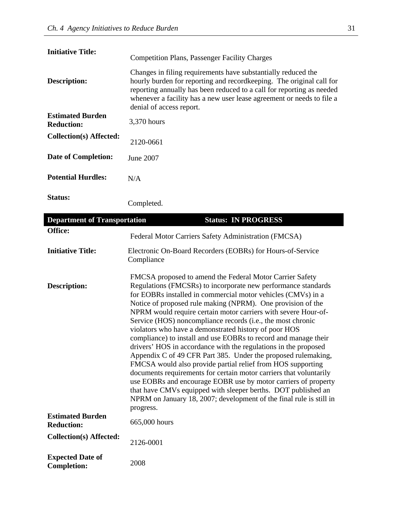| <b>Initiative Title:</b>                     | <b>Competition Plans, Passenger Facility Charges</b>                                                                                                                                                                                                                                                                 |
|----------------------------------------------|----------------------------------------------------------------------------------------------------------------------------------------------------------------------------------------------------------------------------------------------------------------------------------------------------------------------|
| <b>Description:</b>                          | Changes in filing requirements have substantially reduced the<br>hourly burden for reporting and record keeping. The original call for<br>reporting annually has been reduced to a call for reporting as needed<br>whenever a facility has a new user lease agreement or needs to file a<br>denial of access report. |
| <b>Estimated Burden</b><br><b>Reduction:</b> | 3,370 hours                                                                                                                                                                                                                                                                                                          |
| <b>Collection(s) Affected:</b>               | 2120-0661                                                                                                                                                                                                                                                                                                            |
| <b>Date of Completion:</b>                   | June 2007                                                                                                                                                                                                                                                                                                            |
| <b>Potential Hurdles:</b>                    | N/A                                                                                                                                                                                                                                                                                                                  |
| <b>Status:</b>                               | Completed.                                                                                                                                                                                                                                                                                                           |

| <b>Department of Transportation</b>           | <b>Status: IN PROGRESS</b>                                                                                                                                                                                                                                                                                                                                                                                                                                                                                                                                                                                                                                                                                                                                                                                                                                                                                                                                                                                            |
|-----------------------------------------------|-----------------------------------------------------------------------------------------------------------------------------------------------------------------------------------------------------------------------------------------------------------------------------------------------------------------------------------------------------------------------------------------------------------------------------------------------------------------------------------------------------------------------------------------------------------------------------------------------------------------------------------------------------------------------------------------------------------------------------------------------------------------------------------------------------------------------------------------------------------------------------------------------------------------------------------------------------------------------------------------------------------------------|
| Office:                                       | Federal Motor Carriers Safety Administration (FMCSA)                                                                                                                                                                                                                                                                                                                                                                                                                                                                                                                                                                                                                                                                                                                                                                                                                                                                                                                                                                  |
| <b>Initiative Title:</b>                      | Electronic On-Board Recorders (EOBRs) for Hours-of-Service<br>Compliance                                                                                                                                                                                                                                                                                                                                                                                                                                                                                                                                                                                                                                                                                                                                                                                                                                                                                                                                              |
| <b>Description:</b>                           | FMCSA proposed to amend the Federal Motor Carrier Safety<br>Regulations (FMCSRs) to incorporate new performance standards<br>for EOBRs installed in commercial motor vehicles (CMVs) in a<br>Notice of proposed rule making (NPRM). One provision of the<br>NPRM would require certain motor carriers with severe Hour-of-<br>Service (HOS) noncompliance records (i.e., the most chronic<br>violators who have a demonstrated history of poor HOS<br>compliance) to install and use EOBRs to record and manage their<br>drivers' HOS in accordance with the regulations in the proposed<br>Appendix C of 49 CFR Part 385. Under the proposed rulemaking,<br>FMCSA would also provide partial relief from HOS supporting<br>documents requirements for certain motor carriers that voluntarily<br>use EOBRs and encourage EOBR use by motor carriers of property<br>that have CMVs equipped with sleeper berths. DOT published an<br>NPRM on January 18, 2007; development of the final rule is still in<br>progress. |
| <b>Estimated Burden</b><br><b>Reduction:</b>  | 665,000 hours                                                                                                                                                                                                                                                                                                                                                                                                                                                                                                                                                                                                                                                                                                                                                                                                                                                                                                                                                                                                         |
| <b>Collection(s) Affected:</b>                | 2126-0001                                                                                                                                                                                                                                                                                                                                                                                                                                                                                                                                                                                                                                                                                                                                                                                                                                                                                                                                                                                                             |
| <b>Expected Date of</b><br><b>Completion:</b> | 2008                                                                                                                                                                                                                                                                                                                                                                                                                                                                                                                                                                                                                                                                                                                                                                                                                                                                                                                                                                                                                  |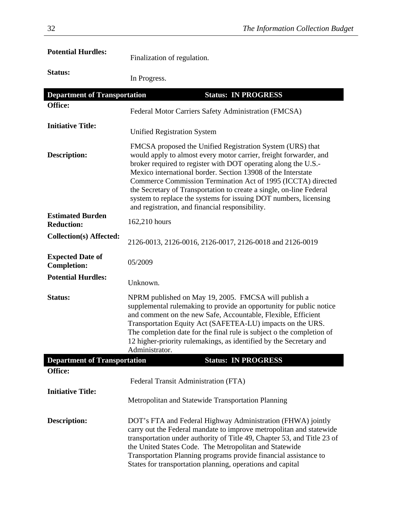| <b>Potential Hurdles:</b>                     | Finalization of regulation.                                                                                                                                                                                                                                                                                                                                                                                                                                                                                                    |
|-----------------------------------------------|--------------------------------------------------------------------------------------------------------------------------------------------------------------------------------------------------------------------------------------------------------------------------------------------------------------------------------------------------------------------------------------------------------------------------------------------------------------------------------------------------------------------------------|
| Status:                                       | In Progress.                                                                                                                                                                                                                                                                                                                                                                                                                                                                                                                   |
| <b>Department of Transportation</b>           | <b>Status: IN PROGRESS</b>                                                                                                                                                                                                                                                                                                                                                                                                                                                                                                     |
| Office:                                       | Federal Motor Carriers Safety Administration (FMCSA)                                                                                                                                                                                                                                                                                                                                                                                                                                                                           |
| <b>Initiative Title:</b>                      | <b>Unified Registration System</b>                                                                                                                                                                                                                                                                                                                                                                                                                                                                                             |
| <b>Description:</b>                           | FMCSA proposed the Unified Registration System (URS) that<br>would apply to almost every motor carrier, freight forwarder, and<br>broker required to register with DOT operating along the U.S.-<br>Mexico international border. Section 13908 of the Interstate<br>Commerce Commission Termination Act of 1995 (ICCTA) directed<br>the Secretary of Transportation to create a single, on-line Federal<br>system to replace the systems for issuing DOT numbers, licensing<br>and registration, and financial responsibility. |
| <b>Estimated Burden</b><br><b>Reduction:</b>  | 162,210 hours                                                                                                                                                                                                                                                                                                                                                                                                                                                                                                                  |
| <b>Collection(s) Affected:</b>                | 2126-0013, 2126-0016, 2126-0017, 2126-0018 and 2126-0019                                                                                                                                                                                                                                                                                                                                                                                                                                                                       |
| <b>Expected Date of</b><br><b>Completion:</b> | 05/2009                                                                                                                                                                                                                                                                                                                                                                                                                                                                                                                        |
| <b>Potential Hurdles:</b>                     | Unknown.                                                                                                                                                                                                                                                                                                                                                                                                                                                                                                                       |
| <b>Status:</b>                                | NPRM published on May 19, 2005. FMCSA will publish a<br>supplemental rulemaking to provide an opportunity for public notice<br>and comment on the new Safe, Accountable, Flexible, Efficient<br>Transportation Equity Act (SAFETEA-LU) impacts on the URS.<br>The completion date for the final rule is subject o the completion of<br>12 higher-priority rulemakings, as identified by the Secretary and<br>Administrator.                                                                                                    |
| <b>Department of Transportation</b>           | <b>Status: IN PROGRESS</b>                                                                                                                                                                                                                                                                                                                                                                                                                                                                                                     |
| Office:                                       |                                                                                                                                                                                                                                                                                                                                                                                                                                                                                                                                |
| <b>Initiative Title:</b>                      | Federal Transit Administration (FTA)<br>Metropolitan and Statewide Transportation Planning                                                                                                                                                                                                                                                                                                                                                                                                                                     |
| <b>Description:</b>                           | DOT's FTA and Federal Highway Administration (FHWA) jointly<br>carry out the Federal mandate to improve metropolitan and statewide<br>transportation under authority of Title 49, Chapter 53, and Title 23 of<br>the United States Code. The Metropolitan and Statewide<br>Transportation Planning programs provide financial assistance to<br>States for transportation planning, operations and capital                                                                                                                      |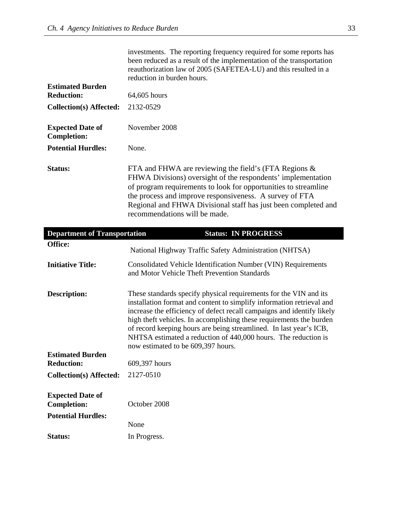|                                               | investments. The reporting frequency required for some reports has<br>been reduced as a result of the implementation of the transportation<br>reauthorization law of 2005 (SAFETEA-LU) and this resulted in a<br>reduction in burden hours.                                                                                                                                                                                                                               |
|-----------------------------------------------|---------------------------------------------------------------------------------------------------------------------------------------------------------------------------------------------------------------------------------------------------------------------------------------------------------------------------------------------------------------------------------------------------------------------------------------------------------------------------|
| <b>Estimated Burden</b><br><b>Reduction:</b>  | 64,605 hours                                                                                                                                                                                                                                                                                                                                                                                                                                                              |
| <b>Collection(s) Affected:</b>                | 2132-0529                                                                                                                                                                                                                                                                                                                                                                                                                                                                 |
|                                               |                                                                                                                                                                                                                                                                                                                                                                                                                                                                           |
| <b>Expected Date of</b><br><b>Completion:</b> | November 2008                                                                                                                                                                                                                                                                                                                                                                                                                                                             |
| <b>Potential Hurdles:</b>                     | None.                                                                                                                                                                                                                                                                                                                                                                                                                                                                     |
| Status:                                       | FTA and FHWA are reviewing the field's (FTA Regions $\&$<br>FHWA Divisions) oversight of the respondents' implementation<br>of program requirements to look for opportunities to streamline<br>the process and improve responsiveness. A survey of FTA<br>Regional and FHWA Divisional staff has just been completed and<br>recommendations will be made.                                                                                                                 |
| <b>Department of Transportation</b>           | <b>Status: IN PROGRESS</b>                                                                                                                                                                                                                                                                                                                                                                                                                                                |
|                                               |                                                                                                                                                                                                                                                                                                                                                                                                                                                                           |
| Office:                                       | National Highway Traffic Safety Administration (NHTSA)                                                                                                                                                                                                                                                                                                                                                                                                                    |
| <b>Initiative Title:</b>                      | Consolidated Vehicle Identification Number (VIN) Requirements<br>and Motor Vehicle Theft Prevention Standards                                                                                                                                                                                                                                                                                                                                                             |
| <b>Description:</b>                           | These standards specify physical requirements for the VIN and its<br>installation format and content to simplify information retrieval and<br>increase the efficiency of defect recall campaigns and identify likely<br>high theft vehicles. In accomplishing these requirements the burden<br>of record keeping hours are being streamlined. In last year's ICB,<br>NHTSA estimated a reduction of 440,000 hours. The reduction is<br>now estimated to be 609,397 hours. |
| <b>Estimated Burden</b><br><b>Reduction:</b>  | 609,397 hours                                                                                                                                                                                                                                                                                                                                                                                                                                                             |
| <b>Collection(s) Affected:</b>                | 2127-0510                                                                                                                                                                                                                                                                                                                                                                                                                                                                 |
| <b>Expected Date of</b><br><b>Completion:</b> | October 2008                                                                                                                                                                                                                                                                                                                                                                                                                                                              |
| <b>Potential Hurdles:</b>                     |                                                                                                                                                                                                                                                                                                                                                                                                                                                                           |
| Status:                                       | None<br>In Progress.                                                                                                                                                                                                                                                                                                                                                                                                                                                      |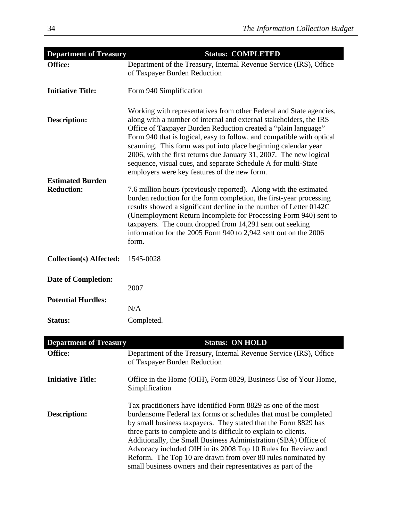| <b>Department of Treasury</b>  | <b>Status: COMPLETED</b>                                                                                                                                                                                                                                                                                                                                                                                                                                                                                                                       |
|--------------------------------|------------------------------------------------------------------------------------------------------------------------------------------------------------------------------------------------------------------------------------------------------------------------------------------------------------------------------------------------------------------------------------------------------------------------------------------------------------------------------------------------------------------------------------------------|
| Office:                        | Department of the Treasury, Internal Revenue Service (IRS), Office<br>of Taxpayer Burden Reduction                                                                                                                                                                                                                                                                                                                                                                                                                                             |
| <b>Initiative Title:</b>       | Form 940 Simplification                                                                                                                                                                                                                                                                                                                                                                                                                                                                                                                        |
| <b>Description:</b>            | Working with representatives from other Federal and State agencies,<br>along with a number of internal and external stakeholders, the IRS<br>Office of Taxpayer Burden Reduction created a "plain language"<br>Form 940 that is logical, easy to follow, and compatible with optical<br>scanning. This form was put into place beginning calendar year<br>2006, with the first returns due January 31, 2007. The new logical<br>sequence, visual cues, and separate Schedule A for multi-State<br>employers were key features of the new form. |
| <b>Estimated Burden</b>        |                                                                                                                                                                                                                                                                                                                                                                                                                                                                                                                                                |
| <b>Reduction:</b>              | 7.6 million hours (previously reported). Along with the estimated<br>burden reduction for the form completion, the first-year processing<br>results showed a significant decline in the number of Letter 0142C<br>(Unemployment Return Incomplete for Processing Form 940) sent to<br>taxpayers. The count dropped from 14,291 sent out seeking<br>information for the 2005 Form 940 to 2,942 sent out on the 2006<br>form.                                                                                                                    |
| <b>Collection(s) Affected:</b> | 1545-0028                                                                                                                                                                                                                                                                                                                                                                                                                                                                                                                                      |
| <b>Date of Completion:</b>     | 2007                                                                                                                                                                                                                                                                                                                                                                                                                                                                                                                                           |
| <b>Potential Hurdles:</b>      |                                                                                                                                                                                                                                                                                                                                                                                                                                                                                                                                                |
|                                | N/A                                                                                                                                                                                                                                                                                                                                                                                                                                                                                                                                            |
| <b>Status:</b>                 | Completed.                                                                                                                                                                                                                                                                                                                                                                                                                                                                                                                                     |
| <b>Department of Treasury</b>  | <b>Status: ON HOLD</b>                                                                                                                                                                                                                                                                                                                                                                                                                                                                                                                         |
| Office:                        | Department of the Treasury, Internal Revenue Service (IRS), Office                                                                                                                                                                                                                                                                                                                                                                                                                                                                             |
|                                | of Taxpayer Burden Reduction                                                                                                                                                                                                                                                                                                                                                                                                                                                                                                                   |

| <b>Initiative Title:</b> | Office in the Home (OIH), Form 8829, Business Use of Your Home,<br>Simplification |
|--------------------------|-----------------------------------------------------------------------------------|
|                          |                                                                                   |

|                     | Tax practitioners have identified Form 8829 as one of the most   |
|---------------------|------------------------------------------------------------------|
| <b>Description:</b> | burdensome Federal tax forms or schedules that must be completed |
|                     | by small business taxpayers. They stated that the Form 8829 has  |
|                     | three parts to complete and is difficult to explain to clients.  |
|                     | Additionally, the Small Business Administration (SBA) Office of  |
|                     | Advocacy included OIH in its 2008 Top 10 Rules for Review and    |
|                     | Reform. The Top 10 are drawn from over 80 rules nominated by     |
|                     | small business owners and their representatives as part of the   |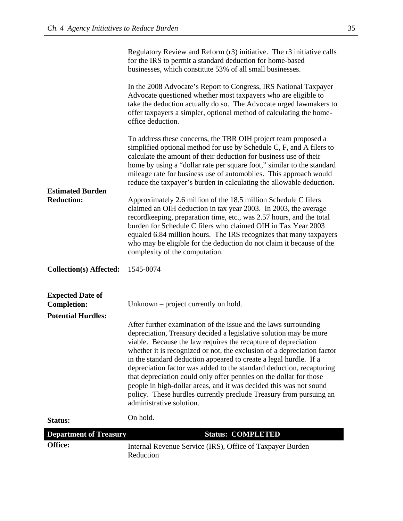|                                               | Regulatory Review and Reform (r3) initiative. The r3 initiative calls<br>for the IRS to permit a standard deduction for home-based<br>businesses, which constitute 53% of all small businesses.                                                                                                                                                                                                                                                                                                                                                                                                                                                                              |
|-----------------------------------------------|------------------------------------------------------------------------------------------------------------------------------------------------------------------------------------------------------------------------------------------------------------------------------------------------------------------------------------------------------------------------------------------------------------------------------------------------------------------------------------------------------------------------------------------------------------------------------------------------------------------------------------------------------------------------------|
|                                               | In the 2008 Advocate's Report to Congress, IRS National Taxpayer<br>Advocate questioned whether most taxpayers who are eligible to<br>take the deduction actually do so. The Advocate urged lawmakers to<br>offer taxpayers a simpler, optional method of calculating the home-<br>office deduction.                                                                                                                                                                                                                                                                                                                                                                         |
| <b>Estimated Burden</b>                       | To address these concerns, the TBR OIH project team proposed a<br>simplified optional method for use by Schedule C, F, and A filers to<br>calculate the amount of their deduction for business use of their<br>home by using a "dollar rate per square foot," similar to the standard<br>mileage rate for business use of automobiles. This approach would<br>reduce the taxpayer's burden in calculating the allowable deduction.                                                                                                                                                                                                                                           |
| <b>Reduction:</b>                             | Approximately 2.6 million of the 18.5 million Schedule C filers<br>claimed an OIH deduction in tax year 2003. In 2003, the average<br>recordkeeping, preparation time, etc., was 2.57 hours, and the total<br>burden for Schedule C filers who claimed OIH in Tax Year 2003<br>equaled 6.84 million hours. The IRS recognizes that many taxpayers<br>who may be eligible for the deduction do not claim it because of the<br>complexity of the computation.                                                                                                                                                                                                                  |
| <b>Collection(s) Affected:</b>                | 1545-0074                                                                                                                                                                                                                                                                                                                                                                                                                                                                                                                                                                                                                                                                    |
| <b>Expected Date of</b><br><b>Completion:</b> | Unknown – project currently on hold.                                                                                                                                                                                                                                                                                                                                                                                                                                                                                                                                                                                                                                         |
| <b>Potential Hurdles:</b>                     | After further examination of the issue and the laws surrounding<br>depreciation, Treasury decided a legislative solution may be more<br>viable. Because the law requires the recapture of depreciation<br>whether it is recognized or not, the exclusion of a depreciation factor<br>in the standard deduction appeared to create a legal hurdle. If a<br>depreciation factor was added to the standard deduction, recapturing<br>that depreciation could only offer pennies on the dollar for those<br>people in high-dollar areas, and it was decided this was not sound<br>policy. These hurdles currently preclude Treasury from pursuing an<br>administrative solution. |
| <b>Status:</b>                                | On hold.                                                                                                                                                                                                                                                                                                                                                                                                                                                                                                                                                                                                                                                                     |
| <b>Department of Treasury</b>                 | <b>Status: COMPLETED</b>                                                                                                                                                                                                                                                                                                                                                                                                                                                                                                                                                                                                                                                     |
| Office:                                       | Internal Revenue Service (IRS), Office of Taxpayer Burden<br>Reduction                                                                                                                                                                                                                                                                                                                                                                                                                                                                                                                                                                                                       |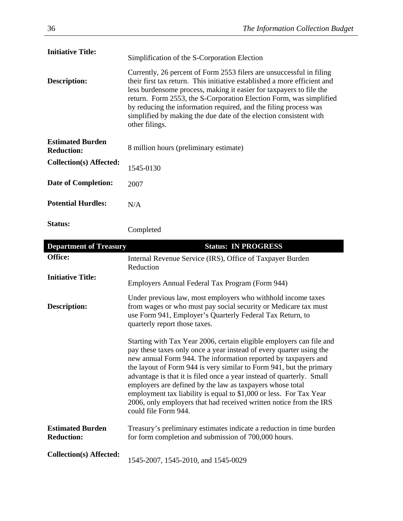| <b>Initiative Title:</b>                     | Simplification of the S-Corporation Election                                                                                                                                                                                                                                                                                                                                                                                                             |
|----------------------------------------------|----------------------------------------------------------------------------------------------------------------------------------------------------------------------------------------------------------------------------------------------------------------------------------------------------------------------------------------------------------------------------------------------------------------------------------------------------------|
| Description:                                 | Currently, 26 percent of Form 2553 filers are unsuccessful in filing<br>their first tax return. This initiative established a more efficient and<br>less burdensome process, making it easier for taxpayers to file the<br>return. Form 2553, the S-Corporation Election Form, was simplified<br>by reducing the information required, and the filing process was<br>simplified by making the due date of the election consistent with<br>other filings. |
| <b>Estimated Burden</b><br><b>Reduction:</b> | 8 million hours (preliminary estimate)                                                                                                                                                                                                                                                                                                                                                                                                                   |
| <b>Collection(s) Affected:</b>               | 1545-0130                                                                                                                                                                                                                                                                                                                                                                                                                                                |
| <b>Date of Completion:</b>                   | 2007                                                                                                                                                                                                                                                                                                                                                                                                                                                     |
| <b>Potential Hurdles:</b>                    | N/A                                                                                                                                                                                                                                                                                                                                                                                                                                                      |
| Status:                                      | Completed                                                                                                                                                                                                                                                                                                                                                                                                                                                |

| <b>Department of Treasury</b>                | <b>Status: IN PROGRESS</b>                                                                                                                                                                                                                                                                                                                                                                                                                                                                                                                                                                     |
|----------------------------------------------|------------------------------------------------------------------------------------------------------------------------------------------------------------------------------------------------------------------------------------------------------------------------------------------------------------------------------------------------------------------------------------------------------------------------------------------------------------------------------------------------------------------------------------------------------------------------------------------------|
| Office:                                      | Internal Revenue Service (IRS), Office of Taxpayer Burden<br>Reduction                                                                                                                                                                                                                                                                                                                                                                                                                                                                                                                         |
| <b>Initiative Title:</b>                     | Employers Annual Federal Tax Program (Form 944)                                                                                                                                                                                                                                                                                                                                                                                                                                                                                                                                                |
| <b>Description:</b>                          | Under previous law, most employers who withhold income taxes<br>from wages or who must pay social security or Medicare tax must<br>use Form 941, Employer's Quarterly Federal Tax Return, to<br>quarterly report those taxes.                                                                                                                                                                                                                                                                                                                                                                  |
|                                              | Starting with Tax Year 2006, certain eligible employers can file and<br>pay these taxes only once a year instead of every quarter using the<br>new annual Form 944. The information reported by taxpayers and<br>the layout of Form 944 is very similar to Form 941, but the primary<br>advantage is that it is filed once a year instead of quarterly. Small<br>employers are defined by the law as taxpayers whose total<br>employment tax liability is equal to \$1,000 or less. For Tax Year<br>2006, only employers that had received written notice from the IRS<br>could file Form 944. |
| <b>Estimated Burden</b><br><b>Reduction:</b> | Treasury's preliminary estimates indicate a reduction in time burden<br>for form completion and submission of 700,000 hours.                                                                                                                                                                                                                                                                                                                                                                                                                                                                   |
| <b>Collection(s) Affected:</b>               | 1545-2007, 1545-2010, and 1545-0029                                                                                                                                                                                                                                                                                                                                                                                                                                                                                                                                                            |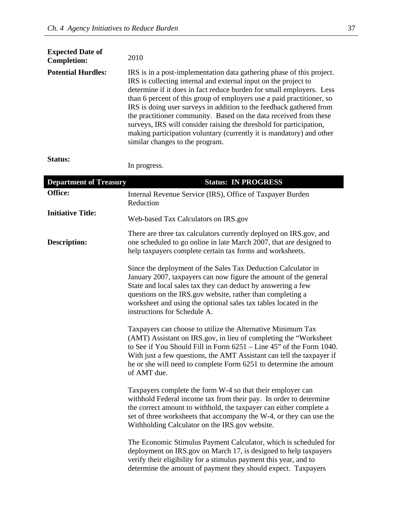| <b>Expected Date of</b><br><b>Completion:</b> | 2010                                                                                                                                                                                                                                                                                                                                                                                                                                                                                                                                                                                                                    |
|-----------------------------------------------|-------------------------------------------------------------------------------------------------------------------------------------------------------------------------------------------------------------------------------------------------------------------------------------------------------------------------------------------------------------------------------------------------------------------------------------------------------------------------------------------------------------------------------------------------------------------------------------------------------------------------|
| <b>Potential Hurdles:</b>                     | IRS is in a post-implementation data gathering phase of this project.<br>IRS is collecting internal and external input on the project to<br>determine if it does in fact reduce burden for small employers. Less<br>than 6 percent of this group of employers use a paid practitioner, so<br>IRS is doing user surveys in addition to the feedback gathered from<br>the practitioner community. Based on the data received from these<br>surveys, IRS will consider raising the threshold for participation,<br>making participation voluntary (currently it is mandatory) and other<br>similar changes to the program. |

### **Status:**

In progress.

| <b>Department of Treasury</b> | <b>Status: IN PROGRESS</b>                                                                                                                                                                                                                                                                                                                                           |
|-------------------------------|----------------------------------------------------------------------------------------------------------------------------------------------------------------------------------------------------------------------------------------------------------------------------------------------------------------------------------------------------------------------|
| Office:                       | Internal Revenue Service (IRS), Office of Taxpayer Burden<br>Reduction                                                                                                                                                                                                                                                                                               |
| <b>Initiative Title:</b>      | Web-based Tax Calculators on IRS.gov                                                                                                                                                                                                                                                                                                                                 |
| <b>Description:</b>           | There are three tax calculators currently deployed on IRS.gov, and<br>one scheduled to go online in late March 2007, that are designed to<br>help taxpayers complete certain tax forms and worksheets.                                                                                                                                                               |
|                               | Since the deployment of the Sales Tax Deduction Calculator in<br>January 2007, taxpayers can now figure the amount of the general<br>State and local sales tax they can deduct by answering a few<br>questions on the IRS gov website, rather than completing a<br>worksheet and using the optional sales tax tables located in the<br>instructions for Schedule A.  |
|                               | Taxpayers can choose to utilize the Alternative Minimum Tax<br>(AMT) Assistant on IRS.gov, in lieu of completing the "Worksheet"<br>to See if You Should Fill in Form 6251 – Line 45" of the Form 1040.<br>With just a few questions, the AMT Assistant can tell the taxpayer if<br>he or she will need to complete Form 6251 to determine the amount<br>of AMT due. |
|                               | Taxpayers complete the form W-4 so that their employer can<br>withhold Federal income tax from their pay. In order to determine<br>the correct amount to withhold, the taxpayer can either complete a<br>set of three worksheets that accompany the W-4, or they can use the<br>Withholding Calculator on the IRS.gov website.                                       |
|                               | The Economic Stimulus Payment Calculator, which is scheduled for<br>deployment on IRS.gov on March 17, is designed to help taxpayers<br>verify their eligibility for a stimulus payment this year, and to<br>determine the amount of payment they should expect. Taxpayers                                                                                           |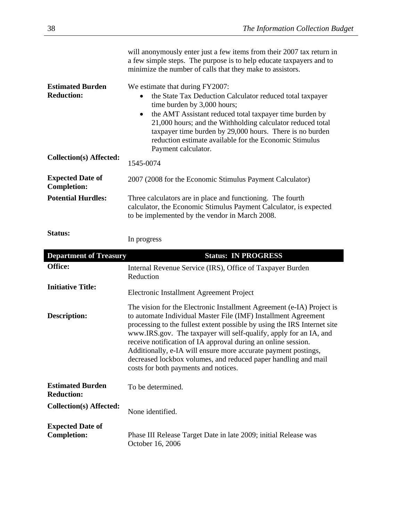|                                               | will anonymously enter just a few items from their 2007 tax return in<br>a few simple steps. The purpose is to help educate taxpayers and to<br>minimize the number of calls that they make to assistors.                                                                                                                                                                                                                                                                                                                             |  |
|-----------------------------------------------|---------------------------------------------------------------------------------------------------------------------------------------------------------------------------------------------------------------------------------------------------------------------------------------------------------------------------------------------------------------------------------------------------------------------------------------------------------------------------------------------------------------------------------------|--|
| <b>Estimated Burden</b><br><b>Reduction:</b>  | We estimate that during FY2007:<br>the State Tax Deduction Calculator reduced total taxpayer<br>time burden by 3,000 hours;<br>the AMT Assistant reduced total taxpayer time burden by<br>$\bullet$<br>21,000 hours; and the Withholding calculator reduced total<br>taxpayer time burden by 29,000 hours. There is no burden<br>reduction estimate available for the Economic Stimulus<br>Payment calculator.                                                                                                                        |  |
| <b>Collection(s) Affected:</b>                | 1545-0074                                                                                                                                                                                                                                                                                                                                                                                                                                                                                                                             |  |
| <b>Expected Date of</b><br><b>Completion:</b> | 2007 (2008 for the Economic Stimulus Payment Calculator)                                                                                                                                                                                                                                                                                                                                                                                                                                                                              |  |
| <b>Potential Hurdles:</b>                     | Three calculators are in place and functioning. The fourth<br>calculator, the Economic Stimulus Payment Calculator, is expected<br>to be implemented by the vendor in March 2008.                                                                                                                                                                                                                                                                                                                                                     |  |
| <b>Status:</b>                                | In progress                                                                                                                                                                                                                                                                                                                                                                                                                                                                                                                           |  |
| <b>Department of Treasury</b>                 | <b>Status: IN PROGRESS</b>                                                                                                                                                                                                                                                                                                                                                                                                                                                                                                            |  |
| Office:                                       | Internal Revenue Service (IRS), Office of Taxpayer Burden<br>Reduction                                                                                                                                                                                                                                                                                                                                                                                                                                                                |  |
| <b>Initiative Title:</b>                      | Electronic Installment Agreement Project                                                                                                                                                                                                                                                                                                                                                                                                                                                                                              |  |
| <b>Description:</b>                           | The vision for the Electronic Installment Agreement (e-IA) Project is<br>to automate Individual Master File (IMF) Installment Agreement<br>processing to the fullest extent possible by using the IRS Internet site<br>www.IRS.gov. The taxpayer will self-qualify, apply for an IA, and<br>receive notification of IA approval during an online session.<br>Additionally, e-IA will ensure more accurate payment postings,<br>decreased lockbox volumes, and reduced paper handling and mail<br>costs for both payments and notices. |  |

| <b>Estimated Burden</b><br><b>Reduction:</b>  | To be determined.                                                                   |  |
|-----------------------------------------------|-------------------------------------------------------------------------------------|--|
| Collection(s) Affected:                       | None identified.                                                                    |  |
| <b>Expected Date of</b><br><b>Completion:</b> | Phase III Release Target Date in late 2009; initial Release was<br>October 16, 2006 |  |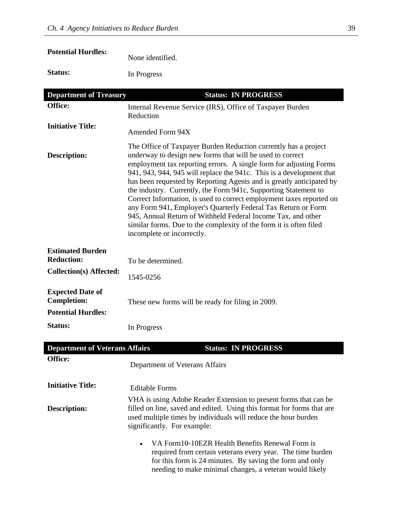## **Potential Hurdles:**

None identified.

**Status:** In Progress

| <b>Department of Treasury</b>                 | <b>Status: IN PROGRESS</b>                                                                                                                                                                                                                                                                                                                                                                                                                                                                                                                                                                                                                                                                                                         |  |
|-----------------------------------------------|------------------------------------------------------------------------------------------------------------------------------------------------------------------------------------------------------------------------------------------------------------------------------------------------------------------------------------------------------------------------------------------------------------------------------------------------------------------------------------------------------------------------------------------------------------------------------------------------------------------------------------------------------------------------------------------------------------------------------------|--|
| Office:                                       | Internal Revenue Service (IRS), Office of Taxpayer Burden<br>Reduction                                                                                                                                                                                                                                                                                                                                                                                                                                                                                                                                                                                                                                                             |  |
| <b>Initiative Title:</b>                      | Amended Form 94X                                                                                                                                                                                                                                                                                                                                                                                                                                                                                                                                                                                                                                                                                                                   |  |
| <b>Description:</b>                           | The Office of Taxpayer Burden Reduction currently has a project<br>underway to design new forms that will be used to correct<br>employment tax reporting errors. A single form for adjusting Forms<br>941, 943, 944, 945 will replace the 941c. This is a development that<br>has been requested by Reporting Agents and is greatly anticipated by<br>the industry. Currently, the Form 941c, Supporting Statement to<br>Correct Information, is used to correct employment taxes reported on<br>any Form 941, Employer's Quarterly Federal Tax Return or Form<br>945, Annual Return of Withheld Federal Income Tax, and other<br>similar forms. Due to the complexity of the form it is often filed<br>incomplete or incorrectly. |  |
| <b>Estimated Burden</b><br><b>Reduction:</b>  | To be determined.                                                                                                                                                                                                                                                                                                                                                                                                                                                                                                                                                                                                                                                                                                                  |  |
| <b>Collection(s) Affected:</b>                | 1545-0256                                                                                                                                                                                                                                                                                                                                                                                                                                                                                                                                                                                                                                                                                                                          |  |
| <b>Expected Date of</b><br><b>Completion:</b> | These new forms will be ready for filing in 2009.                                                                                                                                                                                                                                                                                                                                                                                                                                                                                                                                                                                                                                                                                  |  |
| <b>Potential Hurdles:</b>                     |                                                                                                                                                                                                                                                                                                                                                                                                                                                                                                                                                                                                                                                                                                                                    |  |
| <b>Status:</b>                                | In Progress                                                                                                                                                                                                                                                                                                                                                                                                                                                                                                                                                                                                                                                                                                                        |  |
| <b>Department of Veterans Affairs</b>         | <b>Status: IN PROGRESS</b>                                                                                                                                                                                                                                                                                                                                                                                                                                                                                                                                                                                                                                                                                                         |  |
| Office:                                       | Department of Veterans Affairs                                                                                                                                                                                                                                                                                                                                                                                                                                                                                                                                                                                                                                                                                                     |  |
| <b>Initiative Title:</b>                      | <b>Editable Forms</b>                                                                                                                                                                                                                                                                                                                                                                                                                                                                                                                                                                                                                                                                                                              |  |
| <b>Description:</b>                           | VHA is using Adobe Reader Extension to present forms that can be<br>filled on line, saved and edited. Using this format for forms that are<br>used multiple times by individuals will reduce the hour burden<br>significantly. For example:                                                                                                                                                                                                                                                                                                                                                                                                                                                                                        |  |
|                                               | VA Form 10-10EZR Health Benefits Renewal Form is<br>$\bullet$<br>required from certain veterans every year. The time burden<br>for this form is 24 minutes. By saving the form and only<br>needing to make minimal changes, a veteran would likely                                                                                                                                                                                                                                                                                                                                                                                                                                                                                 |  |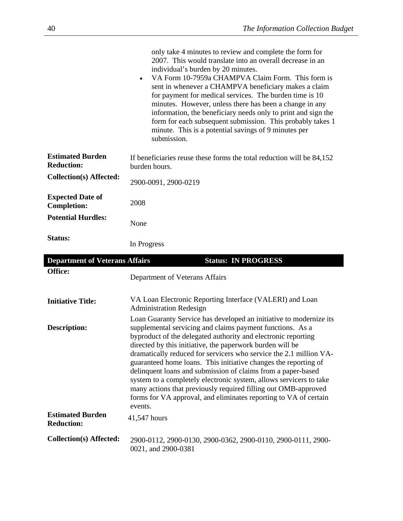|                                               | only take 4 minutes to review and complete the form for<br>2007. This would translate into an overall decrease in an<br>individual's burden by 20 minutes.<br>VA Form 10-7959a CHAMPVA Claim Form. This form is<br>$\bullet$<br>sent in whenever a CHAMPVA beneficiary makes a claim<br>for payment for medical services. The burden time is 10<br>minutes. However, unless there has been a change in any<br>information, the beneficiary needs only to print and sign the<br>form for each subsequent submission. This probably takes 1<br>minute. This is a potential savings of 9 minutes per<br>submission.                                                                              |
|-----------------------------------------------|-----------------------------------------------------------------------------------------------------------------------------------------------------------------------------------------------------------------------------------------------------------------------------------------------------------------------------------------------------------------------------------------------------------------------------------------------------------------------------------------------------------------------------------------------------------------------------------------------------------------------------------------------------------------------------------------------|
| <b>Estimated Burden</b><br><b>Reduction:</b>  | If beneficiaries reuse these forms the total reduction will be 84,152<br>burden hours.                                                                                                                                                                                                                                                                                                                                                                                                                                                                                                                                                                                                        |
| <b>Collection(s) Affected:</b>                | 2900-0091, 2900-0219                                                                                                                                                                                                                                                                                                                                                                                                                                                                                                                                                                                                                                                                          |
| <b>Expected Date of</b><br><b>Completion:</b> | 2008                                                                                                                                                                                                                                                                                                                                                                                                                                                                                                                                                                                                                                                                                          |
| <b>Potential Hurdles:</b>                     | None                                                                                                                                                                                                                                                                                                                                                                                                                                                                                                                                                                                                                                                                                          |
| Status:                                       | In Progress                                                                                                                                                                                                                                                                                                                                                                                                                                                                                                                                                                                                                                                                                   |
|                                               |                                                                                                                                                                                                                                                                                                                                                                                                                                                                                                                                                                                                                                                                                               |
| <b>Department of Veterans Affairs</b>         | <b>Status: IN PROGRESS</b>                                                                                                                                                                                                                                                                                                                                                                                                                                                                                                                                                                                                                                                                    |
| Office:                                       | Department of Veterans Affairs                                                                                                                                                                                                                                                                                                                                                                                                                                                                                                                                                                                                                                                                |
| <b>Initiative Title:</b>                      | VA Loan Electronic Reporting Interface (VALERI) and Loan<br><b>Administration Redesign</b>                                                                                                                                                                                                                                                                                                                                                                                                                                                                                                                                                                                                    |
| <b>Description:</b>                           | Loan Guaranty Service has developed an initiative to modernize its<br>supplemental servicing and claims payment functions. As a<br>byproduct of the delegated authority and electronic reporting<br>directed by this initiative, the paperwork burden will be<br>dramatically reduced for servicers who service the 2.1 million VA-<br>guaranteed home loans. This initiative changes the reporting of<br>delinquent loans and submission of claims from a paper-based<br>system to a completely electronic system, allows servicers to take<br>many actions that previously required filling out OMB-approved<br>forms for VA approval, and eliminates reporting to VA of certain<br>events. |
| <b>Estimated Burden</b><br><b>Reduction:</b>  | 41,547 hours                                                                                                                                                                                                                                                                                                                                                                                                                                                                                                                                                                                                                                                                                  |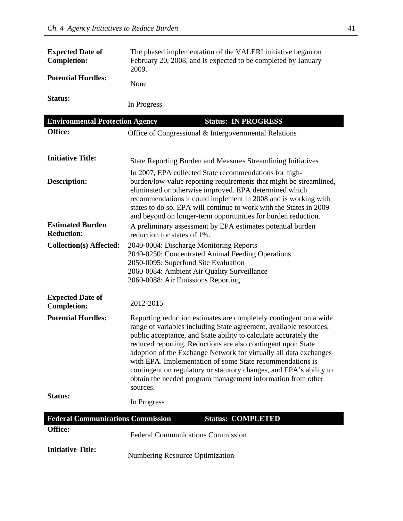| <b>Expected Date of</b><br><b>Completion:</b> | The phased implementation of the VALERI initiative began on<br>February 20, 2008, and is expected to be completed by January<br>2009. |  |
|-----------------------------------------------|---------------------------------------------------------------------------------------------------------------------------------------|--|
| <b>Potential Hurdles:</b>                     | None                                                                                                                                  |  |
| Status:                                       | In Progress                                                                                                                           |  |
| <b>Environmental Protection Agency</b>        | <b>Status: IN PROGRESS</b>                                                                                                            |  |
| Office:                                       | Office of Congressional & Intergovernmental Relations                                                                                 |  |
| <b>Initiative Title:</b>                      | State Reporting Burden and Measures Streamlining Initiatives                                                                          |  |

|                                               | State Reporting Burden and Measures Streamming Initiatives                                                                                                                                                                                                                                                                                                                                      |
|-----------------------------------------------|-------------------------------------------------------------------------------------------------------------------------------------------------------------------------------------------------------------------------------------------------------------------------------------------------------------------------------------------------------------------------------------------------|
| <b>Description:</b>                           | In 2007, EPA collected State recommendations for high-<br>burden/low-value reporting requirements that might be streamlined,<br>eliminated or otherwise improved. EPA determined which<br>recommendations it could implement in 2008 and is working with<br>states to do so. EPA will continue to work with the States in 2009<br>and beyond on longer-term opportunities for burden reduction. |
| <b>Estimated Burden</b><br><b>Reduction:</b>  | A preliminary assessment by EPA estimates potential burden<br>reduction for states of 1%.                                                                                                                                                                                                                                                                                                       |
| <b>Collection(s) Affected:</b>                | 2040-0004: Discharge Monitoring Reports<br>2040-0250: Concentrated Animal Feeding Operations<br>2050-0095: Superfund Site Evaluation<br>2060-0084: Ambient Air Quality Surveillance<br>2060-0088: Air Emissions Reporting                                                                                                                                                                       |
| <b>Expected Date of</b><br><b>Completion:</b> | 2012-2015                                                                                                                                                                                                                                                                                                                                                                                       |

| <b>Potential Hurdles:</b> | Reporting reduction estimates are completely contingent on a wide<br>range of variables including State agreement, available resources,<br>public acceptance, and State ability to calculate accurately the<br>reduced reporting. Reductions are also contingent upon State<br>adoption of the Exchange Network for virtually all data exchanges<br>with EPA. Implementation of some State recommendations is<br>contingent on regulatory or statutory changes, and EPA's ability to<br>obtain the needed program management information from other<br>sources. |
|---------------------------|-----------------------------------------------------------------------------------------------------------------------------------------------------------------------------------------------------------------------------------------------------------------------------------------------------------------------------------------------------------------------------------------------------------------------------------------------------------------------------------------------------------------------------------------------------------------|
| Status:                   | In Progress                                                                                                                                                                                                                                                                                                                                                                                                                                                                                                                                                     |

| <b>Federal Communications Commission</b> |                                          | <b>Status: COMPLETED</b> |
|------------------------------------------|------------------------------------------|--------------------------|
| <b>Office:</b>                           | <b>Federal Communications Commission</b> |                          |
| <b>Initiative Title:</b>                 | Numbering Resource Optimization          |                          |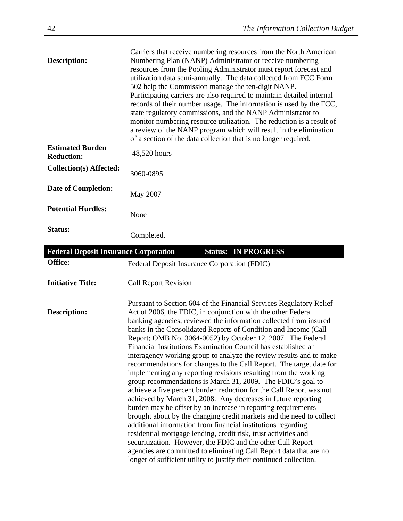| <b>Description:</b>                          | Carriers that receive numbering resources from the North American<br>Numbering Plan (NANP) Administrator or receive numbering<br>resources from the Pooling Administrator must report forecast and<br>utilization data semi-annually. The data collected from FCC Form<br>502 help the Commission manage the ten-digit NANP.<br>Participating carriers are also required to maintain detailed internal<br>records of their number usage. The information is used by the FCC,<br>state regulatory commissions, and the NANP Administrator to<br>monitor numbering resource utilization. The reduction is a result of<br>a review of the NANP program which will result in the elimination<br>of a section of the data collection that is no longer required.                                                                                                                                                                                                                                                                                                                                                                                                                                                                                                                                                                 |
|----------------------------------------------|-----------------------------------------------------------------------------------------------------------------------------------------------------------------------------------------------------------------------------------------------------------------------------------------------------------------------------------------------------------------------------------------------------------------------------------------------------------------------------------------------------------------------------------------------------------------------------------------------------------------------------------------------------------------------------------------------------------------------------------------------------------------------------------------------------------------------------------------------------------------------------------------------------------------------------------------------------------------------------------------------------------------------------------------------------------------------------------------------------------------------------------------------------------------------------------------------------------------------------------------------------------------------------------------------------------------------------|
| <b>Estimated Burden</b><br><b>Reduction:</b> | 48,520 hours                                                                                                                                                                                                                                                                                                                                                                                                                                                                                                                                                                                                                                                                                                                                                                                                                                                                                                                                                                                                                                                                                                                                                                                                                                                                                                                |
| <b>Collection(s) Affected:</b>               | 3060-0895                                                                                                                                                                                                                                                                                                                                                                                                                                                                                                                                                                                                                                                                                                                                                                                                                                                                                                                                                                                                                                                                                                                                                                                                                                                                                                                   |
| <b>Date of Completion:</b>                   | May 2007                                                                                                                                                                                                                                                                                                                                                                                                                                                                                                                                                                                                                                                                                                                                                                                                                                                                                                                                                                                                                                                                                                                                                                                                                                                                                                                    |
| <b>Potential Hurdles:</b>                    | None                                                                                                                                                                                                                                                                                                                                                                                                                                                                                                                                                                                                                                                                                                                                                                                                                                                                                                                                                                                                                                                                                                                                                                                                                                                                                                                        |
| Status:                                      | Completed.                                                                                                                                                                                                                                                                                                                                                                                                                                                                                                                                                                                                                                                                                                                                                                                                                                                                                                                                                                                                                                                                                                                                                                                                                                                                                                                  |
| <b>Federal Deposit Insurance Corporation</b> | <b>Status:</b><br><b>IN PROGRESS</b>                                                                                                                                                                                                                                                                                                                                                                                                                                                                                                                                                                                                                                                                                                                                                                                                                                                                                                                                                                                                                                                                                                                                                                                                                                                                                        |
| Office:                                      | Federal Deposit Insurance Corporation (FDIC)                                                                                                                                                                                                                                                                                                                                                                                                                                                                                                                                                                                                                                                                                                                                                                                                                                                                                                                                                                                                                                                                                                                                                                                                                                                                                |
| <b>Initiative Title:</b>                     | <b>Call Report Revision</b>                                                                                                                                                                                                                                                                                                                                                                                                                                                                                                                                                                                                                                                                                                                                                                                                                                                                                                                                                                                                                                                                                                                                                                                                                                                                                                 |
| <b>Description:</b>                          | Pursuant to Section 604 of the Financial Services Regulatory Relief<br>Act of 2006, the FDIC, in conjunction with the other Federal<br>banking agencies, reviewed the information collected from insured<br>banks in the Consolidated Reports of Condition and Income (Call<br>Report; OMB No. 3064-0052) by October 12, 2007. The Federal<br>Financial Institutions Examination Council has established an<br>interagency working group to analyze the review results and to make<br>recommendations for changes to the Call Report. The target date for<br>implementing any reporting revisions resulting from the working<br>group recommendations is March 31, 2009. The FDIC's goal to<br>achieve a five percent burden reduction for the Call Report was not<br>achieved by March 31, 2008. Any decreases in future reporting<br>burden may be offset by an increase in reporting requirements<br>brought about by the changing credit markets and the need to collect<br>additional information from financial institutions regarding<br>residential mortgage lending, credit risk, trust activities and<br>securitization. However, the FDIC and the other Call Report<br>agencies are committed to eliminating Call Report data that are no<br>longer of sufficient utility to justify their continued collection. |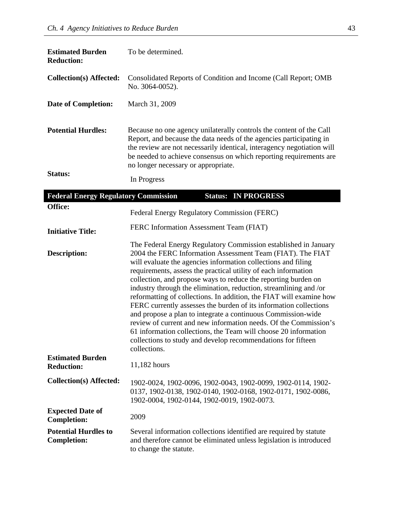| <b>Estimated Burden</b><br><b>Reduction:</b> | To be determined.                                                                                                                                                                                                                                                                                                                 |
|----------------------------------------------|-----------------------------------------------------------------------------------------------------------------------------------------------------------------------------------------------------------------------------------------------------------------------------------------------------------------------------------|
| Collection(s) Affected:                      | Consolidated Reports of Condition and Income (Call Report; OMB<br>No. 3064-0052).                                                                                                                                                                                                                                                 |
| <b>Date of Completion:</b>                   | March 31, 2009                                                                                                                                                                                                                                                                                                                    |
| <b>Potential Hurdles:</b>                    | Because no one agency unilaterally controls the content of the Call<br>Report, and because the data needs of the agencies participating in<br>the review are not necessarily identical, interagency negotiation will<br>be needed to achieve consensus on which reporting requirements are<br>no longer necessary or appropriate. |
| <b>Status:</b>                               | In Progress                                                                                                                                                                                                                                                                                                                       |

| <b>Federal Energy Regulatory Commission</b>       | <b>Status: IN PROGRESS</b>                                                                                                                                                                                                                                                                                                                                                                                                                                                                                                                                                                                                                                                                                                                                                                                                                 |
|---------------------------------------------------|--------------------------------------------------------------------------------------------------------------------------------------------------------------------------------------------------------------------------------------------------------------------------------------------------------------------------------------------------------------------------------------------------------------------------------------------------------------------------------------------------------------------------------------------------------------------------------------------------------------------------------------------------------------------------------------------------------------------------------------------------------------------------------------------------------------------------------------------|
| Office:                                           | Federal Energy Regulatory Commission (FERC)                                                                                                                                                                                                                                                                                                                                                                                                                                                                                                                                                                                                                                                                                                                                                                                                |
| <b>Initiative Title:</b>                          | FERC Information Assessment Team (FIAT)                                                                                                                                                                                                                                                                                                                                                                                                                                                                                                                                                                                                                                                                                                                                                                                                    |
| Description:                                      | The Federal Energy Regulatory Commission established in January<br>2004 the FERC Information Assessment Team (FIAT). The FIAT<br>will evaluate the agencies information collections and filing<br>requirements, assess the practical utility of each information<br>collection, and propose ways to reduce the reporting burden on<br>industry through the elimination, reduction, streamlining and /or<br>reformatting of collections. In addition, the FIAT will examine how<br>FERC currently assesses the burden of its information collections<br>and propose a plan to integrate a continuous Commission-wide<br>review of current and new information needs. Of the Commission's<br>61 information collections, the Team will choose 20 information<br>collections to study and develop recommendations for fifteen<br>collections. |
| <b>Estimated Burden</b><br><b>Reduction:</b>      | 11,182 hours                                                                                                                                                                                                                                                                                                                                                                                                                                                                                                                                                                                                                                                                                                                                                                                                                               |
| <b>Collection(s) Affected:</b>                    | 1902-0024, 1902-0096, 1902-0043, 1902-0099, 1902-0114, 1902-<br>0137, 1902-0138, 1902-0140, 1902-0168, 1902-0171, 1902-0086,<br>1902-0004, 1902-0144, 1902-0019, 1902-0073.                                                                                                                                                                                                                                                                                                                                                                                                                                                                                                                                                                                                                                                                |
| <b>Expected Date of</b><br><b>Completion:</b>     | 2009                                                                                                                                                                                                                                                                                                                                                                                                                                                                                                                                                                                                                                                                                                                                                                                                                                       |
| <b>Potential Hurdles to</b><br><b>Completion:</b> | Several information collections identified are required by statute<br>and therefore cannot be eliminated unless legislation is introduced<br>to change the statute.                                                                                                                                                                                                                                                                                                                                                                                                                                                                                                                                                                                                                                                                        |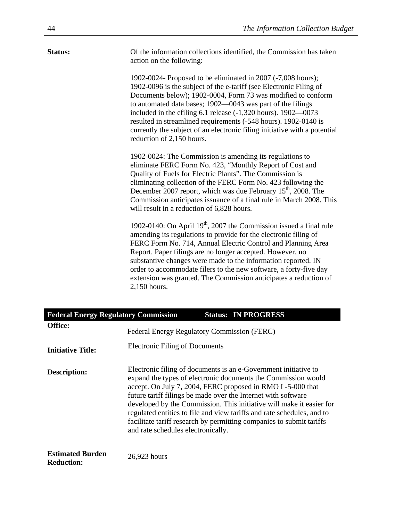| Of the information collections identified, the Commission has taken<br>Status:<br>action on the following:<br>1902-0024- Proposed to be eliminated in 2007 (-7,008 hours);<br>1902-0096 is the subject of the e-tariff (see Electronic Filing of<br>Documents below); 1902-0004, Form 73 was modified to conform<br>to automated data bases; 1902-0043 was part of the filings<br>included in the efiling $6.1$ release $(-1,320$ hours). $1902 - 0073$<br>resulted in streamlined requirements (-548 hours). 1902-0140 is<br>currently the subject of an electronic filing initiative with a potential<br>reduction of 2,150 hours.<br>1902-0024: The Commission is amending its regulations to<br>eliminate FERC Form No. 423, "Monthly Report of Cost and<br>Quality of Fuels for Electric Plants". The Commission is<br>eliminating collection of the FERC Form No. 423 following the<br>December 2007 report, which was due February $15th$ , 2008. The<br>Commission anticipates issuance of a final rule in March 2008. This<br>will result in a reduction of 6,828 hours.<br>1902-0140: On April 19 <sup>th</sup> , 2007 the Commission issued a final rule<br>amending its regulations to provide for the electronic filing of<br>FERC Form No. 714, Annual Electric Control and Planning Area<br>Report. Paper filings are no longer accepted. However, no<br>substantive changes were made to the information reported. IN<br>order to accommodate filers to the new software, a forty-five day |                                                                  |
|------------------------------------------------------------------------------------------------------------------------------------------------------------------------------------------------------------------------------------------------------------------------------------------------------------------------------------------------------------------------------------------------------------------------------------------------------------------------------------------------------------------------------------------------------------------------------------------------------------------------------------------------------------------------------------------------------------------------------------------------------------------------------------------------------------------------------------------------------------------------------------------------------------------------------------------------------------------------------------------------------------------------------------------------------------------------------------------------------------------------------------------------------------------------------------------------------------------------------------------------------------------------------------------------------------------------------------------------------------------------------------------------------------------------------------------------------------------------------------------------------------|------------------------------------------------------------------|
|                                                                                                                                                                                                                                                                                                                                                                                                                                                                                                                                                                                                                                                                                                                                                                                                                                                                                                                                                                                                                                                                                                                                                                                                                                                                                                                                                                                                                                                                                                            |                                                                  |
|                                                                                                                                                                                                                                                                                                                                                                                                                                                                                                                                                                                                                                                                                                                                                                                                                                                                                                                                                                                                                                                                                                                                                                                                                                                                                                                                                                                                                                                                                                            |                                                                  |
|                                                                                                                                                                                                                                                                                                                                                                                                                                                                                                                                                                                                                                                                                                                                                                                                                                                                                                                                                                                                                                                                                                                                                                                                                                                                                                                                                                                                                                                                                                            |                                                                  |
| 2,150 hours.                                                                                                                                                                                                                                                                                                                                                                                                                                                                                                                                                                                                                                                                                                                                                                                                                                                                                                                                                                                                                                                                                                                                                                                                                                                                                                                                                                                                                                                                                               | extension was granted. The Commission anticipates a reduction of |
| <b>Federal Energy Regulatory Commission</b><br><b>Status: IN PROGRESS</b>                                                                                                                                                                                                                                                                                                                                                                                                                                                                                                                                                                                                                                                                                                                                                                                                                                                                                                                                                                                                                                                                                                                                                                                                                                                                                                                                                                                                                                  |                                                                  |

| Feueral Ellergy Regulatory Commission        | Status. IN I NOGNESS                                                                                                                                                                                                                                                                                                                                                                                                                                                                                                            |
|----------------------------------------------|---------------------------------------------------------------------------------------------------------------------------------------------------------------------------------------------------------------------------------------------------------------------------------------------------------------------------------------------------------------------------------------------------------------------------------------------------------------------------------------------------------------------------------|
| <b>Office:</b>                               | Federal Energy Regulatory Commission (FERC)                                                                                                                                                                                                                                                                                                                                                                                                                                                                                     |
| <b>Initiative Title:</b>                     | Electronic Filing of Documents                                                                                                                                                                                                                                                                                                                                                                                                                                                                                                  |
| Description:                                 | Electronic filing of documents is an e-Government initiative to<br>expand the types of electronic documents the Commission would<br>accept. On July 7, 2004, FERC proposed in RMO I-5-000 that<br>future tariff filings be made over the Internet with software<br>developed by the Commission. This initiative will make it easier for<br>regulated entities to file and view tariffs and rate schedules, and to<br>facilitate tariff research by permitting companies to submit tariffs<br>and rate schedules electronically. |
| <b>Estimated Burden</b><br><b>Reduction:</b> | 26,923 hours                                                                                                                                                                                                                                                                                                                                                                                                                                                                                                                    |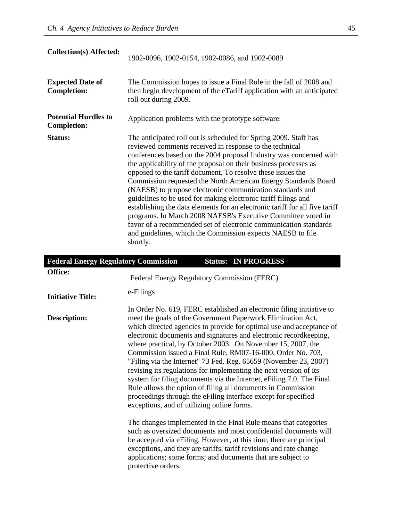| <b>Collection(s) Affected:</b>                    | 1902-0096, 1902-0154, 1902-0086, and 1902-0089                                                                                                                                                                                                                                                                                                                                                                                                                                                                                                                                                                                                                                                                                                                                                                                     |
|---------------------------------------------------|------------------------------------------------------------------------------------------------------------------------------------------------------------------------------------------------------------------------------------------------------------------------------------------------------------------------------------------------------------------------------------------------------------------------------------------------------------------------------------------------------------------------------------------------------------------------------------------------------------------------------------------------------------------------------------------------------------------------------------------------------------------------------------------------------------------------------------|
| <b>Expected Date of</b><br><b>Completion:</b>     | The Commission hopes to issue a Final Rule in the fall of 2008 and<br>then begin development of the eTariff application with an anticipated<br>roll out during 2009.                                                                                                                                                                                                                                                                                                                                                                                                                                                                                                                                                                                                                                                               |
| <b>Potential Hurdles to</b><br><b>Completion:</b> | Application problems with the prototype software.                                                                                                                                                                                                                                                                                                                                                                                                                                                                                                                                                                                                                                                                                                                                                                                  |
| <b>Status:</b>                                    | The anticipated roll out is scheduled for Spring 2009. Staff has<br>reviewed comments received in response to the technical<br>conferences based on the 2004 proposal Industry was concerned with<br>the applicability of the proposal on their business processes as<br>opposed to the tariff document. To resolve these issues the<br>Commission requested the North American Energy Standards Board<br>(NAESB) to propose electronic communication standards and<br>guidelines to be used for making electronic tariff filings and<br>establishing the data elements for an electronic tariff for all five tariff<br>programs. In March 2008 NAESB's Executive Committee voted in<br>favor of a recommended set of electronic communication standards<br>and guidelines, which the Commission expects NAESB to file<br>shortly. |

| <b>Federal Energy Regulatory Commission</b> | <b>Status: IN PROGRESS</b>                                                                                                                                                                                                                                                                                                                                                                                                                                                                                                                                                                                                                                                                                                                                                                                       |  |
|---------------------------------------------|------------------------------------------------------------------------------------------------------------------------------------------------------------------------------------------------------------------------------------------------------------------------------------------------------------------------------------------------------------------------------------------------------------------------------------------------------------------------------------------------------------------------------------------------------------------------------------------------------------------------------------------------------------------------------------------------------------------------------------------------------------------------------------------------------------------|--|
| Office:                                     | Federal Energy Regulatory Commission (FERC)                                                                                                                                                                                                                                                                                                                                                                                                                                                                                                                                                                                                                                                                                                                                                                      |  |
| <b>Initiative Title:</b>                    | e-Filings                                                                                                                                                                                                                                                                                                                                                                                                                                                                                                                                                                                                                                                                                                                                                                                                        |  |
| Description:                                | In Order No. 619, FERC established an electronic filing initiative to<br>meet the goals of the Government Paperwork Elimination Act,<br>which directed agencies to provide for optimal use and acceptance of<br>electronic documents and signatures and electronic recordkeeping,<br>where practical, by October 2003. On November 15, 2007, the<br>Commission issued a Final Rule, RM07-16-000, Order No. 703,<br>"Filing via the Internet" 73 Fed. Reg. 65659 (November 23, 2007)<br>revising its regulations for implementing the next version of its<br>system for filing documents via the Internet, eFiling 7.0. The Final<br>Rule allows the option of filing all documents in Commission<br>proceedings through the eFiling interface except for specified<br>exceptions, and of utilizing online forms. |  |
|                                             | The changes implemented in the Final Rule means that categories<br>such as oversized documents and most confidential documents will<br>be accepted via eFiling. However, at this time, there are principal<br>exceptions, and they are tariffs, tariff revisions and rate change<br>applications; some forms; and documents that are subject to<br>protective orders.                                                                                                                                                                                                                                                                                                                                                                                                                                            |  |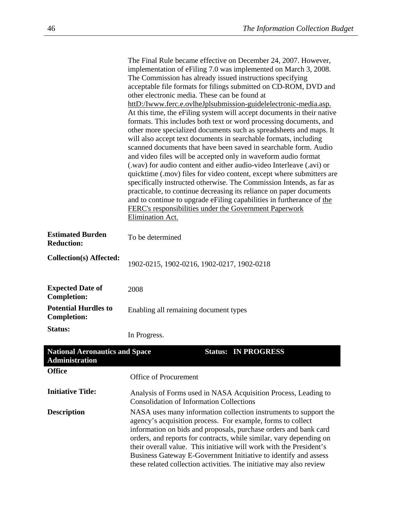|                                                                | The Final Rule became effective on December 24, 2007. However,<br>implementation of eFiling 7.0 was implemented on March 3, 2008.<br>The Commission has already issued instructions specifying<br>acceptable file formats for filings submitted on CD-ROM, DVD and<br>other electronic media. These can be found at<br>httD:/Iwww.ferc.e.ovlheJplsubmission-guidelelectronic-media.asp.<br>At this time, the eFiling system will accept documents in their native<br>formats. This includes both text or word processing documents, and<br>other more specialized documents such as spreadsheets and maps. It<br>will also accept text documents in searchable formats, including<br>scanned documents that have been saved in searchable form. Audio<br>and video files will be accepted only in waveform audio format<br>(.wav) for audio content and either audio-video Interleave (.avi) or<br>quicktime (.mov) files for video content, except where submitters are<br>specifically instructed otherwise. The Commission Intends, as far as<br>practicable, to continue decreasing its reliance on paper documents<br>and to continue to upgrade eFiling capabilities in furtherance of the<br><b>FERC's responsibilities under the Government Paperwork</b><br>Elimination Act. |
|----------------------------------------------------------------|---------------------------------------------------------------------------------------------------------------------------------------------------------------------------------------------------------------------------------------------------------------------------------------------------------------------------------------------------------------------------------------------------------------------------------------------------------------------------------------------------------------------------------------------------------------------------------------------------------------------------------------------------------------------------------------------------------------------------------------------------------------------------------------------------------------------------------------------------------------------------------------------------------------------------------------------------------------------------------------------------------------------------------------------------------------------------------------------------------------------------------------------------------------------------------------------------------------------------------------------------------------------------------------|
| <b>Estimated Burden</b><br><b>Reduction:</b>                   | To be determined                                                                                                                                                                                                                                                                                                                                                                                                                                                                                                                                                                                                                                                                                                                                                                                                                                                                                                                                                                                                                                                                                                                                                                                                                                                                      |
| <b>Collection(s) Affected:</b>                                 | 1902-0215, 1902-0216, 1902-0217, 1902-0218                                                                                                                                                                                                                                                                                                                                                                                                                                                                                                                                                                                                                                                                                                                                                                                                                                                                                                                                                                                                                                                                                                                                                                                                                                            |
| <b>Expected Date of</b><br><b>Completion:</b>                  | 2008                                                                                                                                                                                                                                                                                                                                                                                                                                                                                                                                                                                                                                                                                                                                                                                                                                                                                                                                                                                                                                                                                                                                                                                                                                                                                  |
| <b>Potential Hurdles to</b><br><b>Completion:</b>              | Enabling all remaining document types                                                                                                                                                                                                                                                                                                                                                                                                                                                                                                                                                                                                                                                                                                                                                                                                                                                                                                                                                                                                                                                                                                                                                                                                                                                 |
| Status:                                                        | In Progress.                                                                                                                                                                                                                                                                                                                                                                                                                                                                                                                                                                                                                                                                                                                                                                                                                                                                                                                                                                                                                                                                                                                                                                                                                                                                          |
| <b>National Aeronautics and Space</b><br><b>Administration</b> | <b>Status: IN PROGRESS</b>                                                                                                                                                                                                                                                                                                                                                                                                                                                                                                                                                                                                                                                                                                                                                                                                                                                                                                                                                                                                                                                                                                                                                                                                                                                            |
| <b>Office</b>                                                  | <b>Office of Procurement</b>                                                                                                                                                                                                                                                                                                                                                                                                                                                                                                                                                                                                                                                                                                                                                                                                                                                                                                                                                                                                                                                                                                                                                                                                                                                          |
| <b>Initiative Title:</b>                                       | Analysis of Forms used in NASA Acquisition Process, Leading to<br><b>Consolidation of Information Collections</b>                                                                                                                                                                                                                                                                                                                                                                                                                                                                                                                                                                                                                                                                                                                                                                                                                                                                                                                                                                                                                                                                                                                                                                     |
| <b>Description</b>                                             | NASA uses many information collection instruments to support the<br>agency's acquisition process. For example, forms to collect<br>information on bids and proposals, purchase orders and bank card<br>orders, and reports for contracts, while similar, vary depending on<br>their overall value. This initiative will work with the President's<br>Business Gateway E-Government Initiative to identify and assess<br>these related collection activities. The initiative may also review                                                                                                                                                                                                                                                                                                                                                                                                                                                                                                                                                                                                                                                                                                                                                                                           |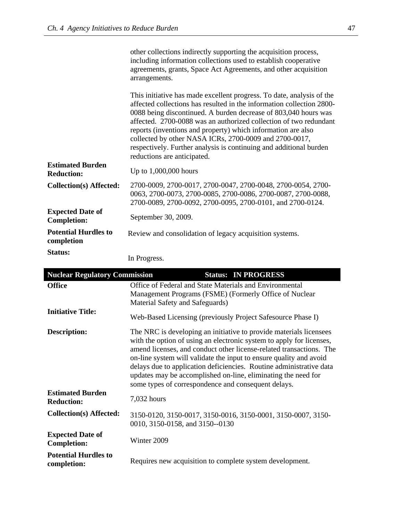|                                               | other collections indirectly supporting the acquisition process,<br>including information collections used to establish cooperative<br>agreements, grants, Space Act Agreements, and other acquisition<br>arrangements.                                                                                                                                                                                                                                                                                               |
|-----------------------------------------------|-----------------------------------------------------------------------------------------------------------------------------------------------------------------------------------------------------------------------------------------------------------------------------------------------------------------------------------------------------------------------------------------------------------------------------------------------------------------------------------------------------------------------|
|                                               | This initiative has made excellent progress. To date, analysis of the<br>affected collections has resulted in the information collection 2800-<br>0088 being discontinued. A burden decrease of 803,040 hours was<br>affected. 2700-0088 was an authorized collection of two redundant<br>reports (inventions and property) which information are also<br>collected by other NASA ICRs, 2700-0009 and 2700-0017,<br>respectively. Further analysis is continuing and additional burden<br>reductions are anticipated. |
| <b>Estimated Burden</b><br><b>Reduction:</b>  | Up to $1,000,000$ hours                                                                                                                                                                                                                                                                                                                                                                                                                                                                                               |
| <b>Collection(s) Affected:</b>                | 2700-0009, 2700-0017, 2700-0047, 2700-0048, 2700-0054, 2700-<br>0063, 2700-0073, 2700-0085, 2700-0086, 2700-0087, 2700-0088,<br>2700-0089, 2700-0092, 2700-0095, 2700-0101, and 2700-0124.                                                                                                                                                                                                                                                                                                                            |
| <b>Expected Date of</b><br><b>Completion:</b> | September 30, 2009.                                                                                                                                                                                                                                                                                                                                                                                                                                                                                                   |
| <b>Potential Hurdles to</b><br>completion     | Review and consolidation of legacy acquisition systems.                                                                                                                                                                                                                                                                                                                                                                                                                                                               |
| Status:                                       | In Progress.                                                                                                                                                                                                                                                                                                                                                                                                                                                                                                          |

| <b>Nuclear Regulatory Commission</b>          | <b>Status: IN PROGRESS</b>                                                                                                                                                                                                                                                                                                                                                                                                                                                             |
|-----------------------------------------------|----------------------------------------------------------------------------------------------------------------------------------------------------------------------------------------------------------------------------------------------------------------------------------------------------------------------------------------------------------------------------------------------------------------------------------------------------------------------------------------|
| <b>Office</b>                                 | Office of Federal and State Materials and Environmental<br>Management Programs (FSME) (Formerly Office of Nuclear<br>Material Safety and Safeguards)                                                                                                                                                                                                                                                                                                                                   |
| <b>Initiative Title:</b>                      | Web-Based Licensing (previously Project Safesource Phase I)                                                                                                                                                                                                                                                                                                                                                                                                                            |
| <b>Description:</b>                           | The NRC is developing an initiative to provide materials licensees<br>with the option of using an electronic system to apply for licenses,<br>amend licenses, and conduct other license-related transactions. The<br>on-line system will validate the input to ensure quality and avoid<br>delays due to application deficiencies. Routine administrative data<br>updates may be accomplished on-line, eliminating the need for<br>some types of correspondence and consequent delays. |
| <b>Estimated Burden</b><br><b>Reduction:</b>  | 7,032 hours                                                                                                                                                                                                                                                                                                                                                                                                                                                                            |
| Collection(s) Affected:                       | 3150-0120, 3150-0017, 3150-0016, 3150-0001, 3150-0007, 3150-<br>0010, 3150-0158, and 3150--0130                                                                                                                                                                                                                                                                                                                                                                                        |
| <b>Expected Date of</b><br><b>Completion:</b> | Winter 2009                                                                                                                                                                                                                                                                                                                                                                                                                                                                            |
| <b>Potential Hurdles to</b><br>completion:    | Requires new acquisition to complete system development.                                                                                                                                                                                                                                                                                                                                                                                                                               |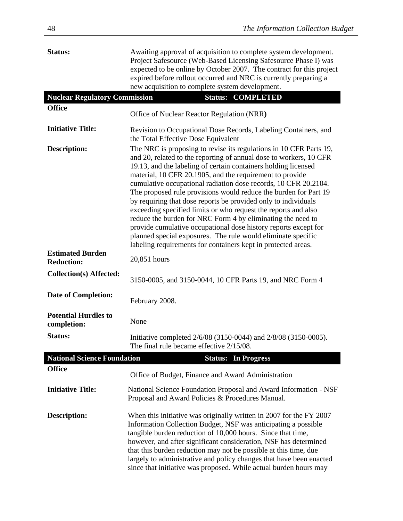| Status:                                      | Awaiting approval of acquisition to complete system development.<br>Project Safesource (Web-Based Licensing Safesource Phase I) was<br>expected to be online by October 2007. The contract for this project<br>expired before rollout occurred and NRC is currently preparing a<br>new acquisition to complete system development.                                                                                                                                                                                                                                                                                                                                                                                                                                                                                   |
|----------------------------------------------|----------------------------------------------------------------------------------------------------------------------------------------------------------------------------------------------------------------------------------------------------------------------------------------------------------------------------------------------------------------------------------------------------------------------------------------------------------------------------------------------------------------------------------------------------------------------------------------------------------------------------------------------------------------------------------------------------------------------------------------------------------------------------------------------------------------------|
| <b>Nuclear Regulatory Commission</b>         | <b>Status: COMPLETED</b>                                                                                                                                                                                                                                                                                                                                                                                                                                                                                                                                                                                                                                                                                                                                                                                             |
| <b>Office</b>                                | Office of Nuclear Reactor Regulation (NRR)                                                                                                                                                                                                                                                                                                                                                                                                                                                                                                                                                                                                                                                                                                                                                                           |
| <b>Initiative Title:</b>                     | Revision to Occupational Dose Records, Labeling Containers, and<br>the Total Effective Dose Equivalent                                                                                                                                                                                                                                                                                                                                                                                                                                                                                                                                                                                                                                                                                                               |
| <b>Description:</b>                          | The NRC is proposing to revise its regulations in 10 CFR Parts 19,<br>and 20, related to the reporting of annual dose to workers, 10 CFR<br>19.13, and the labeling of certain containers holding licensed<br>material, 10 CFR 20.1905, and the requirement to provide<br>cumulative occupational radiation dose records, 10 CFR 20.2104.<br>The proposed rule provisions would reduce the burden for Part 19<br>by requiring that dose reports be provided only to individuals<br>exceeding specified limits or who request the reports and also<br>reduce the burden for NRC Form 4 by eliminating the need to<br>provide cumulative occupational dose history reports except for<br>planned special exposures. The rule would eliminate specific<br>labeling requirements for containers kept in protected areas. |
| <b>Estimated Burden</b><br><b>Reduction:</b> | 20,851 hours                                                                                                                                                                                                                                                                                                                                                                                                                                                                                                                                                                                                                                                                                                                                                                                                         |
| <b>Collection(s) Affected:</b>               | 3150-0005, and 3150-0044, 10 CFR Parts 19, and NRC Form 4                                                                                                                                                                                                                                                                                                                                                                                                                                                                                                                                                                                                                                                                                                                                                            |
| <b>Date of Completion:</b>                   | February 2008.                                                                                                                                                                                                                                                                                                                                                                                                                                                                                                                                                                                                                                                                                                                                                                                                       |
| <b>Potential Hurdles to</b><br>completion:   | None                                                                                                                                                                                                                                                                                                                                                                                                                                                                                                                                                                                                                                                                                                                                                                                                                 |
| <b>Status:</b>                               | Initiative completed 2/6/08 (3150-0044) and 2/8/08 (3150-0005).<br>The final rule became effective 2/15/08.                                                                                                                                                                                                                                                                                                                                                                                                                                                                                                                                                                                                                                                                                                          |
| <b>National Science Foundation</b>           | <b>Status: In Progress</b>                                                                                                                                                                                                                                                                                                                                                                                                                                                                                                                                                                                                                                                                                                                                                                                           |
| <b>Office</b>                                | Office of Budget, Finance and Award Administration                                                                                                                                                                                                                                                                                                                                                                                                                                                                                                                                                                                                                                                                                                                                                                   |
| <b>Initiative Title:</b>                     | National Science Foundation Proposal and Award Information - NSF<br>Proposal and Award Policies & Procedures Manual.                                                                                                                                                                                                                                                                                                                                                                                                                                                                                                                                                                                                                                                                                                 |
| <b>Description:</b>                          | When this initiative was originally written in 2007 for the FY 2007<br>Information Collection Budget, NSF was anticipating a possible<br>tangible burden reduction of 10,000 hours. Since that time,<br>however, and after significant consideration, NSF has determined<br>that this burden reduction may not be possible at this time, due<br>largely to administrative and policy changes that have been enacted<br>since that initiative was proposed. While actual burden hours may                                                                                                                                                                                                                                                                                                                             |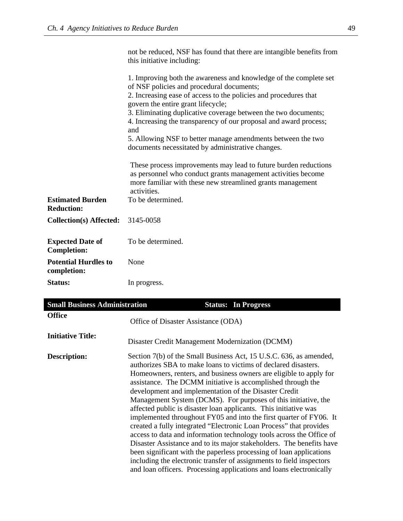|                                               | this initiative including:                                                                                                                                                                                                                                                                                                                                             |
|-----------------------------------------------|------------------------------------------------------------------------------------------------------------------------------------------------------------------------------------------------------------------------------------------------------------------------------------------------------------------------------------------------------------------------|
|                                               | 1. Improving both the awareness and knowledge of the complete set<br>of NSF policies and procedural documents;<br>2. Increasing ease of access to the policies and procedures that<br>govern the entire grant lifecycle;<br>3. Eliminating duplicative coverage between the two documents;<br>4. Increasing the transparency of our proposal and award process;<br>and |
|                                               | 5. Allowing NSF to better manage amendments between the two<br>documents necessitated by administrative changes.                                                                                                                                                                                                                                                       |
|                                               | These process improvements may lead to future burden reductions<br>as personnel who conduct grants management activities become<br>more familiar with these new streamlined grants management<br>activities.                                                                                                                                                           |
| <b>Estimated Burden</b><br><b>Reduction:</b>  | To be determined.                                                                                                                                                                                                                                                                                                                                                      |
| <b>Collection(s) Affected:</b>                | 3145-0058                                                                                                                                                                                                                                                                                                                                                              |
| <b>Expected Date of</b><br><b>Completion:</b> | To be determined.                                                                                                                                                                                                                                                                                                                                                      |
| <b>Potential Hurdles to</b><br>completion:    | None                                                                                                                                                                                                                                                                                                                                                                   |
| <b>Status:</b>                                | In progress.                                                                                                                                                                                                                                                                                                                                                           |

not be reduced, NSF has found that there are intangible benefits from

| <b>Small Business Administration</b> | <b>Status: In Progress</b>                                                                                                                                                                                                                                                                                                                                                                                                                                                                                                                                                                                                                                                                                                                                                                                                                                                                                                                                                                 |
|--------------------------------------|--------------------------------------------------------------------------------------------------------------------------------------------------------------------------------------------------------------------------------------------------------------------------------------------------------------------------------------------------------------------------------------------------------------------------------------------------------------------------------------------------------------------------------------------------------------------------------------------------------------------------------------------------------------------------------------------------------------------------------------------------------------------------------------------------------------------------------------------------------------------------------------------------------------------------------------------------------------------------------------------|
| <b>Office</b>                        | Office of Disaster Assistance (ODA)                                                                                                                                                                                                                                                                                                                                                                                                                                                                                                                                                                                                                                                                                                                                                                                                                                                                                                                                                        |
| <b>Initiative Title:</b>             | Disaster Credit Management Modernization (DCMM)                                                                                                                                                                                                                                                                                                                                                                                                                                                                                                                                                                                                                                                                                                                                                                                                                                                                                                                                            |
| Description:                         | Section 7(b) of the Small Business Act, 15 U.S.C. 636, as amended,<br>authorizes SBA to make loans to victims of declared disasters.<br>Homeowners, renters, and business owners are eligible to apply for<br>assistance. The DCMM initiative is accomplished through the<br>development and implementation of the Disaster Credit<br>Management System (DCMS). For purposes of this initiative, the<br>affected public is disaster loan applicants. This initiative was<br>implemented throughout FY05 and into the first quarter of FY06. It<br>created a fully integrated "Electronic Loan Process" that provides<br>access to data and information technology tools across the Office of<br>Disaster Assistance and to its major stakeholders. The benefits have<br>been significant with the paperless processing of loan applications<br>including the electronic transfer of assignments to field inspectors<br>and loan officers. Processing applications and loans electronically |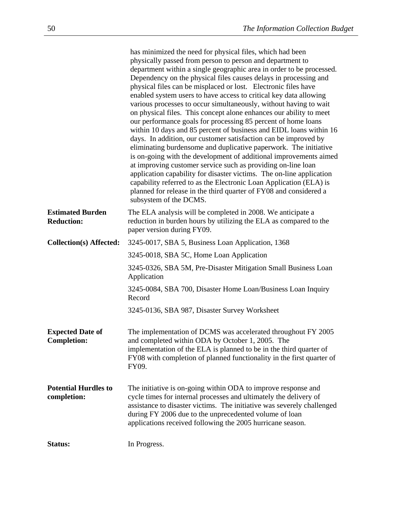|                                               | has minimized the need for physical files, which had been<br>physically passed from person to person and department to<br>department within a single geographic area in order to be processed.<br>Dependency on the physical files causes delays in processing and<br>physical files can be misplaced or lost. Electronic files have<br>enabled system users to have access to critical key data allowing<br>various processes to occur simultaneously, without having to wait<br>on physical files. This concept alone enhances our ability to meet<br>our performance goals for processing 85 percent of home loans<br>within 10 days and 85 percent of business and EIDL loans within 16<br>days. In addition, our customer satisfaction can be improved by<br>eliminating burdensome and duplicative paperwork. The initiative<br>is on-going with the development of additional improvements aimed<br>at improving customer service such as providing on-line loan<br>application capability for disaster victims. The on-line application |
|-----------------------------------------------|-------------------------------------------------------------------------------------------------------------------------------------------------------------------------------------------------------------------------------------------------------------------------------------------------------------------------------------------------------------------------------------------------------------------------------------------------------------------------------------------------------------------------------------------------------------------------------------------------------------------------------------------------------------------------------------------------------------------------------------------------------------------------------------------------------------------------------------------------------------------------------------------------------------------------------------------------------------------------------------------------------------------------------------------------|
|                                               | capability referred to as the Electronic Loan Application (ELA) is<br>planned for release in the third quarter of FY08 and considered a<br>subsystem of the DCMS.                                                                                                                                                                                                                                                                                                                                                                                                                                                                                                                                                                                                                                                                                                                                                                                                                                                                               |
| <b>Estimated Burden</b><br><b>Reduction:</b>  | The ELA analysis will be completed in 2008. We anticipate a<br>reduction in burden hours by utilizing the ELA as compared to the<br>paper version during FY09.                                                                                                                                                                                                                                                                                                                                                                                                                                                                                                                                                                                                                                                                                                                                                                                                                                                                                  |
| <b>Collection(s) Affected:</b>                | 3245-0017, SBA 5, Business Loan Application, 1368                                                                                                                                                                                                                                                                                                                                                                                                                                                                                                                                                                                                                                                                                                                                                                                                                                                                                                                                                                                               |
|                                               | 3245-0018, SBA 5C, Home Loan Application                                                                                                                                                                                                                                                                                                                                                                                                                                                                                                                                                                                                                                                                                                                                                                                                                                                                                                                                                                                                        |
|                                               | 3245-0326, SBA 5M, Pre-Disaster Mitigation Small Business Loan<br>Application                                                                                                                                                                                                                                                                                                                                                                                                                                                                                                                                                                                                                                                                                                                                                                                                                                                                                                                                                                   |
|                                               | 3245-0084, SBA 700, Disaster Home Loan/Business Loan Inquiry<br>Record                                                                                                                                                                                                                                                                                                                                                                                                                                                                                                                                                                                                                                                                                                                                                                                                                                                                                                                                                                          |
|                                               | 3245-0136, SBA 987, Disaster Survey Worksheet                                                                                                                                                                                                                                                                                                                                                                                                                                                                                                                                                                                                                                                                                                                                                                                                                                                                                                                                                                                                   |
| <b>Expected Date of</b><br><b>Completion:</b> | The implementation of DCMS was accelerated throughout FY 2005<br>and completed within ODA by October 1, 2005. The<br>implementation of the ELA is planned to be in the third quarter of<br>FY08 with completion of planned functionality in the first quarter of<br>FY09.                                                                                                                                                                                                                                                                                                                                                                                                                                                                                                                                                                                                                                                                                                                                                                       |
| <b>Potential Hurdles to</b><br>completion:    | The initiative is on-going within ODA to improve response and<br>cycle times for internal processes and ultimately the delivery of<br>assistance to disaster victims. The initiative was severely challenged<br>during FY 2006 due to the unprecedented volume of loan<br>applications received following the 2005 hurricane season.                                                                                                                                                                                                                                                                                                                                                                                                                                                                                                                                                                                                                                                                                                            |
| Status:                                       | In Progress.                                                                                                                                                                                                                                                                                                                                                                                                                                                                                                                                                                                                                                                                                                                                                                                                                                                                                                                                                                                                                                    |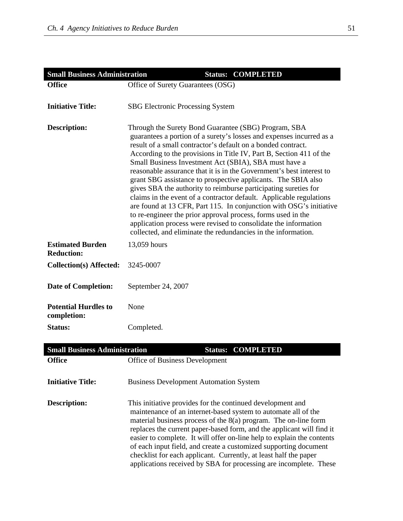| <b>Small Business Administration</b>         | <b>Status: COMPLETED</b>                                                                                                                                                                                                                                                                                                                                                                                                                                                                                                                                                                                                                                                                                                                                                                                                                                                                   |
|----------------------------------------------|--------------------------------------------------------------------------------------------------------------------------------------------------------------------------------------------------------------------------------------------------------------------------------------------------------------------------------------------------------------------------------------------------------------------------------------------------------------------------------------------------------------------------------------------------------------------------------------------------------------------------------------------------------------------------------------------------------------------------------------------------------------------------------------------------------------------------------------------------------------------------------------------|
| <b>Office</b>                                | Office of Surety Guarantees (OSG)                                                                                                                                                                                                                                                                                                                                                                                                                                                                                                                                                                                                                                                                                                                                                                                                                                                          |
|                                              |                                                                                                                                                                                                                                                                                                                                                                                                                                                                                                                                                                                                                                                                                                                                                                                                                                                                                            |
| <b>Initiative Title:</b>                     | <b>SBG Electronic Processing System</b>                                                                                                                                                                                                                                                                                                                                                                                                                                                                                                                                                                                                                                                                                                                                                                                                                                                    |
|                                              |                                                                                                                                                                                                                                                                                                                                                                                                                                                                                                                                                                                                                                                                                                                                                                                                                                                                                            |
| <b>Description:</b>                          | Through the Surety Bond Guarantee (SBG) Program, SBA<br>guarantees a portion of a surety's losses and expenses incurred as a<br>result of a small contractor's default on a bonded contract.<br>According to the provisions in Title IV, Part B, Section 411 of the<br>Small Business Investment Act (SBIA), SBA must have a<br>reasonable assurance that it is in the Government's best interest to<br>grant SBG assistance to prospective applicants. The SBIA also<br>gives SBA the authority to reimburse participating sureties for<br>claims in the event of a contractor default. Applicable regulations<br>are found at 13 CFR, Part 115. In conjunction with OSG's initiative<br>to re-engineer the prior approval process, forms used in the<br>application process were revised to consolidate the information<br>collected, and eliminate the redundancies in the information. |
| <b>Estimated Burden</b><br><b>Reduction:</b> | 13,059 hours                                                                                                                                                                                                                                                                                                                                                                                                                                                                                                                                                                                                                                                                                                                                                                                                                                                                               |
| <b>Collection(s) Affected:</b>               | 3245-0007                                                                                                                                                                                                                                                                                                                                                                                                                                                                                                                                                                                                                                                                                                                                                                                                                                                                                  |
| <b>Date of Completion:</b>                   | September 24, 2007                                                                                                                                                                                                                                                                                                                                                                                                                                                                                                                                                                                                                                                                                                                                                                                                                                                                         |
| <b>Potential Hurdles to</b><br>completion:   | None                                                                                                                                                                                                                                                                                                                                                                                                                                                                                                                                                                                                                                                                                                                                                                                                                                                                                       |
| Status:                                      | Completed.                                                                                                                                                                                                                                                                                                                                                                                                                                                                                                                                                                                                                                                                                                                                                                                                                                                                                 |
|                                              |                                                                                                                                                                                                                                                                                                                                                                                                                                                                                                                                                                                                                                                                                                                                                                                                                                                                                            |
| <b>Small Business Administration</b>         | <b>Status: COMPLETED</b>                                                                                                                                                                                                                                                                                                                                                                                                                                                                                                                                                                                                                                                                                                                                                                                                                                                                   |
| <b>Office</b>                                | Office of Business Development                                                                                                                                                                                                                                                                                                                                                                                                                                                                                                                                                                                                                                                                                                                                                                                                                                                             |
| <b>Initiative Title:</b>                     | <b>Business Development Automation System</b>                                                                                                                                                                                                                                                                                                                                                                                                                                                                                                                                                                                                                                                                                                                                                                                                                                              |
| <b>Description:</b>                          | This initiative provides for the continued development and<br>maintenance of an internet-based system to automate all of the<br>material business process of the $8(a)$ program. The on-line form<br>replaces the current paper-based form, and the applicant will find it<br>easier to complete. It will offer on-line help to explain the contents<br>of each input field, and create a customized supporting document                                                                                                                                                                                                                                                                                                                                                                                                                                                                   |

checklist for each applicant. Currently, at least half the paper applications received by SBA for processing are incomplete. These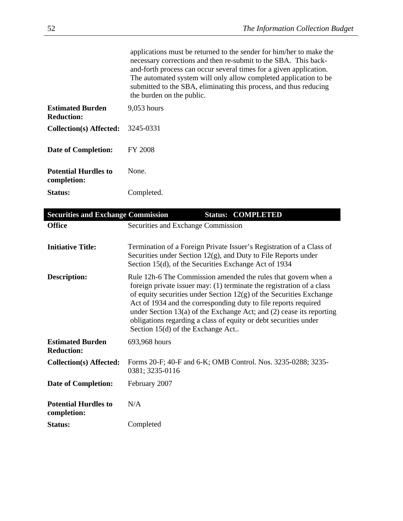| applications must be returned to the sender for him/her to make the |
|---------------------------------------------------------------------|
| necessary corrections and then re-submit to the SBA. This back-     |
| and-forth process can occur several times for a given application.  |
| The automated system will only allow completed application to be    |
| submitted to the SBA, eliminating this process, and thus reducing   |
| the burden on the public.                                           |

| <b>Estimated Burden</b><br>Reduction:      | 9,053 hours |
|--------------------------------------------|-------------|
| <b>Collection(s) Affected:</b>             | 3245-0331   |
| <b>Date of Completion:</b>                 | FY 2008     |
| <b>Potential Hurdles to</b><br>completion: | <b>None</b> |
| Status:                                    | Completed.  |

| <b>Securities and Exchange Commission</b>    |                                                                                                                            | <b>Status: COMPLETED</b>                                                                                                                                                                                                                                                                                                                                                                                                          |
|----------------------------------------------|----------------------------------------------------------------------------------------------------------------------------|-----------------------------------------------------------------------------------------------------------------------------------------------------------------------------------------------------------------------------------------------------------------------------------------------------------------------------------------------------------------------------------------------------------------------------------|
| <b>Office</b>                                | Securities and Exchange Commission                                                                                         |                                                                                                                                                                                                                                                                                                                                                                                                                                   |
| <b>Initiative Title:</b>                     | Securities under Section $12(g)$ , and Duty to File Reports under<br>Section 15(d), of the Securities Exchange Act of 1934 | Termination of a Foreign Private Issuer's Registration of a Class of                                                                                                                                                                                                                                                                                                                                                              |
| <b>Description:</b>                          | Section 15(d) of the Exchange Act                                                                                          | Rule 12h-6 The Commission amended the rules that govern when a<br>foreign private issuer may: (1) terminate the registration of a class<br>of equity securities under Section $12(g)$ of the Securities Exchange<br>Act of 1934 and the corresponding duty to file reports required<br>under Section 13(a) of the Exchange Act; and $(2)$ cease its reporting<br>obligations regarding a class of equity or debt securities under |
| <b>Estimated Burden</b><br><b>Reduction:</b> | 693,968 hours                                                                                                              |                                                                                                                                                                                                                                                                                                                                                                                                                                   |
| Collection(s) Affected:                      | 0381; 3235-0116                                                                                                            | Forms 20-F; 40-F and 6-K; OMB Control. Nos. 3235-0288; 3235-                                                                                                                                                                                                                                                                                                                                                                      |
| <b>Date of Completion:</b>                   | February 2007                                                                                                              |                                                                                                                                                                                                                                                                                                                                                                                                                                   |
| <b>Potential Hurdles to</b><br>completion:   | N/A                                                                                                                        |                                                                                                                                                                                                                                                                                                                                                                                                                                   |
| Status:                                      | Completed                                                                                                                  |                                                                                                                                                                                                                                                                                                                                                                                                                                   |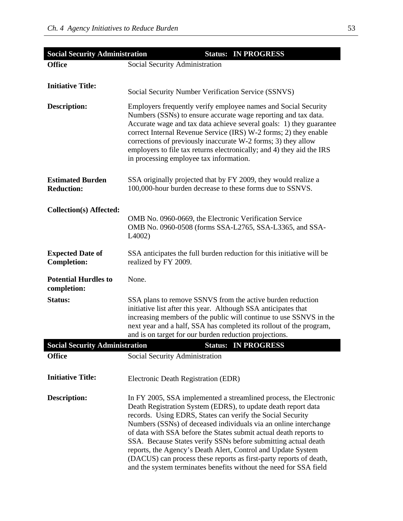| <b>Social Security Administration</b>                   | <b>Status: IN PROGRESS</b>                                                                                                                                                                                                                                                                                                                                                                                                                                                                                                                                                                                             |
|---------------------------------------------------------|------------------------------------------------------------------------------------------------------------------------------------------------------------------------------------------------------------------------------------------------------------------------------------------------------------------------------------------------------------------------------------------------------------------------------------------------------------------------------------------------------------------------------------------------------------------------------------------------------------------------|
| <b>Office</b>                                           | Social Security Administration                                                                                                                                                                                                                                                                                                                                                                                                                                                                                                                                                                                         |
| <b>Initiative Title:</b>                                | Social Security Number Verification Service (SSNVS)                                                                                                                                                                                                                                                                                                                                                                                                                                                                                                                                                                    |
| <b>Description:</b>                                     | Employers frequently verify employee names and Social Security<br>Numbers (SSNs) to ensure accurate wage reporting and tax data.<br>Accurate wage and tax data achieve several goals: 1) they guarantee<br>correct Internal Revenue Service (IRS) W-2 forms; 2) they enable<br>corrections of previously inaccurate W-2 forms; 3) they allow<br>employers to file tax returns electronically; and 4) they aid the IRS<br>in processing employee tax information.                                                                                                                                                       |
| <b>Estimated Burden</b><br><b>Reduction:</b>            | SSA originally projected that by FY 2009, they would realize a<br>100,000-hour burden decrease to these forms due to SSNVS.                                                                                                                                                                                                                                                                                                                                                                                                                                                                                            |
| Collection(s) Affected:                                 | OMB No. 0960-0669, the Electronic Verification Service<br>OMB No. 0960-0508 (forms SSA-L2765, SSA-L3365, and SSA-<br>$L4002$ )                                                                                                                                                                                                                                                                                                                                                                                                                                                                                         |
| <b>Expected Date of</b><br><b>Completion:</b>           | SSA anticipates the full burden reduction for this initiative will be<br>realized by FY 2009.                                                                                                                                                                                                                                                                                                                                                                                                                                                                                                                          |
| <b>Potential Hurdles to</b><br>completion:              | None.                                                                                                                                                                                                                                                                                                                                                                                                                                                                                                                                                                                                                  |
| <b>Status:</b><br><b>Social Security Administration</b> | SSA plans to remove SSNVS from the active burden reduction<br>initiative list after this year. Although SSA anticipates that<br>increasing members of the public will continue to use SSNVS in the<br>next year and a half, SSA has completed its rollout of the program,<br>and is on target for our burden reduction projections.<br><b>Status: IN PROGRESS</b>                                                                                                                                                                                                                                                      |
| <b>Office</b>                                           | Social Security Administration                                                                                                                                                                                                                                                                                                                                                                                                                                                                                                                                                                                         |
| <b>Initiative Title:</b>                                | Electronic Death Registration (EDR)                                                                                                                                                                                                                                                                                                                                                                                                                                                                                                                                                                                    |
| <b>Description:</b>                                     | In FY 2005, SSA implemented a streamlined process, the Electronic<br>Death Registration System (EDRS), to update death report data<br>records. Using EDRS, States can verify the Social Security<br>Numbers (SSNs) of deceased individuals via an online interchange<br>of data with SSA before the States submit actual death reports to<br>SSA. Because States verify SSNs before submitting actual death<br>reports, the Agency's Death Alert, Control and Update System<br>(DACUS) can process these reports as first-party reports of death,<br>and the system terminates benefits without the need for SSA field |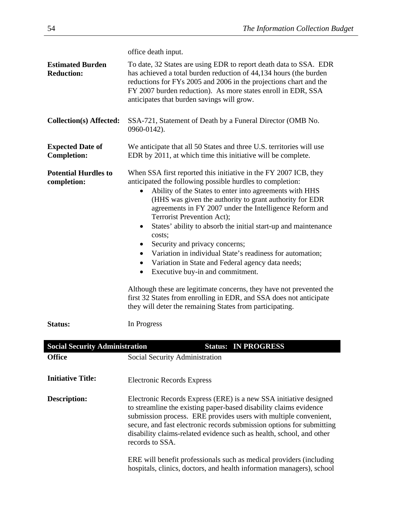|                                               | office death input.                                                                                                                                                                                                                                                                                                                                                                                                                                                                                                                                                                                                                                                                                                                                                                                                                                              |
|-----------------------------------------------|------------------------------------------------------------------------------------------------------------------------------------------------------------------------------------------------------------------------------------------------------------------------------------------------------------------------------------------------------------------------------------------------------------------------------------------------------------------------------------------------------------------------------------------------------------------------------------------------------------------------------------------------------------------------------------------------------------------------------------------------------------------------------------------------------------------------------------------------------------------|
| <b>Estimated Burden</b><br><b>Reduction:</b>  | To date, 32 States are using EDR to report death data to SSA. EDR<br>has achieved a total burden reduction of 44,134 hours (the burden<br>reductions for FYs 2005 and 2006 in the projections chart and the<br>FY 2007 burden reduction). As more states enroll in EDR, SSA<br>anticipates that burden savings will grow.                                                                                                                                                                                                                                                                                                                                                                                                                                                                                                                                        |
| <b>Collection(s) Affected:</b>                | SSA-721, Statement of Death by a Funeral Director (OMB No.<br>0960-0142).                                                                                                                                                                                                                                                                                                                                                                                                                                                                                                                                                                                                                                                                                                                                                                                        |
| <b>Expected Date of</b><br><b>Completion:</b> | We anticipate that all 50 States and three U.S. territories will use<br>EDR by 2011, at which time this initiative will be complete.                                                                                                                                                                                                                                                                                                                                                                                                                                                                                                                                                                                                                                                                                                                             |
| <b>Potential Hurdles to</b><br>completion:    | When SSA first reported this initiative in the FY 2007 ICB, they<br>anticipated the following possible hurdles to completion:<br>Ability of the States to enter into agreements with HHS<br>(HHS was given the authority to grant authority for EDR<br>agreements in FY 2007 under the Intelligence Reform and<br>Terrorist Prevention Act);<br>States' ability to absorb the initial start-up and maintenance<br>$\bullet$<br>costs;<br>Security and privacy concerns;<br>Variation in individual State's readiness for automation;<br>Variation in State and Federal agency data needs;<br>$\bullet$<br>Executive buy-in and commitment.<br>$\bullet$<br>Although these are legitimate concerns, they have not prevented the<br>first 32 States from enrolling in EDR, and SSA does not anticipate<br>they will deter the remaining States from participating. |
| <b>Status:</b>                                | In Progress                                                                                                                                                                                                                                                                                                                                                                                                                                                                                                                                                                                                                                                                                                                                                                                                                                                      |
| <b>Social Security Administration</b>         | <b>Status: IN PROGRESS</b>                                                                                                                                                                                                                                                                                                                                                                                                                                                                                                                                                                                                                                                                                                                                                                                                                                       |
| <b>Office</b>                                 | Social Security Administration                                                                                                                                                                                                                                                                                                                                                                                                                                                                                                                                                                                                                                                                                                                                                                                                                                   |
| <b>Initiative Title:</b>                      | <b>Electronic Records Express</b>                                                                                                                                                                                                                                                                                                                                                                                                                                                                                                                                                                                                                                                                                                                                                                                                                                |
| <b>Description:</b>                           | Electronic Records Express (ERE) is a new SSA initiative designed<br>to streamline the existing paper-based disability claims evidence<br>submission process. ERE provides users with multiple convenient,<br>secure, and fast electronic records submission options for submitting<br>disability claims-related evidence such as health, school, and other<br>records to SSA.<br>ERE will benefit professionals such as medical providers (including<br>hospitals, clinics, doctors, and health information managers), school                                                                                                                                                                                                                                                                                                                                   |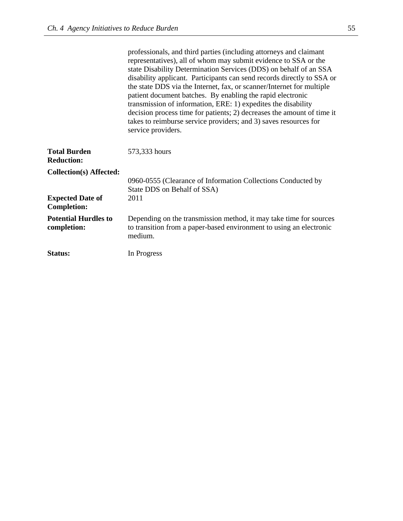|                                                                  | professionals, and third parties (including attorneys and claimant<br>representatives), all of whom may submit evidence to SSA or the<br>state Disability Determination Services (DDS) on behalf of an SSA<br>disability applicant. Participants can send records directly to SSA or<br>the state DDS via the Internet, fax, or scanner/Internet for multiple<br>patient document batches. By enabling the rapid electronic<br>transmission of information, ERE: 1) expedites the disability<br>decision process time for patients; 2) decreases the amount of time it<br>takes to reimburse service providers; and 3) saves resources for<br>service providers. |
|------------------------------------------------------------------|------------------------------------------------------------------------------------------------------------------------------------------------------------------------------------------------------------------------------------------------------------------------------------------------------------------------------------------------------------------------------------------------------------------------------------------------------------------------------------------------------------------------------------------------------------------------------------------------------------------------------------------------------------------|
| <b>Total Burden</b><br><b>Reduction:</b>                         | 573,333 hours                                                                                                                                                                                                                                                                                                                                                                                                                                                                                                                                                                                                                                                    |
| <b>Collection(s) Affected:</b><br><b>Expected Date of</b>        | 0960-0555 (Clearance of Information Collections Conducted by<br>State DDS on Behalf of SSA)<br>2011                                                                                                                                                                                                                                                                                                                                                                                                                                                                                                                                                              |
| <b>Completion:</b><br><b>Potential Hurdles to</b><br>completion: | Depending on the transmission method, it may take time for sources<br>to transition from a paper-based environment to using an electronic<br>medium.                                                                                                                                                                                                                                                                                                                                                                                                                                                                                                             |
| Status:                                                          | In Progress                                                                                                                                                                                                                                                                                                                                                                                                                                                                                                                                                                                                                                                      |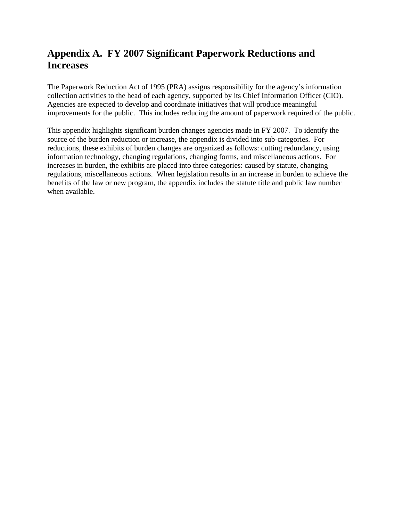# **Appendix A. FY 2007 Significant Paperwork Reductions and Increases**

The Paperwork Reduction Act of 1995 (PRA) assigns responsibility for the agency's information collection activities to the head of each agency, supported by its Chief Information Officer (CIO). Agencies are expected to develop and coordinate initiatives that will produce meaningful improvements for the public. This includes reducing the amount of paperwork required of the public.

This appendix highlights significant burden changes agencies made in FY 2007. To identify the source of the burden reduction or increase, the appendix is divided into sub-categories. For reductions, these exhibits of burden changes are organized as follows: cutting redundancy, using information technology, changing regulations, changing forms, and miscellaneous actions. For increases in burden, the exhibits are placed into three categories: caused by statute, changing regulations, miscellaneous actions. When legislation results in an increase in burden to achieve the benefits of the law or new program, the appendix includes the statute title and public law number when available.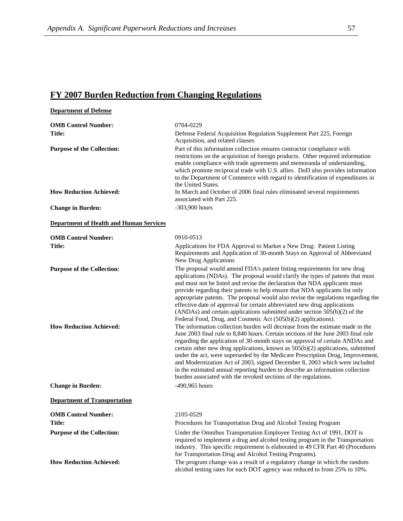## **FY 2007 Burden Reduction from Changing Regulations**

| <b>Department of Defense</b>                                        |                                                                                                                                                                                                                                                                                                                                                                                                                                                                                                                                                                                                                                                                                                                                                                                                                  |
|---------------------------------------------------------------------|------------------------------------------------------------------------------------------------------------------------------------------------------------------------------------------------------------------------------------------------------------------------------------------------------------------------------------------------------------------------------------------------------------------------------------------------------------------------------------------------------------------------------------------------------------------------------------------------------------------------------------------------------------------------------------------------------------------------------------------------------------------------------------------------------------------|
| <b>OMB Control Number:</b>                                          | 0704-0229                                                                                                                                                                                                                                                                                                                                                                                                                                                                                                                                                                                                                                                                                                                                                                                                        |
| <b>Title:</b>                                                       | Defense Federal Acquisition Regulation Supplement Part 225, Foreign<br>Acquisition, and related clauses                                                                                                                                                                                                                                                                                                                                                                                                                                                                                                                                                                                                                                                                                                          |
| <b>Purpose of the Collection:</b>                                   | Part of this information collection ensures contractor compliance with<br>restrictions on the acquisition of foreign products. Other required information<br>enable compliance with trade agreements and memoranda of understanding,<br>which promote reciprocal trade with U.S. allies. DoD also provides information<br>to the Department of Commerce with regard to identification of expenditures in<br>the United States.                                                                                                                                                                                                                                                                                                                                                                                   |
| <b>How Reduction Achieved:</b>                                      | In March and October of 2006 final rules eliminated several requirements<br>associated with Part 225.                                                                                                                                                                                                                                                                                                                                                                                                                                                                                                                                                                                                                                                                                                            |
| <b>Change in Burden:</b>                                            | $-303,900$ hours                                                                                                                                                                                                                                                                                                                                                                                                                                                                                                                                                                                                                                                                                                                                                                                                 |
| <b>Department of Health and Human Services</b>                      |                                                                                                                                                                                                                                                                                                                                                                                                                                                                                                                                                                                                                                                                                                                                                                                                                  |
| <b>OMB Control Number:</b>                                          | 0910-0513                                                                                                                                                                                                                                                                                                                                                                                                                                                                                                                                                                                                                                                                                                                                                                                                        |
| <b>Title:</b>                                                       | Applications for FDA Approval to Market a New Drug: Patient Listing<br>Requirements and Application of 30-month Stays on Approval of Abbreviated<br><b>New Drug Applications</b>                                                                                                                                                                                                                                                                                                                                                                                                                                                                                                                                                                                                                                 |
| <b>Purpose of the Collection:</b><br><b>How Reduction Achieved:</b> | The proposal would amend FDA's patient listing requirements for new drug<br>applications (NDAs). The proposal would clarify the types of patents that must<br>and must not be listed and revise the declaration that NDA applicants must<br>provide regarding their patents to help ensure that NDA applicants list only<br>appropriate patents. The proposal would also revise the regulations regarding the<br>effective date of approval for certain abbreviated new drug applications<br>(ANDAs) and certain applications submitted under section $505(b)(2)$ of the<br>Federal Food, Drug, and Cosmetic Act (505(b)(2) applications).<br>The information collection burden will decrease from the estimate made in the<br>June 2003 final rule to 8,840 hours. Certain sections of the June 2003 final rule |
|                                                                     | regarding the application of 30-month stays on approval of certain ANDAs and<br>certain other new drug applications, known as 505(b)(2) applications, submitted<br>under the act, were superseded by the Medicare Prescription Drug, Improvement,<br>and Modernization Act of 2003, signed December 8, 2003 which were included<br>in the estimated annual reporting burden to describe an information collection<br>burden associated with the revoked sections of the regulations.                                                                                                                                                                                                                                                                                                                             |
| <b>Change in Burden:</b>                                            | -490,965 hours                                                                                                                                                                                                                                                                                                                                                                                                                                                                                                                                                                                                                                                                                                                                                                                                   |
| <b>Department of Transportation</b>                                 |                                                                                                                                                                                                                                                                                                                                                                                                                                                                                                                                                                                                                                                                                                                                                                                                                  |
| <b>OMB Control Number:</b>                                          | 2105-0529                                                                                                                                                                                                                                                                                                                                                                                                                                                                                                                                                                                                                                                                                                                                                                                                        |
| <b>Title:</b>                                                       | Procedures for Transportation Drug and Alcohol Testing Program                                                                                                                                                                                                                                                                                                                                                                                                                                                                                                                                                                                                                                                                                                                                                   |
| <b>Purpose of the Collection:</b>                                   | Under the Omnibus Transportation Employee Testing Act of 1991, DOT is<br>required to implement a drug and alcohol testing program in the Transportation<br>industry. This specific requirement is elaborated in 49 CFR Part 40 (Procedures<br>for Transportation Drug and Alcohol Testing Programs).                                                                                                                                                                                                                                                                                                                                                                                                                                                                                                             |
| <b>How Reduction Achieved:</b>                                      | The program change was a result of a regulatory change in which the random<br>alcohol testing rates for each DOT agency was reduced to from 25% to 10%.                                                                                                                                                                                                                                                                                                                                                                                                                                                                                                                                                                                                                                                          |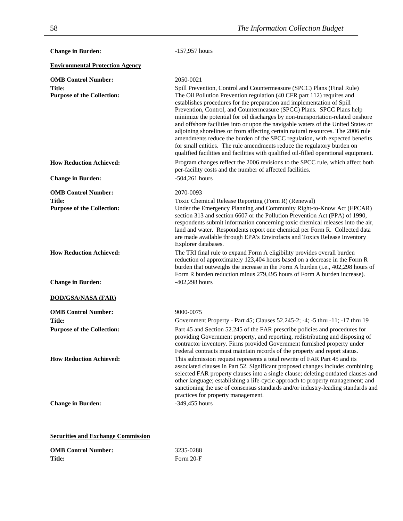| <b>Change in Burden:</b>                    | $-157,957$ hours                                                                                                                                                                                                                                                                                                                                                                                                                                                                                                                                                                                                                                                                                                                       |
|---------------------------------------------|----------------------------------------------------------------------------------------------------------------------------------------------------------------------------------------------------------------------------------------------------------------------------------------------------------------------------------------------------------------------------------------------------------------------------------------------------------------------------------------------------------------------------------------------------------------------------------------------------------------------------------------------------------------------------------------------------------------------------------------|
| <b>Environmental Protection Agency</b>      |                                                                                                                                                                                                                                                                                                                                                                                                                                                                                                                                                                                                                                                                                                                                        |
| <b>OMB Control Number:</b><br><b>Title:</b> | 2050-0021<br>Spill Prevention, Control and Countermeasure (SPCC) Plans (Final Rule)                                                                                                                                                                                                                                                                                                                                                                                                                                                                                                                                                                                                                                                    |
| <b>Purpose of the Collection:</b>           | The Oil Pollution Prevention regulation (40 CFR part 112) requires and<br>establishes procedures for the preparation and implementation of Spill<br>Prevention, Control, and Countermeasure (SPCC) Plans. SPCC Plans help<br>minimize the potential for oil discharges by non-transportation-related onshore<br>and offshore facilities into or upon the navigable waters of the United States or<br>adjoining shorelines or from affecting certain natural resources. The 2006 rule<br>amendments reduce the burden of the SPCC regulation, with expected benefits<br>for small entities. The rule amendments reduce the regulatory burden on<br>qualified facilities and facilities with qualified oil-filled operational equipment. |
| <b>How Reduction Achieved:</b>              | Program changes reflect the 2006 revisions to the SPCC rule, which affect both<br>per-facility costs and the number of affected facilities.                                                                                                                                                                                                                                                                                                                                                                                                                                                                                                                                                                                            |
| <b>Change in Burden:</b>                    | $-504,261$ hours                                                                                                                                                                                                                                                                                                                                                                                                                                                                                                                                                                                                                                                                                                                       |
| <b>OMB Control Number:</b>                  | 2070-0093                                                                                                                                                                                                                                                                                                                                                                                                                                                                                                                                                                                                                                                                                                                              |
| Title:<br><b>Purpose of the Collection:</b> | Toxic Chemical Release Reporting (Form R) (Renewal)<br>Under the Emergency Planning and Community Right-to-Know Act (EPCAR)<br>section 313 and section 6607 or the Pollution Prevention Act (PPA) of 1990,<br>respondents submit information concerning toxic chemical releases into the air,<br>land and water. Respondents report one chemical per Form R. Collected data<br>are made available through EPA's Envirofacts and Toxics Release Inventory<br>Explorer databases.                                                                                                                                                                                                                                                        |
| <b>How Reduction Achieved:</b>              | The TRI final rule to expand Form A eligibility provides overall burden<br>reduction of approximately 123,404 hours based on a decrease in the Form R<br>burden that outweighs the increase in the Form A burden (i.e., 402,298 hours of<br>Form R burden reduction minus 279,495 hours of Form A burden increase).                                                                                                                                                                                                                                                                                                                                                                                                                    |
| <b>Change in Burden:</b>                    | $-402,298$ hours                                                                                                                                                                                                                                                                                                                                                                                                                                                                                                                                                                                                                                                                                                                       |
| <b>DOD/GSA/NASA (FAR)</b>                   |                                                                                                                                                                                                                                                                                                                                                                                                                                                                                                                                                                                                                                                                                                                                        |
| <b>OMB Control Number:</b>                  | 9000-0075                                                                                                                                                                                                                                                                                                                                                                                                                                                                                                                                                                                                                                                                                                                              |
| Title:                                      | Government Property - Part 45; Clauses 52.245-2; -4; -5 thru -11; -17 thru 19                                                                                                                                                                                                                                                                                                                                                                                                                                                                                                                                                                                                                                                          |
| <b>Purpose of the Collection:</b>           | Part 45 and Section 52.245 of the FAR prescribe policies and procedures for<br>providing Government property, and reporting, redistributing and disposing of<br>contractor inventory. Firms provided Government furnished property under<br>Federal contracts must maintain records of the property and report status.                                                                                                                                                                                                                                                                                                                                                                                                                 |
| <b>How Reduction Achieved:</b>              | This submission request represents a total rewrite of FAR Part 45 and its<br>associated clauses in Part 52. Significant proposed changes include: combining<br>selected FAR property clauses into a single clause; deleting outdated clauses and<br>other language; establishing a life-cycle approach to property management; and<br>sanctioning the use of consensus standards and/or industry-leading standards and<br>practices for property management.                                                                                                                                                                                                                                                                           |
| <b>Change in Burden:</b>                    | -349,455 hours                                                                                                                                                                                                                                                                                                                                                                                                                                                                                                                                                                                                                                                                                                                         |

## **Securities and Exchange Commission**

| <b>OMB Control Number:</b> | 3235-0288   |
|----------------------------|-------------|
| Title:                     | Form $20-F$ |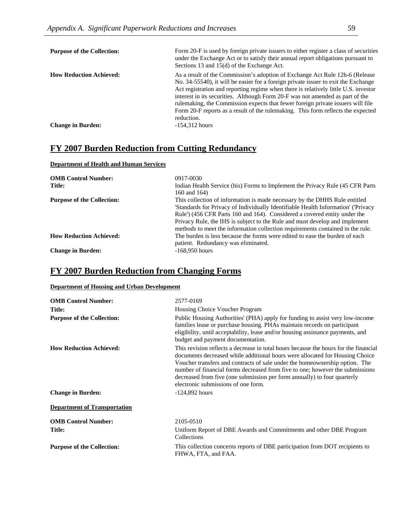| <b>Purpose of the Collection:</b> | Form 20-F is used by foreign private issuers to either register a class of securities<br>under the Exchange Act or to satisfy their annual report obligations pursuant to<br>Sections 13 and 15(d) of the Exchange Act.                                                                                                                                                                                                                                                                                                         |
|-----------------------------------|---------------------------------------------------------------------------------------------------------------------------------------------------------------------------------------------------------------------------------------------------------------------------------------------------------------------------------------------------------------------------------------------------------------------------------------------------------------------------------------------------------------------------------|
| <b>How Reduction Achieved:</b>    | As a result of the Commission's adoption of Exchange Act Rule 12h-6 (Release<br>No. 34-55540), it will be easier for a foreign private issuer to exit the Exchange<br>Act registration and reporting regime when there is relatively little U.S. investor<br>interest in its securities. Although Form 20-F was not amended as part of the<br>rulemaking, the Commission expects that fewer foreign private issuers will file<br>Form 20-F reports as a result of the rulemaking. This form reflects the expected<br>reduction. |
| <b>Change in Burden:</b>          | $-154,312$ hours                                                                                                                                                                                                                                                                                                                                                                                                                                                                                                                |

## **FY 2007 Burden Reduction from Cutting Redundancy**

#### **Department of Health and Human Services**

| <b>OMB Control Number:</b><br><b>Title:</b> | 0917-0030<br>Indian Health Service (his) Forms to Implement the Privacy Rule (45 CFR Parts<br>160 and 164)                                                                                                                                                                                                                                                                                                    |
|---------------------------------------------|---------------------------------------------------------------------------------------------------------------------------------------------------------------------------------------------------------------------------------------------------------------------------------------------------------------------------------------------------------------------------------------------------------------|
| <b>Purpose of the Collection:</b>           | This collection of information is made necessary by the DHHS Rule entitled<br>'Standards for Privacy of Individually Identifiable Health Information' ('Privacy<br>Rule') (456 CFR Parts 160 and 164). Considered a covered entity under the<br>Privacy Rule, the IHS is subject to the Rule and must develop and implement<br>methods to meet the information collection requirements contained in the rule. |
| <b>How Reduction Achieved:</b>              | The burden is less because the forms were edited to ease the burden of each<br>patient. Redundancy was eliminated.                                                                                                                                                                                                                                                                                            |
| <b>Change in Burden:</b>                    | $-168.950$ hours                                                                                                                                                                                                                                                                                                                                                                                              |

## **FY 2007 Burden Reduction from Changing Forms**

#### **Department of Housing and Urban Development**

| <b>OMB Control Number:</b>          | 2577-0169                                                                                                                                                                                                                                                                                                                                                                                                                                               |
|-------------------------------------|---------------------------------------------------------------------------------------------------------------------------------------------------------------------------------------------------------------------------------------------------------------------------------------------------------------------------------------------------------------------------------------------------------------------------------------------------------|
| Title:                              | Housing Choice Voucher Program                                                                                                                                                                                                                                                                                                                                                                                                                          |
| <b>Purpose of the Collection:</b>   | Public Housing Authorities' (PHA) apply for funding to assist very low-income<br>families lease or purchase housing. PHAs maintain records on participant<br>eligibility, until acceptability, lease and/or housing assistance payments, and<br>budget and payment documentation.                                                                                                                                                                       |
| <b>How Reduction Achieved:</b>      | This revision reflects a decrease in total hours because the hours for the financial<br>documents decreased while additional hours were allocated for Housing Choice<br>Voucher transfers and contracts of sale under the homeownership option. The<br>number of financial forms decreased from five to one; however the submissions<br>decreased from five (one submission per form annually) to four quarterly<br>electronic submissions of one form. |
| <b>Change in Burden:</b>            | $-124,892$ hours                                                                                                                                                                                                                                                                                                                                                                                                                                        |
| <b>Department of Transportation</b> |                                                                                                                                                                                                                                                                                                                                                                                                                                                         |
| <b>OMB Control Number:</b>          | 2105-0510                                                                                                                                                                                                                                                                                                                                                                                                                                               |
| Title:                              | Uniform Report of DBE Awards and Commitments and other DBE Program<br>Collections                                                                                                                                                                                                                                                                                                                                                                       |
| <b>Purpose of the Collection:</b>   | This collection concerns reports of DBE participation from DOT recipients to<br>FHWA, FTA, and FAA.                                                                                                                                                                                                                                                                                                                                                     |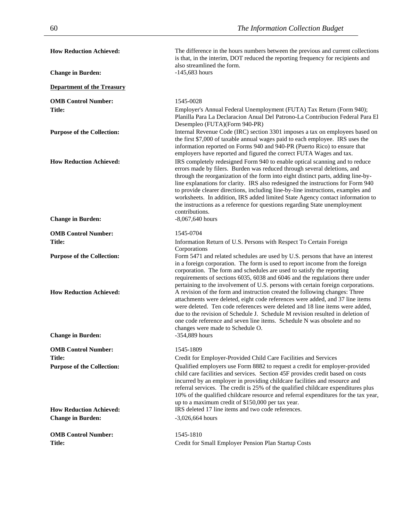| <b>How Reduction Achieved:</b>                                      | The difference in the hours numbers between the previous and current collections<br>is that, in the interim, DOT reduced the reporting frequency for recipients and<br>also streamlined the form.                                                                                                                                                                                                                                                                                                                                                                                                      |
|---------------------------------------------------------------------|--------------------------------------------------------------------------------------------------------------------------------------------------------------------------------------------------------------------------------------------------------------------------------------------------------------------------------------------------------------------------------------------------------------------------------------------------------------------------------------------------------------------------------------------------------------------------------------------------------|
| <b>Change in Burden:</b>                                            | $-145,683$ hours                                                                                                                                                                                                                                                                                                                                                                                                                                                                                                                                                                                       |
| <b>Department of the Treasury</b>                                   |                                                                                                                                                                                                                                                                                                                                                                                                                                                                                                                                                                                                        |
| <b>OMB Control Number:</b>                                          | 1545-0028                                                                                                                                                                                                                                                                                                                                                                                                                                                                                                                                                                                              |
| Title:                                                              | Employer's Annual Federal Unemployment (FUTA) Tax Return (Form 940);<br>Planilla Para La Declaracion Anual Del Patrono-La Contribucion Federal Para El<br>Desempleo (FUTA)(Form 940-PR)                                                                                                                                                                                                                                                                                                                                                                                                                |
| <b>Purpose of the Collection:</b>                                   | Internal Revenue Code (IRC) section 3301 imposes a tax on employees based on<br>the first \$7,000 of taxable annual wages paid to each employee. IRS uses the<br>information reported on Forms 940 and 940-PR (Puerto Rico) to ensure that<br>employers have reported and figured the correct FUTA Wages and tax.                                                                                                                                                                                                                                                                                      |
| <b>How Reduction Achieved:</b>                                      | IRS completely redesigned Form 940 to enable optical scanning and to reduce<br>errors made by filers. Burden was reduced through several deletions, and<br>through the reorganization of the form into eight distinct parts, adding line-by-<br>line explanations for clarity. IRS also redesigned the instructions for Form 940<br>to provide clearer directions, including line-by-line instructions, examples and<br>worksheets. In addition, IRS added limited State Agency contact information to<br>the instructions as a reference for questions regarding State unemployment<br>contributions. |
| <b>Change in Burden:</b>                                            | $-8,067,640$ hours                                                                                                                                                                                                                                                                                                                                                                                                                                                                                                                                                                                     |
| <b>OMB Control Number:</b>                                          | 1545-0704                                                                                                                                                                                                                                                                                                                                                                                                                                                                                                                                                                                              |
| Title:                                                              | Information Return of U.S. Persons with Respect To Certain Foreign                                                                                                                                                                                                                                                                                                                                                                                                                                                                                                                                     |
| <b>Purpose of the Collection:</b>                                   | Corporations<br>Form 5471 and related schedules are used by U.S. persons that have an interest<br>in a foreign corporation. The form is used to report income from the foreign<br>corporation. The form and schedules are used to satisfy the reporting<br>requirements of sections 6035, 6038 and 6046 and the regulations there under<br>pertaining to the involvement of U.S. persons with certain foreign corporations.                                                                                                                                                                            |
| <b>How Reduction Achieved:</b>                                      | A revision of the form and instruction created the following changes: Three<br>attachments were deleted, eight code references were added, and 37 line items<br>were deleted. Ten code references were deleted and 18 line items were added,<br>due to the revision of Schedule J. Schedule M revision resulted in deletion of<br>one code reference and seven line items. Schedule N was obsolete and no<br>changes were made to Schedule O.                                                                                                                                                          |
| <b>Change in Burden:</b>                                            | -354,889 hours                                                                                                                                                                                                                                                                                                                                                                                                                                                                                                                                                                                         |
| <b>OMB Control Number:</b>                                          | 1545-1809                                                                                                                                                                                                                                                                                                                                                                                                                                                                                                                                                                                              |
| Title:                                                              | Credit for Employer-Provided Child Care Facilities and Services                                                                                                                                                                                                                                                                                                                                                                                                                                                                                                                                        |
| <b>Purpose of the Collection:</b><br><b>How Reduction Achieved:</b> | Qualified employers use Form 8882 to request a credit for employer-provided<br>child care facilities and services. Section 45F provides credit based on costs<br>incurred by an employer in providing childcare facilities and resource and<br>referral services. The credit is 25% of the qualified childcare expenditures plus<br>10% of the qualified childcare resource and referral expenditures for the tax year,<br>up to a maximum credit of \$150,000 per tax year.<br>IRS deleted 17 line items and two code references.                                                                     |
| <b>Change in Burden:</b>                                            | $-3,026,664$ hours                                                                                                                                                                                                                                                                                                                                                                                                                                                                                                                                                                                     |
|                                                                     |                                                                                                                                                                                                                                                                                                                                                                                                                                                                                                                                                                                                        |
| <b>OMB Control Number:</b><br>Title:                                | 1545-1810<br>Credit for Small Employer Pension Plan Startup Costs                                                                                                                                                                                                                                                                                                                                                                                                                                                                                                                                      |
|                                                                     |                                                                                                                                                                                                                                                                                                                                                                                                                                                                                                                                                                                                        |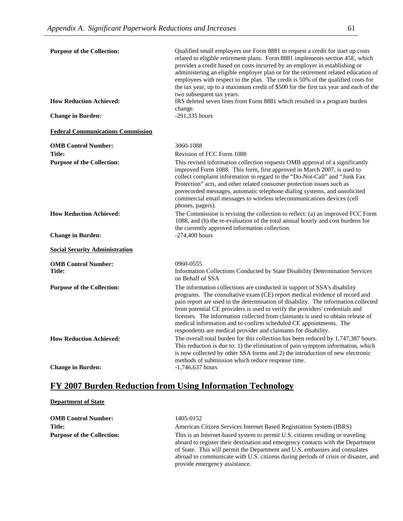| <b>Purpose of the Collection:</b>        | Qualified small employers use Form 8881 to request a credit for start up costs<br>related to eligible retirement plans. Form 8881 implements section 45E, which<br>provides a credit based on costs incurred by an employer in establishing or<br>administering an eligible employer plan or for the retirement related education of<br>employees with respect to the plan. The credit is 50% of the qualified costs for<br>the tax year, up to a maximum credit of \$500 for the first tax year and each of the<br>two subsequent tax years.          |
|------------------------------------------|--------------------------------------------------------------------------------------------------------------------------------------------------------------------------------------------------------------------------------------------------------------------------------------------------------------------------------------------------------------------------------------------------------------------------------------------------------------------------------------------------------------------------------------------------------|
| <b>How Reduction Achieved:</b>           | IRS deleted seven lines from Form 8881 which resulted in a program burden<br>change.                                                                                                                                                                                                                                                                                                                                                                                                                                                                   |
| <b>Change in Burden:</b>                 | -291,335 hours                                                                                                                                                                                                                                                                                                                                                                                                                                                                                                                                         |
| <b>Federal Communications Commission</b> |                                                                                                                                                                                                                                                                                                                                                                                                                                                                                                                                                        |
| <b>OMB Control Number:</b>               | 3060-1088                                                                                                                                                                                                                                                                                                                                                                                                                                                                                                                                              |
| <b>Title:</b>                            | Revision of FCC Form 1088                                                                                                                                                                                                                                                                                                                                                                                                                                                                                                                              |
| <b>Purpose of the Collection:</b>        | This revised information collection requests OMB approval of a significantly<br>improved Form 1088. This form, first approved in March 2007, is used to<br>collect complaint information in regard to the "Do-Not-Call" and "Junk Fax<br>Protection" acts, and other related consumer protection issues such as<br>prerecorded messages, automatic telephone dialing systems, and unsolicited<br>commercial email messages to wireless telecommunications devices (cell<br>phones, pagers).                                                            |
| <b>How Reduction Achieved:</b>           | The Commission is revising the collection to reflect: (a) an improved FCC Form<br>1088, and (b) the re-evaluation of the total annual hourly and cost burdens for<br>the currently approved information collection.                                                                                                                                                                                                                                                                                                                                    |
| <b>Change in Burden:</b>                 | $-274,400$ hours                                                                                                                                                                                                                                                                                                                                                                                                                                                                                                                                       |
| <b>Social Security Administration</b>    |                                                                                                                                                                                                                                                                                                                                                                                                                                                                                                                                                        |
| <b>OMB Control Number:</b>               | 0960-0555                                                                                                                                                                                                                                                                                                                                                                                                                                                                                                                                              |
| <b>Title:</b>                            | Information Collections Conducted by State Disability Determination Services<br>on Behalf of SSA                                                                                                                                                                                                                                                                                                                                                                                                                                                       |
| <b>Purpose of the Collection:</b>        | The information collections are conducted in support of SSA's disability<br>programs. The consultative exam (CE) report medical evidence of record and<br>pain report are used in the determination of disability. The information collected<br>from potential CE providers is used to verify the providers' credentials and<br>licenses. The information collected from claimants is used to obtain release of<br>medical information and to confirm scheduled CE appointments. The<br>respondents are medical provider and claimants for disability. |
| <b>How Reduction Achieved:</b>           | The overall total burden for this collection has been reduced by 1,747,387 hours.<br>This reduction is due to: 1) the elimination of pain symptom information, which<br>is now collected by other SSA forms and 2) the introduction of new electronic<br>methods of submission which reduce response time.                                                                                                                                                                                                                                             |
| <b>Change in Burden:</b>                 | $-1,746,637$ hours                                                                                                                                                                                                                                                                                                                                                                                                                                                                                                                                     |

# **FY 2007 Burden Reduction from Using Information Technology**

#### **Department of State**

| <b>OMB Control Number:</b>        | 1405-0152                                                                                                                                                                                                                                                                                                                                                               |
|-----------------------------------|-------------------------------------------------------------------------------------------------------------------------------------------------------------------------------------------------------------------------------------------------------------------------------------------------------------------------------------------------------------------------|
| <b>Title:</b>                     | American Citizen Services Internet Based Registration System (IBRS)                                                                                                                                                                                                                                                                                                     |
| <b>Purpose of the Collection:</b> | This is an Internet-based system to permit U.S. citizens residing or traveling<br>aboard to register their destination and emergency contacts with the Department<br>of State. This will permit the Department and U.S. embassies and consulates<br>abroad to communicate with U.S. citizens during periods of crisis or disaster, and<br>provide emergency assistance. |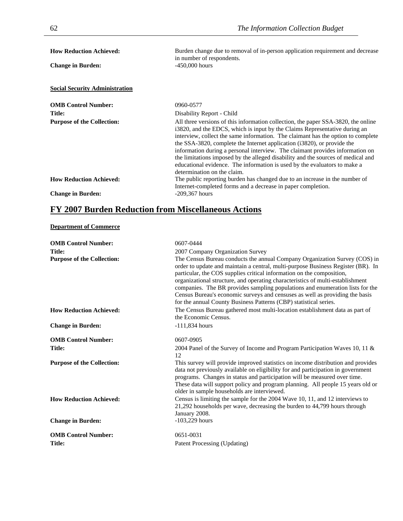| <b>How Reduction Achieved:</b>        | Burden change due to removal of in-person application requirement and decrease<br>in number of respondents.                                                                                                                                                                                                                                                                                                                                                                                                                                                                                                     |
|---------------------------------------|-----------------------------------------------------------------------------------------------------------------------------------------------------------------------------------------------------------------------------------------------------------------------------------------------------------------------------------------------------------------------------------------------------------------------------------------------------------------------------------------------------------------------------------------------------------------------------------------------------------------|
| <b>Change in Burden:</b>              | $-450,000$ hours                                                                                                                                                                                                                                                                                                                                                                                                                                                                                                                                                                                                |
| <b>Social Security Administration</b> |                                                                                                                                                                                                                                                                                                                                                                                                                                                                                                                                                                                                                 |
| <b>OMB Control Number:</b>            | 0960-0577                                                                                                                                                                                                                                                                                                                                                                                                                                                                                                                                                                                                       |
| Title:                                | Disability Report - Child                                                                                                                                                                                                                                                                                                                                                                                                                                                                                                                                                                                       |
| <b>Purpose of the Collection:</b>     | All three versions of this information collection, the paper SSA-3820, the online<br>i3820, and the EDCS, which is input by the Claims Representative during an<br>interview, collect the same information. The claimant has the option to complete<br>the SSA-3820, complete the Internet application (i3820), or provide the<br>information during a personal interview. The claimant provides information on<br>the limitations imposed by the alleged disability and the sources of medical and<br>educational evidence. The information is used by the evaluators to make a<br>determination on the claim. |
| <b>How Reduction Achieved:</b>        | The public reporting burden has changed due to an increase in the number of<br>Internet-completed forms and a decrease in paper completion.                                                                                                                                                                                                                                                                                                                                                                                                                                                                     |
| <b>Change in Burden:</b>              | $-209,367$ hours                                                                                                                                                                                                                                                                                                                                                                                                                                                                                                                                                                                                |

# **FY 2007 Burden Reduction from Miscellaneous Actions**

#### **Department of Commerce**

| <b>OMB Control Number:</b>        | 0607-0444                                                                                                                                                                                                                                                                                                                                                                                                                                                                                                                                                       |
|-----------------------------------|-----------------------------------------------------------------------------------------------------------------------------------------------------------------------------------------------------------------------------------------------------------------------------------------------------------------------------------------------------------------------------------------------------------------------------------------------------------------------------------------------------------------------------------------------------------------|
| <b>Title:</b>                     | 2007 Company Organization Survey                                                                                                                                                                                                                                                                                                                                                                                                                                                                                                                                |
| <b>Purpose of the Collection:</b> | The Census Bureau conducts the annual Company Organization Survey (COS) in<br>order to update and maintain a central, multi-purpose Business Register (BR). In<br>particular, the COS supplies critical information on the composition,<br>organizational structure, and operating characteristics of multi-establishment<br>companies. The BR provides sampling populations and enumeration lists for the<br>Census Bureau's economic surveys and censuses as well as providing the basis<br>for the annual County Business Patterns (CBP) statistical series. |
| <b>How Reduction Achieved:</b>    | The Census Bureau gathered most multi-location establishment data as part of<br>the Economic Census.                                                                                                                                                                                                                                                                                                                                                                                                                                                            |
| <b>Change in Burden:</b>          | $-111,834$ hours                                                                                                                                                                                                                                                                                                                                                                                                                                                                                                                                                |
| <b>OMB Control Number:</b>        | 0607-0905                                                                                                                                                                                                                                                                                                                                                                                                                                                                                                                                                       |
| <b>Title:</b>                     | 2004 Panel of the Survey of Income and Program Participation Waves 10, 11 &<br>12                                                                                                                                                                                                                                                                                                                                                                                                                                                                               |
| <b>Purpose of the Collection:</b> | This survey will provide improved statistics on income distribution and provides<br>data not previously available on eligibility for and participation in government<br>programs. Changes in status and participation will be measured over time.<br>These data will support policy and program planning. All people 15 years old or<br>older in sample households are interviewed.                                                                                                                                                                             |
| <b>How Reduction Achieved:</b>    | Census is limiting the sample for the 2004 Wave 10, 11, and 12 interviews to<br>21,292 households per wave, decreasing the burden to 44,799 hours through<br>January 2008.                                                                                                                                                                                                                                                                                                                                                                                      |
| <b>Change in Burden:</b>          | $-103,229$ hours                                                                                                                                                                                                                                                                                                                                                                                                                                                                                                                                                |
| <b>OMB Control Number:</b>        | 0651-0031                                                                                                                                                                                                                                                                                                                                                                                                                                                                                                                                                       |
| <b>Title:</b>                     | Patent Processing (Updating)                                                                                                                                                                                                                                                                                                                                                                                                                                                                                                                                    |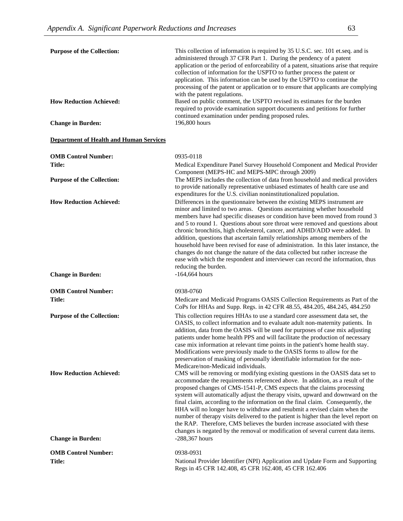| <b>Purpose of the Collection:</b>                          | This collection of information is required by 35 U.S.C. sec. 101 et.seq. and is<br>administered through 37 CFR Part 1. During the pendency of a patent<br>application or the period of enforceability of a patent, situations arise that require<br>collection of information for the USPTO to further process the patent or<br>application. This information can be used by the USPTO to continue the<br>processing of the patent or application or to ensure that applicants are complying<br>with the patent regulations.                                                                                                                                                                                                                                               |
|------------------------------------------------------------|----------------------------------------------------------------------------------------------------------------------------------------------------------------------------------------------------------------------------------------------------------------------------------------------------------------------------------------------------------------------------------------------------------------------------------------------------------------------------------------------------------------------------------------------------------------------------------------------------------------------------------------------------------------------------------------------------------------------------------------------------------------------------|
| <b>How Reduction Achieved:</b>                             | Based on public comment, the USPTO revised its estimates for the burden<br>required to provide examination support documents and petitions for further<br>continued examination under pending proposed rules.                                                                                                                                                                                                                                                                                                                                                                                                                                                                                                                                                              |
| <b>Change in Burden:</b>                                   | 196,800 hours                                                                                                                                                                                                                                                                                                                                                                                                                                                                                                                                                                                                                                                                                                                                                              |
| <b>Department of Health and Human Services</b>             |                                                                                                                                                                                                                                                                                                                                                                                                                                                                                                                                                                                                                                                                                                                                                                            |
| <b>OMB Control Number:</b>                                 | 0935-0118                                                                                                                                                                                                                                                                                                                                                                                                                                                                                                                                                                                                                                                                                                                                                                  |
| <b>Title:</b>                                              | Medical Expenditure Panel Survey Household Component and Medical Provider<br>Component (MEPS-HC and MEPS-MPC through 2009)                                                                                                                                                                                                                                                                                                                                                                                                                                                                                                                                                                                                                                                 |
| <b>Purpose of the Collection:</b>                          | The MEPS includes the collection of data from household and medical providers<br>to provide nationally representative unbiased estimates of health care use and<br>expenditures for the U.S. civilian noninstitutionalized population.                                                                                                                                                                                                                                                                                                                                                                                                                                                                                                                                     |
| <b>How Reduction Achieved:</b>                             | Differences in the questionnaire between the existing MEPS instrument are<br>minor and limited to two areas. Questions ascertaining whether household<br>members have had specific diseases or condition have been moved from round 3<br>and 5 to round 1. Questions about sore throat were removed and questions about<br>chronic bronchitis, high cholesterol, cancer, and ADHD/ADD were added. In<br>addition, questions that ascertain family relationships among members of the<br>household have been revised for ease of administration. In this later instance, the<br>changes do not change the nature of the data collected but rather increase the<br>ease with which the respondent and interviewer can record the information, thus<br>reducing the burden.   |
| <b>Change in Burden:</b>                                   | $-164,664$ hours                                                                                                                                                                                                                                                                                                                                                                                                                                                                                                                                                                                                                                                                                                                                                           |
| <b>OMB Control Number:</b>                                 | 0938-0760                                                                                                                                                                                                                                                                                                                                                                                                                                                                                                                                                                                                                                                                                                                                                                  |
| <b>Title:</b>                                              | Medicare and Medicaid Programs OASIS Collection Requirements as Part of the<br>CoPs for HHAs and Supp. Regs. in 42 CFR 48.55, 484.205, 484.245, 484.250                                                                                                                                                                                                                                                                                                                                                                                                                                                                                                                                                                                                                    |
| <b>Purpose of the Collection:</b>                          | This collection requires HHAs to use a standard core assessment data set, the<br>OASIS, to collect information and to evaluate adult non-maternity patients. In<br>addition, data from the OASIS will be used for purposes of case mix adjusting<br>patients under home health PPS and will facilitate the production of necessary<br>case mix information at relevant time points in the patient's home health stay.<br>Modifications were previously made to the OASIS forms to allow for the<br>preservation of masking of personally identifiable information for the non-<br>Medicare/non-Medicaid individuals.                                                                                                                                                       |
| <b>How Reduction Achieved:</b><br><b>Change in Burden:</b> | CMS will be removing or modifying existing questions in the OASIS data set to<br>accommodate the requirements referenced above. In addition, as a result of the<br>proposed changes of CMS-1541-P, CMS expects that the claims processing<br>system will automatically adjust the therapy visits, upward and downward on the<br>final claim, according to the information on the final claim. Consequently, the<br>HHA will no longer have to withdraw and resubmit a revised claim when the<br>number of therapy visits delivered to the patient is higher than the level report on<br>the RAP. Therefore, CMS believes the burden increase associated with these<br>changes is negated by the removal or modification of several current data items.<br>$-288,367$ hours |
| <b>OMB Control Number:</b>                                 | 0938-0931                                                                                                                                                                                                                                                                                                                                                                                                                                                                                                                                                                                                                                                                                                                                                                  |
| <b>Title:</b>                                              | National Provider Identifier (NPI) Application and Update Form and Supporting<br>Regs in 45 CFR 142.408, 45 CFR 162.408, 45 CFR 162.406                                                                                                                                                                                                                                                                                                                                                                                                                                                                                                                                                                                                                                    |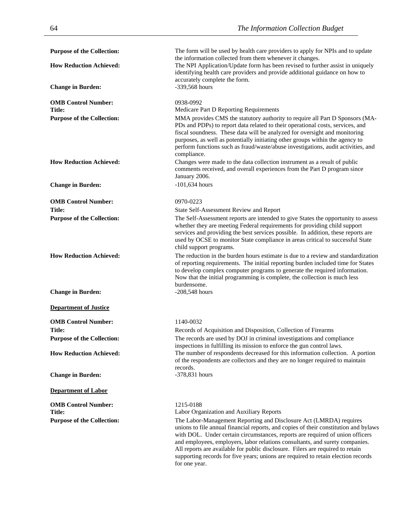| <b>Purpose of the Collection:</b>           | The form will be used by health care providers to apply for NPIs and to update<br>the information collected from them whenever it changes.                                                                                                                                                                                                                                                                                                                                                                          |
|---------------------------------------------|---------------------------------------------------------------------------------------------------------------------------------------------------------------------------------------------------------------------------------------------------------------------------------------------------------------------------------------------------------------------------------------------------------------------------------------------------------------------------------------------------------------------|
| <b>How Reduction Achieved:</b>              | The NPI Application/Update form has been revised to further assist in uniquely<br>identifying health care providers and provide additional guidance on how to                                                                                                                                                                                                                                                                                                                                                       |
| <b>Change in Burden:</b>                    | accurately complete the form.<br>-339,568 hours                                                                                                                                                                                                                                                                                                                                                                                                                                                                     |
| <b>OMB Control Number:</b>                  | 0938-0992                                                                                                                                                                                                                                                                                                                                                                                                                                                                                                           |
| Title:<br><b>Purpose of the Collection:</b> | Medicare Part D Reporting Requirements<br>MMA provides CMS the statutory authority to require all Part D Sponsors (MA-<br>PDs and PDPs) to report data related to their operational costs, services, and<br>fiscal soundness. These data will be analyzed for oversight and monitoring                                                                                                                                                                                                                              |
|                                             | purposes, as well as potentially initiating other groups within the agency to<br>perform functions such as fraud/waste/abuse investigations, audit activities, and<br>compliance.                                                                                                                                                                                                                                                                                                                                   |
| <b>How Reduction Achieved:</b>              | Changes were made to the data collection instrument as a result of public<br>comments received, and overall experiences from the Part D program since<br>January 2006.                                                                                                                                                                                                                                                                                                                                              |
| <b>Change in Burden:</b>                    | $-101,634$ hours                                                                                                                                                                                                                                                                                                                                                                                                                                                                                                    |
| <b>OMB Control Number:</b>                  | 0970-0223                                                                                                                                                                                                                                                                                                                                                                                                                                                                                                           |
| <b>Title:</b>                               | State Self-Assessment Review and Report                                                                                                                                                                                                                                                                                                                                                                                                                                                                             |
| <b>Purpose of the Collection:</b>           | The Self-Assessment reports are intended to give States the opportunity to assess<br>whether they are meeting Federal requirements for providing child support<br>services and providing the best services possible. In addition, these reports are<br>used by OCSE to monitor State compliance in areas critical to successful State<br>child support programs.                                                                                                                                                    |
| <b>How Reduction Achieved:</b>              | The reduction in the burden hours estimate is due to a review and standardization<br>of reporting requirements. The initial reporting burden included time for States<br>to develop complex computer programs to generate the required information.<br>Now that the initial programming is complete, the collection is much less<br>burdensome.                                                                                                                                                                     |
| <b>Change in Burden:</b>                    | $-208,548$ hours                                                                                                                                                                                                                                                                                                                                                                                                                                                                                                    |
| <b>Department of Justice</b>                |                                                                                                                                                                                                                                                                                                                                                                                                                                                                                                                     |
| <b>OMB Control Number:</b>                  | 1140-0032                                                                                                                                                                                                                                                                                                                                                                                                                                                                                                           |
| <b>Title:</b>                               | Records of Acquisition and Disposition, Collection of Firearms                                                                                                                                                                                                                                                                                                                                                                                                                                                      |
| <b>Purpose of the Collection:</b>           | The records are used by DOJ in criminal investigations and compliance<br>inspections in fulfilling its mission to enforce the gun control laws.                                                                                                                                                                                                                                                                                                                                                                     |
| <b>How Reduction Achieved:</b>              | The number of respondents decreased for this information collection. A portion<br>of the respondents are collectors and they are no longer required to maintain                                                                                                                                                                                                                                                                                                                                                     |
| <b>Change in Burden:</b>                    | records.<br>$-378,831$ hours                                                                                                                                                                                                                                                                                                                                                                                                                                                                                        |
| <b>Department of Labor</b>                  |                                                                                                                                                                                                                                                                                                                                                                                                                                                                                                                     |
| <b>OMB Control Number:</b><br>Title:        | 1215-0188<br>Labor Organization and Auxiliary Reports                                                                                                                                                                                                                                                                                                                                                                                                                                                               |
| <b>Purpose of the Collection:</b>           | The Labor-Management Reporting and Disclosure Act (LMRDA) requires<br>unions to file annual financial reports, and copies of their constitution and bylaws<br>with DOL. Under certain circumstances, reports are required of union officers<br>and employees, employers, labor relations consultants, and surety companies.<br>All reports are available for public disclosure. Filers are required to retain<br>supporting records for five years; unions are required to retain election records<br>for one year. |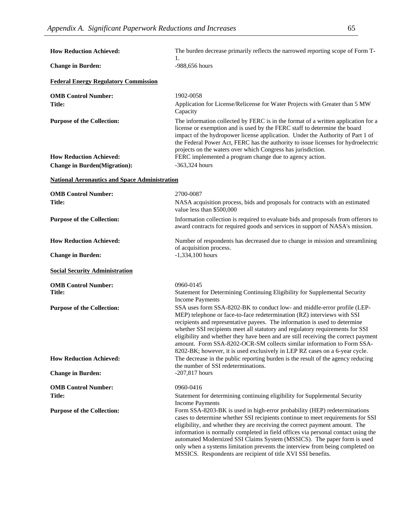| <b>How Reduction Achieved:</b>                       | The burden decrease primarily reflects the narrowed reporting scope of Form T-                                                                                                                                                                                                                                                                                                                                                                                                                                                                                    |
|------------------------------------------------------|-------------------------------------------------------------------------------------------------------------------------------------------------------------------------------------------------------------------------------------------------------------------------------------------------------------------------------------------------------------------------------------------------------------------------------------------------------------------------------------------------------------------------------------------------------------------|
| <b>Change in Burden:</b>                             | -988,656 hours                                                                                                                                                                                                                                                                                                                                                                                                                                                                                                                                                    |
| <b>Federal Energy Regulatory Commission</b>          |                                                                                                                                                                                                                                                                                                                                                                                                                                                                                                                                                                   |
| <b>OMB Control Number:</b>                           | 1902-0058                                                                                                                                                                                                                                                                                                                                                                                                                                                                                                                                                         |
| Title:                                               | Application for License/Relicense for Water Projects with Greater than 5 MW<br>Capacity                                                                                                                                                                                                                                                                                                                                                                                                                                                                           |
| <b>Purpose of the Collection:</b>                    | The information collected by FERC is in the format of a written application for a<br>license or exemption and is used by the FERC staff to determine the board<br>impact of the hydropower license application. Under the Authority of Part 1 of<br>the Federal Power Act, FERC has the authority to issue licenses for hydroelectric<br>projects on the waters over which Congress has jurisdiction.                                                                                                                                                             |
| <b>How Reduction Achieved:</b>                       | FERC implemented a program change due to agency action.                                                                                                                                                                                                                                                                                                                                                                                                                                                                                                           |
| <b>Change in Burden(Migration):</b>                  | $-363,324$ hours                                                                                                                                                                                                                                                                                                                                                                                                                                                                                                                                                  |
| <b>National Aeronautics and Space Administration</b> |                                                                                                                                                                                                                                                                                                                                                                                                                                                                                                                                                                   |
| <b>OMB Control Number:</b>                           | 2700-0087                                                                                                                                                                                                                                                                                                                                                                                                                                                                                                                                                         |
| Title:                                               | NASA acquisition process, bids and proposals for contracts with an estimated<br>value less than \$500,000                                                                                                                                                                                                                                                                                                                                                                                                                                                         |
| <b>Purpose of the Collection:</b>                    | Information collection is required to evaluate bids and proposals from offerors to<br>award contracts for required goods and services in support of NASA's mission.                                                                                                                                                                                                                                                                                                                                                                                               |
| <b>How Reduction Achieved:</b>                       | Number of respondents has decreased due to change in mission and streamlining<br>of acquisition process.                                                                                                                                                                                                                                                                                                                                                                                                                                                          |
| <b>Change in Burden:</b>                             | $-1,334,100$ hours                                                                                                                                                                                                                                                                                                                                                                                                                                                                                                                                                |
| <b>Social Security Administration</b>                |                                                                                                                                                                                                                                                                                                                                                                                                                                                                                                                                                                   |
| <b>OMB Control Number:</b>                           | 0960-0145                                                                                                                                                                                                                                                                                                                                                                                                                                                                                                                                                         |
| Title:                                               | Statement for Determining Continuing Eligibility for Supplemental Security<br><b>Income Payments</b>                                                                                                                                                                                                                                                                                                                                                                                                                                                              |
| <b>Purpose of the Collection:</b>                    | SSA uses form SSA-8202-BK to conduct low- and middle-error profile (LEP-<br>MEP) telephone or face-to-face redetermination (RZ) interviews with SSI<br>recipients and representative payees. The information is used to determine<br>whether SSI recipients meet all statutory and regulatory requirements for SSI<br>eligibility and whether they have been and are still receiving the correct payment<br>amount. Form SSA-8202-OCR-SM collects similar information to Form SSA-<br>8202-BK; however, it is used exclusively in LEP RZ cases on a 6-year cycle. |
| <b>How Reduction Achieved:</b>                       | The decrease in the public reporting burden is the result of the agency reducing<br>the number of SSI redeterminations.                                                                                                                                                                                                                                                                                                                                                                                                                                           |
| <b>Change in Burden:</b>                             | $-207,817$ hours                                                                                                                                                                                                                                                                                                                                                                                                                                                                                                                                                  |
| <b>OMB Control Number:</b>                           | 0960-0416                                                                                                                                                                                                                                                                                                                                                                                                                                                                                                                                                         |
| <b>Title:</b>                                        | Statement for determining continuing eligibility for Supplemental Security<br>Income Payments                                                                                                                                                                                                                                                                                                                                                                                                                                                                     |
| <b>Purpose of the Collection:</b>                    | Form SSA-8203-BK is used in high-error probability (HEP) redeterminations<br>cases to determine whether SSI recipients continue to meet requirements for SSI<br>eligibility, and whether they are receiving the correct payment amount. The<br>information is normally completed in field offices via personal contact using the<br>automated Modernized SSI Claims System (MSSICS). The paper form is used<br>only when a systems limitation prevents the interview from being completed on<br>MSSICS. Respondents are recipient of title XVI SSI benefits.      |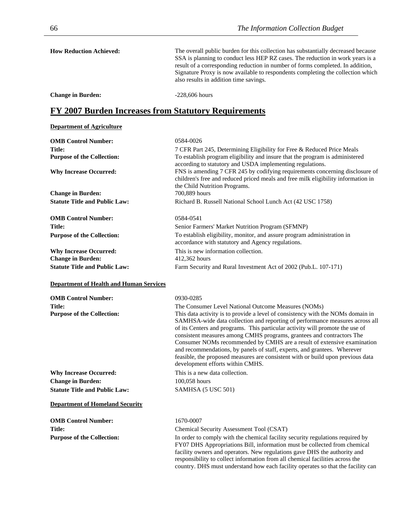| <b>How Reduction Achieved:</b> | The overall public burden for this collection has substantially decreased because<br>SSA is planning to conduct less HEP RZ cases. The reduction in work years is a<br>result of a corresponding reduction in number of forms completed. In addition,<br>Signature Proxy is now available to respondents completing the collection which<br>also results in addition time savings. |
|--------------------------------|------------------------------------------------------------------------------------------------------------------------------------------------------------------------------------------------------------------------------------------------------------------------------------------------------------------------------------------------------------------------------------|
|                                |                                                                                                                                                                                                                                                                                                                                                                                    |

**Change in Burden:**  $-228,606$  hours

## **FY 2007 Burden Increases from Statutory Requirements**

### **Department of Agriculture**

| <b>OMB Control Number:</b>                         | 0584-0026                                                                                                                                                                                                                                                                                                                                                                                                                                                                                                                                                                                                                                                      |
|----------------------------------------------------|----------------------------------------------------------------------------------------------------------------------------------------------------------------------------------------------------------------------------------------------------------------------------------------------------------------------------------------------------------------------------------------------------------------------------------------------------------------------------------------------------------------------------------------------------------------------------------------------------------------------------------------------------------------|
| <b>Title:</b>                                      | 7 CFR Part 245, Determining Eligibility for Free & Reduced Price Meals                                                                                                                                                                                                                                                                                                                                                                                                                                                                                                                                                                                         |
| <b>Purpose of the Collection:</b>                  | To establish program eligibility and insure that the program is administered<br>according to statutory and USDA implementing regulations.                                                                                                                                                                                                                                                                                                                                                                                                                                                                                                                      |
| <b>Why Increase Occurred:</b>                      | FNS is amending 7 CFR 245 by codifying requirements concerning disclosure of<br>children's free and reduced priced meals and free milk eligibility information in<br>the Child Nutrition Programs.                                                                                                                                                                                                                                                                                                                                                                                                                                                             |
| <b>Change in Burden:</b>                           | 700,889 hours                                                                                                                                                                                                                                                                                                                                                                                                                                                                                                                                                                                                                                                  |
| <b>Statute Title and Public Law:</b>               | Richard B. Russell National School Lunch Act (42 USC 1758)                                                                                                                                                                                                                                                                                                                                                                                                                                                                                                                                                                                                     |
| <b>OMB Control Number:</b>                         | 0584-0541                                                                                                                                                                                                                                                                                                                                                                                                                                                                                                                                                                                                                                                      |
| Title:                                             | Senior Farmers' Market Nutrition Program (SFMNP)                                                                                                                                                                                                                                                                                                                                                                                                                                                                                                                                                                                                               |
| <b>Purpose of the Collection:</b>                  | To establish eligibility, monitor, and assure program administration in<br>accordance with statutory and Agency regulations.                                                                                                                                                                                                                                                                                                                                                                                                                                                                                                                                   |
| <b>Why Increase Occurred:</b>                      | This is new information collection.                                                                                                                                                                                                                                                                                                                                                                                                                                                                                                                                                                                                                            |
| <b>Change in Burden:</b>                           | 412,362 hours                                                                                                                                                                                                                                                                                                                                                                                                                                                                                                                                                                                                                                                  |
| <b>Statute Title and Public Law:</b>               | Farm Security and Rural Investment Act of 2002 (Pub.L. 107-171)                                                                                                                                                                                                                                                                                                                                                                                                                                                                                                                                                                                                |
| <b>Department of Health and Human Services</b>     |                                                                                                                                                                                                                                                                                                                                                                                                                                                                                                                                                                                                                                                                |
| <b>OMB Control Number:</b>                         | 0930-0285                                                                                                                                                                                                                                                                                                                                                                                                                                                                                                                                                                                                                                                      |
| <b>Title:</b><br><b>Purpose of the Collection:</b> | The Consumer Level National Outcome Measures (NOMs)<br>This data activity is to provide a level of consistency with the NOMs domain in<br>SAMHSA-wide data collection and reporting of performance measures across all<br>of its Centers and programs. This particular activity will promote the use of<br>consistent measures among CMHS programs, grantees and contractors The<br>Consumer NOMs recommended by CMHS are a result of extensive examination<br>and recommendations, by panels of staff, experts, and grantees. Wherever<br>feasible, the proposed measures are consistent with or build upon previous data<br>development efforts within CMHS. |
| <b>Why Increase Occurred:</b>                      | This is a new data collection.                                                                                                                                                                                                                                                                                                                                                                                                                                                                                                                                                                                                                                 |
| <b>Change in Burden:</b>                           | 100,058 hours                                                                                                                                                                                                                                                                                                                                                                                                                                                                                                                                                                                                                                                  |
| <b>Statute Title and Public Law:</b>               | SAMHSA (5 USC 501)                                                                                                                                                                                                                                                                                                                                                                                                                                                                                                                                                                                                                                             |
| <b>Department of Homeland Security</b>             |                                                                                                                                                                                                                                                                                                                                                                                                                                                                                                                                                                                                                                                                |
| <b>OMB Control Number:</b>                         | 1670-0007                                                                                                                                                                                                                                                                                                                                                                                                                                                                                                                                                                                                                                                      |
| <b>Title:</b>                                      | Chemical Security Assessment Tool (CSAT)                                                                                                                                                                                                                                                                                                                                                                                                                                                                                                                                                                                                                       |
| <b>Purpose of the Collection:</b>                  | In order to comply with the chemical facility security regulations required by<br>FY07 DHS Appropriations Bill, information must be collected from chemical<br>facility owners and operators. New regulations gave DHS the authority and<br>responsibility to collect information from all chemical facilities across the<br>country. DHS must understand how each facility operates so that the facility can                                                                                                                                                                                                                                                  |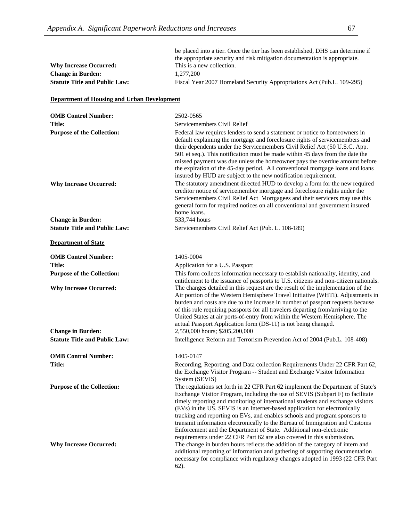| <b>Why Increase Occurred:</b><br><b>Change in Burden:</b><br><b>Statute Title and Public Law:</b> | be placed into a tier. Once the tier has been established, DHS can determine if<br>the appropriate security and risk mitigation documentation is appropriate.<br>This is a new collection.<br>1,277,200<br>Fiscal Year 2007 Homeland Security Appropriations Act (Pub.L. 109-295)                                                                                                                                                                                                                                                                                                                                                                |
|---------------------------------------------------------------------------------------------------|--------------------------------------------------------------------------------------------------------------------------------------------------------------------------------------------------------------------------------------------------------------------------------------------------------------------------------------------------------------------------------------------------------------------------------------------------------------------------------------------------------------------------------------------------------------------------------------------------------------------------------------------------|
| <b>Department of Housing and Urban Development</b>                                                |                                                                                                                                                                                                                                                                                                                                                                                                                                                                                                                                                                                                                                                  |
| <b>OMB Control Number:</b>                                                                        | 2502-0565                                                                                                                                                                                                                                                                                                                                                                                                                                                                                                                                                                                                                                        |
| Title:                                                                                            | Servicemembers Civil Relief                                                                                                                                                                                                                                                                                                                                                                                                                                                                                                                                                                                                                      |
| <b>Purpose of the Collection:</b>                                                                 | Federal law requires lenders to send a statement or notice to homeowners in<br>default explaining the mortgage and foreclosure rights of servicemembers and<br>their dependents under the Servicemembers Civil Relief Act (50 U.S.C. App.<br>501 et seq.). This notification must be made within 45 days from the date the<br>missed payment was due unless the homeowner pays the overdue amount before<br>the expiration of the 45-day period. All conventional mortgage loans and loans<br>insured by HUD are subject to the new notification requirement.                                                                                    |
| <b>Why Increase Occurred:</b>                                                                     | The statutory amendment directed HUD to develop a form for the new required<br>creditor notice of servicemember mortgage and foreclosure rights under the<br>Servicemembers Civil Relief Act Mortgagees and their servicers may use this<br>general form for required notices on all conventional and government insured<br>home loans.                                                                                                                                                                                                                                                                                                          |
| <b>Change in Burden:</b>                                                                          | 533,744 hours                                                                                                                                                                                                                                                                                                                                                                                                                                                                                                                                                                                                                                    |
| <b>Statute Title and Public Law:</b>                                                              | Servicemembers Civil Relief Act (Pub. L. 108-189)                                                                                                                                                                                                                                                                                                                                                                                                                                                                                                                                                                                                |
| <b>Department of State</b>                                                                        |                                                                                                                                                                                                                                                                                                                                                                                                                                                                                                                                                                                                                                                  |
| <b>OMB Control Number:</b>                                                                        | 1405-0004                                                                                                                                                                                                                                                                                                                                                                                                                                                                                                                                                                                                                                        |
| Title:                                                                                            | Application for a U.S. Passport                                                                                                                                                                                                                                                                                                                                                                                                                                                                                                                                                                                                                  |
| <b>Purpose of the Collection:</b>                                                                 | This form collects information necessary to establish nationality, identity, and<br>entitlement to the issuance of passports to U.S. citizens and non-citizen nationals.                                                                                                                                                                                                                                                                                                                                                                                                                                                                         |
| <b>Why Increase Occurred:</b>                                                                     | The changes detailed in this request are the result of the implementation of the<br>Air portion of the Western Hemisphere Travel Initiative (WHTI). Adjustments in<br>burden and costs are due to the increase in number of passport requests because<br>of this rule requiring passports for all travelers departing from/arriving to the<br>United States at air ports-of-entry from within the Western Hemisphere. The<br>actual Passport Application form (DS-11) is not being changed.                                                                                                                                                      |
| <b>Change in Burden:</b>                                                                          | 2,550,000 hours; \$205,200,000                                                                                                                                                                                                                                                                                                                                                                                                                                                                                                                                                                                                                   |
| <b>Statute Title and Public Law:</b>                                                              | Intelligence Reform and Terrorism Prevention Act of 2004 (Pub.L. 108-408)                                                                                                                                                                                                                                                                                                                                                                                                                                                                                                                                                                        |
| <b>OMB Control Number:</b>                                                                        | 1405-0147                                                                                                                                                                                                                                                                                                                                                                                                                                                                                                                                                                                                                                        |
| <b>Title:</b>                                                                                     | Recording, Reporting, and Data collection Requirements Under 22 CFR Part 62,<br>the Exchange Visitor Program -- Student and Exchange Visitor Information<br>System (SEVIS)                                                                                                                                                                                                                                                                                                                                                                                                                                                                       |
| <b>Purpose of the Collection:</b>                                                                 | The regulations set forth in 22 CFR Part 62 implement the Department of State's<br>Exchange Visitor Program, including the use of SEVIS (Subpart F) to facilitate<br>timely reporting and monitoring of international students and exchange visitors<br>(EVs) in the US. SEVIS is an Internet-based application for electronically<br>tracking and reporting on EVs, and enables schools and program sponsors to<br>transmit information electronically to the Bureau of Immigration and Customs<br>Enforcement and the Department of State. Additional non-electronic<br>requirements under 22 CFR Part 62 are also covered in this submission. |
| <b>Why Increase Occurred:</b>                                                                     | The change in burden hours reflects the addition of the category of intern and<br>additional reporting of information and gathering of supporting documentation<br>necessary for compliance with regulatory changes adopted in 1993 (22 CFR Part<br>$62)$ .                                                                                                                                                                                                                                                                                                                                                                                      |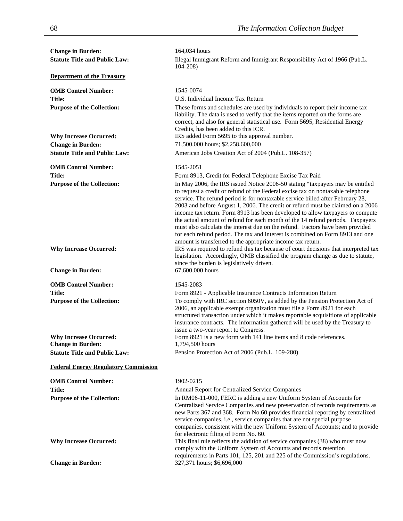| <b>Change in Burden:</b>                                  | 164,034 hours                                                                                                                                                                                                                                                                                                                                                                                                                                                                                                                                                                                                                                                                                                                             |
|-----------------------------------------------------------|-------------------------------------------------------------------------------------------------------------------------------------------------------------------------------------------------------------------------------------------------------------------------------------------------------------------------------------------------------------------------------------------------------------------------------------------------------------------------------------------------------------------------------------------------------------------------------------------------------------------------------------------------------------------------------------------------------------------------------------------|
| <b>Statute Title and Public Law:</b>                      | Illegal Immigrant Reform and Immigrant Responsibility Act of 1966 (Pub.L.<br>$104 - 208$                                                                                                                                                                                                                                                                                                                                                                                                                                                                                                                                                                                                                                                  |
| <b>Department of the Treasury</b>                         |                                                                                                                                                                                                                                                                                                                                                                                                                                                                                                                                                                                                                                                                                                                                           |
| <b>OMB Control Number:</b>                                | 1545-0074                                                                                                                                                                                                                                                                                                                                                                                                                                                                                                                                                                                                                                                                                                                                 |
| Title:                                                    | U.S. Individual Income Tax Return                                                                                                                                                                                                                                                                                                                                                                                                                                                                                                                                                                                                                                                                                                         |
| <b>Purpose of the Collection:</b>                         | These forms and schedules are used by individuals to report their income tax                                                                                                                                                                                                                                                                                                                                                                                                                                                                                                                                                                                                                                                              |
|                                                           | liability. The data is used to verify that the items reported on the forms are                                                                                                                                                                                                                                                                                                                                                                                                                                                                                                                                                                                                                                                            |
|                                                           | correct, and also for general statistical use. Form 5695, Residential Energy<br>Credits, has been added to this ICR.                                                                                                                                                                                                                                                                                                                                                                                                                                                                                                                                                                                                                      |
| <b>Why Increase Occurred:</b>                             | IRS added Form 5695 to this approval number.                                                                                                                                                                                                                                                                                                                                                                                                                                                                                                                                                                                                                                                                                              |
| <b>Change in Burden:</b>                                  | 71,500,000 hours; \$2,258,600,000                                                                                                                                                                                                                                                                                                                                                                                                                                                                                                                                                                                                                                                                                                         |
| <b>Statute Title and Public Law:</b>                      | American Jobs Creation Act of 2004 (Pub.L. 108-357)                                                                                                                                                                                                                                                                                                                                                                                                                                                                                                                                                                                                                                                                                       |
| <b>OMB Control Number:</b>                                | 1545-2051                                                                                                                                                                                                                                                                                                                                                                                                                                                                                                                                                                                                                                                                                                                                 |
| Title:                                                    | Form 8913, Credit for Federal Telephone Excise Tax Paid                                                                                                                                                                                                                                                                                                                                                                                                                                                                                                                                                                                                                                                                                   |
| <b>Purpose of the Collection:</b>                         | In May 2006, the IRS issued Notice 2006-50 stating "taxpayers may be entitled<br>to request a credit or refund of the Federal excise tax on nontaxable telephone<br>service. The refund period is for nontaxable service billed after February 28,<br>2003 and before August 1, 2006. The credit or refund must be claimed on a 2006<br>income tax return. Form 8913 has been developed to allow taxpayers to compute<br>the actual amount of refund for each month of the 14 refund periods. Taxpayers<br>must also calculate the interest due on the refund. Factors have been provided<br>for each refund period. The tax and interest is combined on Form 8913 and one<br>amount is transferred to the appropriate income tax return. |
| <b>Why Increase Occurred:</b>                             | IRS was required to refund this tax because of court decisions that interpreted tax<br>legislation. Accordingly, OMB classified the program change as due to statute,<br>since the burden is legislatively driven.                                                                                                                                                                                                                                                                                                                                                                                                                                                                                                                        |
| <b>Change in Burden:</b>                                  | 67,600,000 hours                                                                                                                                                                                                                                                                                                                                                                                                                                                                                                                                                                                                                                                                                                                          |
| <b>OMB Control Number:</b>                                | 1545-2083                                                                                                                                                                                                                                                                                                                                                                                                                                                                                                                                                                                                                                                                                                                                 |
| <b>Title:</b>                                             | Form 8921 - Applicable Insurance Contracts Information Return                                                                                                                                                                                                                                                                                                                                                                                                                                                                                                                                                                                                                                                                             |
| <b>Purpose of the Collection:</b>                         | To comply with IRC section 6050V, as added by the Pension Protection Act of<br>2006, an applicable exempt organization must file a Form 8921 for each<br>structured transaction under which it makes reportable acquisitions of applicable<br>insurance contracts. The information gathered will be used by the Treasury to<br>issue a two-year report to Congress.                                                                                                                                                                                                                                                                                                                                                                       |
| <b>Why Increase Occurred:</b><br><b>Change in Burden:</b> | Form 8921 is a new form with 141 line items and 8 code references.<br>1,794,500 hours                                                                                                                                                                                                                                                                                                                                                                                                                                                                                                                                                                                                                                                     |
| <b>Statute Title and Public Law:</b>                      | Pension Protection Act of 2006 (Pub.L. 109-280)                                                                                                                                                                                                                                                                                                                                                                                                                                                                                                                                                                                                                                                                                           |
| <b>Federal Energy Regulatory Commission</b>               |                                                                                                                                                                                                                                                                                                                                                                                                                                                                                                                                                                                                                                                                                                                                           |
| <b>OMB Control Number:</b>                                |                                                                                                                                                                                                                                                                                                                                                                                                                                                                                                                                                                                                                                                                                                                                           |
| <b>Title:</b>                                             | 1902-0215<br>Annual Report for Centralized Service Companies                                                                                                                                                                                                                                                                                                                                                                                                                                                                                                                                                                                                                                                                              |
| <b>Purpose of the Collection:</b>                         | In RM06-11-000, FERC is adding a new Uniform System of Accounts for                                                                                                                                                                                                                                                                                                                                                                                                                                                                                                                                                                                                                                                                       |
|                                                           | Centralized Service Companies and new preservation of records requirements as<br>new Parts 367 and 368. Form No.60 provides financial reporting by centralized<br>service companies, i.e., service companies that are not special purpose<br>companies, consistent with the new Uniform System of Accounts; and to provide<br>for electronic filing of Form No. 60.                                                                                                                                                                                                                                                                                                                                                                       |
| <b>Why Increase Occurred:</b>                             | This final rule reflects the addition of service companies (38) who must now<br>comply with the Uniform System of Accounts and records retention<br>requirements in Parts 101, 125, 201 and 225 of the Commission's regulations.                                                                                                                                                                                                                                                                                                                                                                                                                                                                                                          |
| <b>Change in Burden:</b>                                  | 327,371 hours; \$6,696,000                                                                                                                                                                                                                                                                                                                                                                                                                                                                                                                                                                                                                                                                                                                |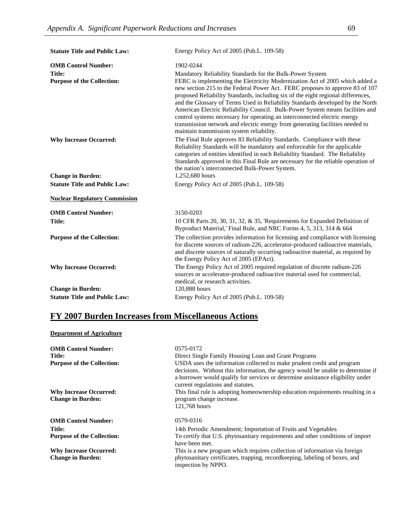| <b>Statute Title and Public Law:</b>                                             | Energy Policy Act of 2005 (Pub.L. 109-58)                                                                                                                                                                                                                                                                                                                                                                                                                                                                                                                                                                     |
|----------------------------------------------------------------------------------|---------------------------------------------------------------------------------------------------------------------------------------------------------------------------------------------------------------------------------------------------------------------------------------------------------------------------------------------------------------------------------------------------------------------------------------------------------------------------------------------------------------------------------------------------------------------------------------------------------------|
| <b>OMB Control Number:</b><br><b>Title:</b><br><b>Purpose of the Collection:</b> | 1902-0244<br>Mandatory Reliability Standards for the Bulk-Power System<br>FERC is implementing the Electricity Modernization Act of 2005 which added a<br>new section 215 to the Federal Power Act. FERC proposes to approve 83 of 107<br>proposed Reliability Standards, including six of the eight regional differences,<br>and the Glossary of Terms Used in Reliability Standards developed by the North<br>American Electric Reliability Council. Bulk-Power System means facilities and                                                                                                                 |
| <b>Why Increase Occurred:</b><br><b>Change in Burden:</b>                        | control systems necessary for operating an interconnected electric energy<br>transmission network and electric energy from generating facilities needed to<br>maintain transmission system reliability.<br>The Final Rule approves 83 Reliability Standards. Compliance with these<br>Reliability Standards will be mandatory and enforceable for the applicable<br>categories of entities identified in each Reliability Standard. The Reliability<br>Standards approved in this Final Rule are necessary for the reliable operation of<br>the nation's interconnected Bulk-Power System.<br>1,252,680 hours |
| <b>Statute Title and Public Law:</b>                                             | Energy Policy Act of 2005 (Pub.L. 109-58)                                                                                                                                                                                                                                                                                                                                                                                                                                                                                                                                                                     |
| <b>Nuclear Regulatory Commission</b>                                             |                                                                                                                                                                                                                                                                                                                                                                                                                                                                                                                                                                                                               |
| <b>OMB Control Number:</b>                                                       | 3150-0203                                                                                                                                                                                                                                                                                                                                                                                                                                                                                                                                                                                                     |
| <b>Title:</b>                                                                    | 10 CFR Parts 20, 30, 31, 32, & 35, 'Requirements for Expanded Definition of<br>Byproduct Material,' Final Rule, and NRC Forms 4, 5, 313, 314 & 664                                                                                                                                                                                                                                                                                                                                                                                                                                                            |
| <b>Purpose of the Collection:</b><br><b>Why Increase Occurred:</b>               | The collection provides information for licensing and compliance with licensing<br>for discrete sources of radium-226, accelerator-produced radioactive materials,<br>and discrete sources of naturally occurring radioactive material, as required by<br>the Energy Policy Act of 2005 (EPAct).<br>The Energy Policy Act of 2005 required regulation of discrete radium-226                                                                                                                                                                                                                                  |
| <b>Change in Burden:</b>                                                         | sources or accelerator-produced radioactive material used for commercial,<br>medical, or research activities.<br>120,888 hours                                                                                                                                                                                                                                                                                                                                                                                                                                                                                |
| <b>Statute Title and Public Law:</b>                                             | Energy Policy Act of 2005 (Pub.L. 109-58)                                                                                                                                                                                                                                                                                                                                                                                                                                                                                                                                                                     |

# **FY 2007 Burden Increases from Miscellaneous Actions**

### **Department of Agriculture**

| <b>OMB Control Number:</b><br>Title:<br><b>Purpose of the Collection:</b> | 0575-0172<br>Direct Single Family Housing Loan and Grant Programs<br>USDA uses the information collected to make prudent credit and program<br>decisions. Without this information, the agency would be unable to determine if<br>a borrower would qualify for services or determine assistance eligibility under |
|---------------------------------------------------------------------------|-------------------------------------------------------------------------------------------------------------------------------------------------------------------------------------------------------------------------------------------------------------------------------------------------------------------|
| <b>Why Increase Occurred:</b><br><b>Change in Burden:</b>                 | current regulations and statutes.<br>This final rule is adopting homeownership education requirements resulting in a<br>program change increase.<br>121,768 hours                                                                                                                                                 |
| <b>OMB Control Number:</b>                                                | 0579-0316                                                                                                                                                                                                                                                                                                         |
| <b>Title:</b>                                                             | 14th Periodic Amendment; Importation of Fruits and Vegetables                                                                                                                                                                                                                                                     |
| <b>Purpose of the Collection:</b>                                         | To certify that U.S. phytosanitary requirements and other conditions of import<br>have been met.                                                                                                                                                                                                                  |
| <b>Why Increase Occurred:</b>                                             | This is a new program which requires collection of information via foreign                                                                                                                                                                                                                                        |
| <b>Change in Burden:</b>                                                  | phytosanitary certificates, trapping, record keeping, labeling of boxes, and<br>inspection by NPPO.                                                                                                                                                                                                               |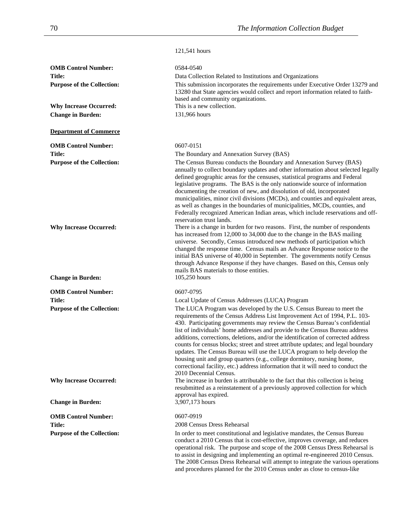|                                                                    | 121,541 hours                                                                                                                                                                                                                                                                                                                                                                                                                                                                                                                                                                                                                                                                                                                                                                                                                                        |
|--------------------------------------------------------------------|------------------------------------------------------------------------------------------------------------------------------------------------------------------------------------------------------------------------------------------------------------------------------------------------------------------------------------------------------------------------------------------------------------------------------------------------------------------------------------------------------------------------------------------------------------------------------------------------------------------------------------------------------------------------------------------------------------------------------------------------------------------------------------------------------------------------------------------------------|
| <b>OMB Control Number:</b>                                         | 0584-0540                                                                                                                                                                                                                                                                                                                                                                                                                                                                                                                                                                                                                                                                                                                                                                                                                                            |
| Title:                                                             | Data Collection Related to Institutions and Organizations                                                                                                                                                                                                                                                                                                                                                                                                                                                                                                                                                                                                                                                                                                                                                                                            |
| <b>Purpose of the Collection:</b>                                  | This submission incorporates the requirements under Executive Order 13279 and<br>13280 that State agencies would collect and report information related to faith-<br>based and community organizations.<br>This is a new collection.                                                                                                                                                                                                                                                                                                                                                                                                                                                                                                                                                                                                                 |
| <b>Why Increase Occurred:</b>                                      |                                                                                                                                                                                                                                                                                                                                                                                                                                                                                                                                                                                                                                                                                                                                                                                                                                                      |
| <b>Change in Burden:</b>                                           | 131,966 hours                                                                                                                                                                                                                                                                                                                                                                                                                                                                                                                                                                                                                                                                                                                                                                                                                                        |
| <b>Department of Commerce</b>                                      |                                                                                                                                                                                                                                                                                                                                                                                                                                                                                                                                                                                                                                                                                                                                                                                                                                                      |
| <b>OMB Control Number:</b>                                         | 0607-0151                                                                                                                                                                                                                                                                                                                                                                                                                                                                                                                                                                                                                                                                                                                                                                                                                                            |
| <b>Title:</b>                                                      | The Boundary and Annexation Survey (BAS)                                                                                                                                                                                                                                                                                                                                                                                                                                                                                                                                                                                                                                                                                                                                                                                                             |
| <b>Purpose of the Collection:</b>                                  | The Census Bureau conducts the Boundary and Annexation Survey (BAS)<br>annually to collect boundary updates and other information about selected legally<br>defined geographic areas for the censuses, statistical programs and Federal<br>legislative programs. The BAS is the only nationwide source of information<br>documenting the creation of new, and dissolution of old, incorporated<br>municipalities, minor civil divisions (MCDs), and counties and equivalent areas,<br>as well as changes in the boundaries of municipalities, MCDs, counties, and<br>Federally recognized American Indian areas, which include reservations and off-<br>reservation trust lands.                                                                                                                                                                     |
| <b>Why Increase Occurred:</b>                                      | There is a change in burden for two reasons. First, the number of respondents<br>has increased from 12,000 to 34,000 due to the change in the BAS mailing<br>universe. Secondly, Census introduced new methods of participation which<br>changed the response time. Census mails an Advance Response notice to the<br>initial BAS universe of 40,000 in September. The governments notify Census<br>through Advance Response if they have changes. Based on this, Census only<br>mails BAS materials to those entities.                                                                                                                                                                                                                                                                                                                              |
| <b>Change in Burden:</b>                                           | 105,250 hours                                                                                                                                                                                                                                                                                                                                                                                                                                                                                                                                                                                                                                                                                                                                                                                                                                        |
| <b>OMB Control Number:</b>                                         | 0607-0795                                                                                                                                                                                                                                                                                                                                                                                                                                                                                                                                                                                                                                                                                                                                                                                                                                            |
| Title:                                                             | Local Update of Census Addresses (LUCA) Program                                                                                                                                                                                                                                                                                                                                                                                                                                                                                                                                                                                                                                                                                                                                                                                                      |
| <b>Purpose of the Collection:</b><br><b>Why Increase Occurred:</b> | The LUCA Program was developed by the U.S. Census Bureau to meet the<br>requirements of the Census Address List Improvement Act of 1994, P.L. 103-<br>430. Participating governments may review the Census Bureau's confidential<br>list of individuals' home addresses and provide to the Census Bureau address<br>additions, corrections, deletions, and/or the identification of corrected address<br>counts for census blocks; street and street attribute updates; and legal boundary<br>updates. The Census Bureau will use the LUCA program to help develop the<br>housing unit and group quarters (e.g., college dormitory, nursing home,<br>correctional facility, etc.) address information that it will need to conduct the<br>2010 Decennial Census.<br>The increase in burden is attributable to the fact that this collection is being |
|                                                                    | resubmitted as a reinstatement of a previously approved collection for which<br>approval has expired.                                                                                                                                                                                                                                                                                                                                                                                                                                                                                                                                                                                                                                                                                                                                                |
| <b>Change in Burden:</b>                                           | 3,907,173 hours                                                                                                                                                                                                                                                                                                                                                                                                                                                                                                                                                                                                                                                                                                                                                                                                                                      |
| <b>OMB Control Number:</b>                                         | 0607-0919                                                                                                                                                                                                                                                                                                                                                                                                                                                                                                                                                                                                                                                                                                                                                                                                                                            |
| <b>Title:</b>                                                      | 2008 Census Dress Rehearsal                                                                                                                                                                                                                                                                                                                                                                                                                                                                                                                                                                                                                                                                                                                                                                                                                          |
| <b>Purpose of the Collection:</b>                                  | In order to meet constitutional and legislative mandates, the Census Bureau<br>conduct a 2010 Census that is cost-effective, improves coverage, and reduces<br>operational risk. The purpose and scope of the 2008 Census Dress Rehearsal is<br>to assist in designing and implementing an optimal re-engineered 2010 Census.<br>The 2008 Census Dress Rehearsal will attempt to integrate the various operations                                                                                                                                                                                                                                                                                                                                                                                                                                    |

and procedures planned for the 2010 Census under as close to census-like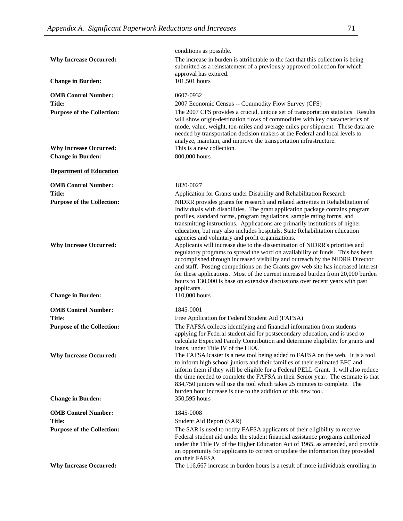|                                                                                                | conditions as possible.                                                                                                                                                                                                                                                                                                                                                                                                                                                                                                                                                                                                                                                                                                                                                                                                                                                                                                                                                                                |
|------------------------------------------------------------------------------------------------|--------------------------------------------------------------------------------------------------------------------------------------------------------------------------------------------------------------------------------------------------------------------------------------------------------------------------------------------------------------------------------------------------------------------------------------------------------------------------------------------------------------------------------------------------------------------------------------------------------------------------------------------------------------------------------------------------------------------------------------------------------------------------------------------------------------------------------------------------------------------------------------------------------------------------------------------------------------------------------------------------------|
| <b>Why Increase Occurred:</b>                                                                  | The increase in burden is attributable to the fact that this collection is being<br>submitted as a reinstatement of a previously approved collection for which<br>approval has expired.                                                                                                                                                                                                                                                                                                                                                                                                                                                                                                                                                                                                                                                                                                                                                                                                                |
| <b>Change in Burden:</b>                                                                       | 101,501 hours                                                                                                                                                                                                                                                                                                                                                                                                                                                                                                                                                                                                                                                                                                                                                                                                                                                                                                                                                                                          |
| <b>OMB Control Number:</b>                                                                     | 0607-0932                                                                                                                                                                                                                                                                                                                                                                                                                                                                                                                                                                                                                                                                                                                                                                                                                                                                                                                                                                                              |
| Title:                                                                                         | 2007 Economic Census -- Commodity Flow Survey (CFS)                                                                                                                                                                                                                                                                                                                                                                                                                                                                                                                                                                                                                                                                                                                                                                                                                                                                                                                                                    |
| <b>Purpose of the Collection:</b>                                                              | The 2007 CFS provides a crucial, unique set of transportation statistics. Results<br>will show origin-destination flows of commodities with key characteristics of<br>mode, value, weight, ton-miles and average miles per shipment. These data are<br>needed by transportation decision makers at the Federal and local levels to<br>analyze, maintain, and improve the transportation infrastructure.<br>This is a new collection.                                                                                                                                                                                                                                                                                                                                                                                                                                                                                                                                                                   |
| <b>Why Increase Occurred:</b>                                                                  |                                                                                                                                                                                                                                                                                                                                                                                                                                                                                                                                                                                                                                                                                                                                                                                                                                                                                                                                                                                                        |
| <b>Change in Burden:</b>                                                                       | 800,000 hours                                                                                                                                                                                                                                                                                                                                                                                                                                                                                                                                                                                                                                                                                                                                                                                                                                                                                                                                                                                          |
| <b>Department of Education</b>                                                                 |                                                                                                                                                                                                                                                                                                                                                                                                                                                                                                                                                                                                                                                                                                                                                                                                                                                                                                                                                                                                        |
| <b>OMB Control Number:</b>                                                                     | 1820-0027                                                                                                                                                                                                                                                                                                                                                                                                                                                                                                                                                                                                                                                                                                                                                                                                                                                                                                                                                                                              |
| <b>Title:</b>                                                                                  | Application for Grants under Disability and Rehabilitation Research                                                                                                                                                                                                                                                                                                                                                                                                                                                                                                                                                                                                                                                                                                                                                                                                                                                                                                                                    |
| <b>Purpose of the Collection:</b><br><b>Why Increase Occurred:</b><br><b>Change in Burden:</b> | NIDRR provides grants for research and related activities in Rehabilitation of<br>Individuals with disabilities. The grant application package contains program<br>profiles, standard forms, program regulations, sample rating forms, and<br>transmitting instructions. Applications are primarily institutions of higher<br>education, but may also includes hospitals, State Rehabilitation education<br>agencies and voluntary and profit organizations.<br>Applicants will increase due to the dissemination of NIDRR's priorities and<br>regulatory programs to spread the word on availability of funds. This has been<br>accomplished through increased visibility and outreach by the NIDRR Director<br>and staff. Posting competitions on the Grants.gov web site has increased interest<br>for these applications. Most of the current increased burden from 20,000 burden<br>hours to 130,000 is base on extensive discussions over recent years with past<br>applicants.<br>110,000 hours |
| <b>OMB Control Number:</b>                                                                     | 1845-0001                                                                                                                                                                                                                                                                                                                                                                                                                                                                                                                                                                                                                                                                                                                                                                                                                                                                                                                                                                                              |
| Title:                                                                                         | Free Application for Federal Student Aid (FAFSA)                                                                                                                                                                                                                                                                                                                                                                                                                                                                                                                                                                                                                                                                                                                                                                                                                                                                                                                                                       |
| <b>Purpose of the Collection:</b><br><b>Why Increase Occurred:</b>                             | The FAFSA collects identifying and financial information from students<br>applying for Federal student aid for postsecondary education, and is used to<br>calculate Expected Family Contribution and determine eligibility for grants and<br>loans, under Title IV of the HEA.<br>The FAFSA4caster is a new tool being added to FAFSA on the web. It is a tool<br>to inform high school juniors and their families of their estimated EFC and                                                                                                                                                                                                                                                                                                                                                                                                                                                                                                                                                          |
| <b>Change in Burden:</b>                                                                       | inform them if they will be eligible for a Federal PELL Grant. It will also reduce<br>the time needed to complete the FAFSA in their Senior year. The estimate is that<br>834,750 juniors will use the tool which takes 25 minutes to complete. The<br>burden hour increase is due to the addition of this new tool.<br>350,595 hours                                                                                                                                                                                                                                                                                                                                                                                                                                                                                                                                                                                                                                                                  |
|                                                                                                |                                                                                                                                                                                                                                                                                                                                                                                                                                                                                                                                                                                                                                                                                                                                                                                                                                                                                                                                                                                                        |
| <b>OMB Control Number:</b>                                                                     | 1845-0008                                                                                                                                                                                                                                                                                                                                                                                                                                                                                                                                                                                                                                                                                                                                                                                                                                                                                                                                                                                              |
| Title:                                                                                         | Student Aid Report (SAR)                                                                                                                                                                                                                                                                                                                                                                                                                                                                                                                                                                                                                                                                                                                                                                                                                                                                                                                                                                               |
| <b>Purpose of the Collection:</b><br><b>Why Increase Occurred:</b>                             | The SAR is used to notify FAFSA applicants of their eligibility to receive<br>Federal student aid under the student financial assistance programs authorized<br>under the Title IV of the Higher Education Act of 1965, as amended, and provide<br>an opportunity for applicants to correct or update the information they provided<br>on their FAFSA.<br>The 116,667 increase in burden hours is a result of more individuals enrolling in                                                                                                                                                                                                                                                                                                                                                                                                                                                                                                                                                            |
|                                                                                                |                                                                                                                                                                                                                                                                                                                                                                                                                                                                                                                                                                                                                                                                                                                                                                                                                                                                                                                                                                                                        |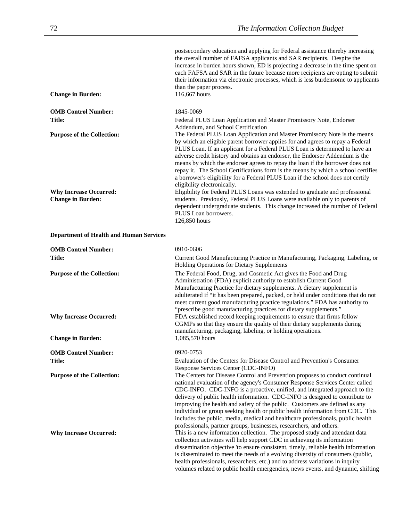| <b>Change in Burden:</b>                       | postsecondary education and applying for Federal assistance thereby increasing<br>the overall number of FAFSA applicants and SAR recipients. Despite the<br>increase in burden hours shown, ED is projecting a decrease in the time spent on<br>each FAFSA and SAR in the future because more recipients are opting to submit<br>their information via electronic processes, which is less burdensome to applicants<br>than the paper process.<br>116,667 hours                                                                                                                                                    |
|------------------------------------------------|--------------------------------------------------------------------------------------------------------------------------------------------------------------------------------------------------------------------------------------------------------------------------------------------------------------------------------------------------------------------------------------------------------------------------------------------------------------------------------------------------------------------------------------------------------------------------------------------------------------------|
| <b>OMB Control Number:</b>                     | 1845-0069                                                                                                                                                                                                                                                                                                                                                                                                                                                                                                                                                                                                          |
| <b>Title:</b>                                  | Federal PLUS Loan Application and Master Promissory Note, Endorser<br>Addendum, and School Certification                                                                                                                                                                                                                                                                                                                                                                                                                                                                                                           |
| <b>Purpose of the Collection:</b>              | The Federal PLUS Loan Application and Master Promissory Note is the means<br>by which an eligible parent borrower applies for and agrees to repay a Federal<br>PLUS Loan. If an applicant for a Federal PLUS Loan is determined to have an<br>adverse credit history and obtains an endorser, the Endorser Addendum is the<br>means by which the endorser agrees to repay the loan if the borrower does not<br>repay it. The School Certifications form is the means by which a school certifies<br>a borrower's eligibility for a Federal PLUS Loan if the school does not certify<br>eligibility electronically. |
| <b>Why Increase Occurred:</b>                  | Eligibility for Federal PLUS Loans was extended to graduate and professional                                                                                                                                                                                                                                                                                                                                                                                                                                                                                                                                       |
| <b>Change in Burden:</b>                       | students. Previously, Federal PLUS Loans were available only to parents of<br>dependent undergraduate students. This change increased the number of Federal<br>PLUS Loan borrowers.<br>126,850 hours                                                                                                                                                                                                                                                                                                                                                                                                               |
| <b>Department of Health and Human Services</b> |                                                                                                                                                                                                                                                                                                                                                                                                                                                                                                                                                                                                                    |

| <b>OMB Control Number:</b>        | 0910-0606                                                                                                                                                                                                                                                                                                                                                                                                                                                                                                                                                                                                                                             |
|-----------------------------------|-------------------------------------------------------------------------------------------------------------------------------------------------------------------------------------------------------------------------------------------------------------------------------------------------------------------------------------------------------------------------------------------------------------------------------------------------------------------------------------------------------------------------------------------------------------------------------------------------------------------------------------------------------|
| <b>Title:</b>                     | Current Good Manufacturing Practice in Manufacturing, Packaging, Labeling, or<br><b>Holding Operations for Dietary Supplements</b>                                                                                                                                                                                                                                                                                                                                                                                                                                                                                                                    |
| <b>Purpose of the Collection:</b> | The Federal Food, Drug, and Cosmetic Act gives the Food and Drug<br>Administration (FDA) explicit authority to establish Current Good<br>Manufacturing Practice for dietary supplements. A dietary supplement is<br>adulterated if "it has been prepared, packed, or held under conditions that do not<br>meet current good manufacturing practice regulations." FDA has authority to<br>"prescribe good manufacturing practices for dietary supplements."                                                                                                                                                                                            |
| <b>Why Increase Occurred:</b>     | FDA established record keeping requirements to ensure that firms follow<br>CGMPs so that they ensure the quality of their dietary supplements during<br>manufacturing, packaging, labeling, or holding operations.                                                                                                                                                                                                                                                                                                                                                                                                                                    |
| <b>Change in Burden:</b>          | 1,085,570 hours                                                                                                                                                                                                                                                                                                                                                                                                                                                                                                                                                                                                                                       |
| <b>OMB Control Number:</b>        | 0920-0753                                                                                                                                                                                                                                                                                                                                                                                                                                                                                                                                                                                                                                             |
| <b>Title:</b>                     | Evaluation of the Centers for Disease Control and Prevention's Consumer<br>Response Services Center (CDC-INFO)                                                                                                                                                                                                                                                                                                                                                                                                                                                                                                                                        |
| <b>Purpose of the Collection:</b> | The Centers for Disease Control and Prevention proposes to conduct continual<br>national evaluation of the agency's Consumer Response Services Center called<br>CDC-INFO. CDC-INFO is a proactive, unified, and integrated approach to the<br>delivery of public health information. CDC-INFO is designed to contribute to<br>improving the health and safety of the public. Customers are defined as any<br>individual or group seeking health or public health information from CDC. This<br>includes the public, media, medical and healthcare professionals, public health<br>professionals, partner groups, businesses, researchers, and others. |
| <b>Why Increase Occurred:</b>     | This is a new information collection. The proposed study and attendant data<br>collection activities will help support CDC in achieving its information<br>dissemination objective 'to ensure consistent, timely, reliable health information<br>is disseminated to meet the needs of a evolving diversity of consumers (public,<br>health professionals, researchers, etc.) and to address variations in inquiry<br>volumes related to public health emergencies, news events, and dynamic, shifting                                                                                                                                                 |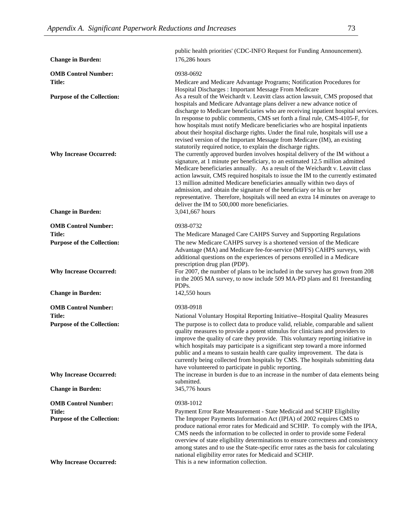|                                   | public health priorities' (CDC-INFO Request for Funding Announcement).                                                                                              |
|-----------------------------------|---------------------------------------------------------------------------------------------------------------------------------------------------------------------|
| <b>Change in Burden:</b>          | 176,286 hours                                                                                                                                                       |
| <b>OMB Control Number:</b>        | 0938-0692                                                                                                                                                           |
| Title:                            | Medicare and Medicare Advantage Programs; Notification Procedures for                                                                                               |
|                                   | Hospital Discharges: Important Message From Medicare                                                                                                                |
| <b>Purpose of the Collection:</b> | As a result of the Weichardt v. Leavitt class action lawsuit, CMS proposed that                                                                                     |
|                                   | hospitals and Medicare Advantage plans deliver a new advance notice of                                                                                              |
|                                   | discharge to Medicare beneficiaries who are receiving inpatient hospital services.                                                                                  |
|                                   | In response to public comments, CMS set forth a final rule, CMS-4105-F, for                                                                                         |
|                                   | how hospitals must notify Medicare beneficiaries who are hospital inpatients<br>about their hospital discharge rights. Under the final rule, hospitals will use a   |
|                                   | revised version of the Important Message from Medicare (IM), an existing                                                                                            |
|                                   | statutorily required notice, to explain the discharge rights.                                                                                                       |
| <b>Why Increase Occurred:</b>     | The currently approved burden involves hospital delivery of the IM without a                                                                                        |
|                                   | signature, at 1 minute per beneficiary, to an estimated 12.5 million admitted                                                                                       |
|                                   | Medicare beneficiaries annually. As a result of the Weichardt v. Leavitt class<br>action lawsuit, CMS required hospitals to issue the IM to the currently estimated |
|                                   | 13 million admitted Medicare beneficiaries annually within two days of                                                                                              |
|                                   | admission, and obtain the signature of the beneficiary or his or her                                                                                                |
|                                   | representative. Therefore, hospitals will need an extra 14 minutes on average to                                                                                    |
| <b>Change in Burden:</b>          | deliver the IM to 500,000 more beneficiaries.<br>3,041,667 hours                                                                                                    |
|                                   |                                                                                                                                                                     |
| <b>OMB Control Number:</b>        | 0938-0732                                                                                                                                                           |
| Title:                            | The Medicare Managed Care CAHPS Survey and Supporting Regulations                                                                                                   |
| <b>Purpose of the Collection:</b> | The new Medicare CAHPS survey is a shortened version of the Medicare                                                                                                |
|                                   | Advantage (MA) and Medicare fee-for-service (MFFS) CAHPS surveys, with<br>additional questions on the experiences of persons enrolled in a Medicare                 |
|                                   | prescription drug plan (PDP).                                                                                                                                       |
| <b>Why Increase Occurred:</b>     | For 2007, the number of plans to be included in the survey has grown from 208                                                                                       |
|                                   | in the 2005 MA survey, to now include 509 MA-PD plans and 81 freestanding                                                                                           |
|                                   | PDP <sub>s</sub> .                                                                                                                                                  |
| <b>Change in Burden:</b>          | 142,550 hours                                                                                                                                                       |
| <b>OMB Control Number:</b>        | 0938-0918                                                                                                                                                           |
| Title:                            | National Voluntary Hospital Reporting Initiative--Hospital Quality Measures                                                                                         |
| <b>Purpose of the Collection:</b> | The purpose is to collect data to produce valid, reliable, comparable and salient                                                                                   |
|                                   | quality measures to provide a potent stimulus for clinicians and providers to                                                                                       |
|                                   | improve the quality of care they provide. This voluntary reporting initiative in<br>which hospitals may participate is a significant step toward a more informed    |
|                                   | public and a means to sustain health care quality improvement. The data is                                                                                          |
|                                   | currently being collected from hospitals by CMS. The hospitals submitting data                                                                                      |
|                                   | have volunteered to participate in public reporting.                                                                                                                |
| <b>Why Increase Occurred:</b>     | The increase in burden is due to an increase in the number of data elements being<br>submitted.                                                                     |
| <b>Change in Burden:</b>          | 345,776 hours                                                                                                                                                       |
| <b>OMB Control Number:</b>        | 0938-1012                                                                                                                                                           |
| <b>Title:</b>                     | Payment Error Rate Measurement - State Medicaid and SCHIP Eligibility                                                                                               |
| <b>Purpose of the Collection:</b> | The Improper Payments Information Act (IPIA) of 2002 requires CMS to                                                                                                |
|                                   | produce national error rates for Medicaid and SCHIP. To comply with the IPIA,                                                                                       |
|                                   | CMS needs the information to be collected in order to provide some Federal                                                                                          |
|                                   | overview of state eligibility determinations to ensure correctness and consistency                                                                                  |
|                                   | among states and to use the State-specific error rates as the basis for calculating<br>national eligibility error rates for Medicaid and SCHIP.                     |
| <b>Why Increase Occurred:</b>     | This is a new information collection.                                                                                                                               |
|                                   |                                                                                                                                                                     |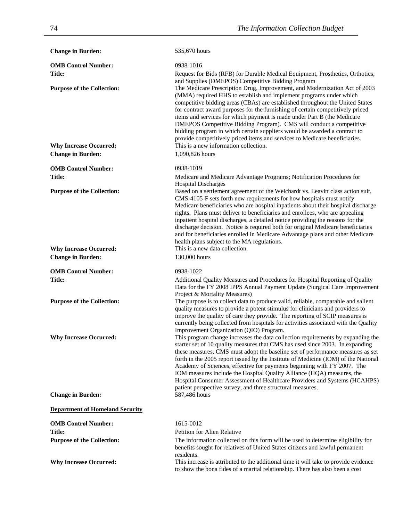| <b>Change in Burden:</b>               | 535,670 hours                                                                                                                                                                                                                                                                                                                                                                                                                                                                                                                                                                                                                            |
|----------------------------------------|------------------------------------------------------------------------------------------------------------------------------------------------------------------------------------------------------------------------------------------------------------------------------------------------------------------------------------------------------------------------------------------------------------------------------------------------------------------------------------------------------------------------------------------------------------------------------------------------------------------------------------------|
| <b>OMB Control Number:</b>             | 0938-1016                                                                                                                                                                                                                                                                                                                                                                                                                                                                                                                                                                                                                                |
| Title:                                 | Request for Bids (RFB) for Durable Medical Equipment, Prosthetics, Orthotics,<br>and Supplies (DMEPOS) Competitive Bidding Program                                                                                                                                                                                                                                                                                                                                                                                                                                                                                                       |
| <b>Purpose of the Collection:</b>      | The Medicare Prescription Drug, Improvement, and Modernization Act of 2003<br>(MMA) required HHS to establish and implement programs under which<br>competitive bidding areas (CBAs) are established throughout the United States<br>for contract award purposes for the furnishing of certain competitively priced<br>items and services for which payment is made under Part B (the Medicare<br>DMEPOS Competitive Bidding Program). CMS will conduct a competitive<br>bidding program in which certain suppliers would be awarded a contract to<br>provide competitively priced items and services to Medicare beneficiaries.         |
| <b>Why Increase Occurred:</b>          | This is a new information collection.                                                                                                                                                                                                                                                                                                                                                                                                                                                                                                                                                                                                    |
| <b>Change in Burden:</b>               | 1,090,826 hours                                                                                                                                                                                                                                                                                                                                                                                                                                                                                                                                                                                                                          |
| <b>OMB Control Number:</b>             | 0938-1019                                                                                                                                                                                                                                                                                                                                                                                                                                                                                                                                                                                                                                |
| <b>Title:</b>                          | Medicare and Medicare Advantage Programs; Notification Procedures for<br><b>Hospital Discharges</b>                                                                                                                                                                                                                                                                                                                                                                                                                                                                                                                                      |
| <b>Purpose of the Collection:</b>      | Based on a settlement agreement of the Weichardt vs. Leavitt class action suit,<br>CMS-4105-F sets forth new requirements for how hospitals must notify<br>Medicare beneficiaries who are hospital inpatients about their hospital discharge<br>rights. Plans must deliver to beneficiaries and enrollees, who are appealing<br>inpatient hospital discharges, a detailed notice providing the reasons for the<br>discharge decision. Notice is required both for original Medicare beneficiaries<br>and for beneficiaries enrolled in Medicare Advantage plans and other Medicare<br>health plans subject to the MA regulations.        |
| <b>Why Increase Occurred:</b>          | This is a new data collection.                                                                                                                                                                                                                                                                                                                                                                                                                                                                                                                                                                                                           |
| <b>Change in Burden:</b>               | 130,000 hours                                                                                                                                                                                                                                                                                                                                                                                                                                                                                                                                                                                                                            |
| <b>OMB Control Number:</b>             | 0938-1022                                                                                                                                                                                                                                                                                                                                                                                                                                                                                                                                                                                                                                |
| <b>Title:</b>                          | Additional Quality Measures and Procedures for Hospital Reporting of Quality<br>Data for the FY 2008 IPPS Annual Payment Update (Surgical Care Improvement<br>Project & Mortality Measures)                                                                                                                                                                                                                                                                                                                                                                                                                                              |
| <b>Purpose of the Collection:</b>      | The purpose is to collect data to produce valid, reliable, comparable and salient<br>quality measures to provide a potent stimulus for clinicians and providers to<br>improve the quality of care they provide. The reporting of SCIP measures is<br>currently being collected from hospitals for activities associated with the Quality<br>Improvement Organization (QIO) Program.                                                                                                                                                                                                                                                      |
| <b>Why Increase Occurred:</b>          | This program change increases the data collection requirements by expanding the<br>starter set of 10 quality measures that CMS has used since 2003. In expanding<br>these measures, CMS must adopt the baseline set of performance measures as set<br>forth in the 2005 report issued by the Institute of Medicine (IOM) of the National<br>Academy of Sciences, effective for payments beginning with FY 2007. The<br>IOM measures include the Hospital Quality Alliance (HQA) measures, the<br>Hospital Consumer Assessment of Healthcare Providers and Systems (HCAHPS)<br>patient perspective survey, and three structural measures. |
| <b>Change in Burden:</b>               | 587,486 hours                                                                                                                                                                                                                                                                                                                                                                                                                                                                                                                                                                                                                            |
| <b>Department of Homeland Security</b> |                                                                                                                                                                                                                                                                                                                                                                                                                                                                                                                                                                                                                                          |
| <b>OMB Control Number:</b>             | 1615-0012                                                                                                                                                                                                                                                                                                                                                                                                                                                                                                                                                                                                                                |
| Title:                                 | <b>Petition for Alien Relative</b>                                                                                                                                                                                                                                                                                                                                                                                                                                                                                                                                                                                                       |
| <b>Purpose of the Collection:</b>      | The information collected on this form will be used to determine eligibility for<br>benefits sought for relatives of United States citizens and lawful permanent<br>residents.                                                                                                                                                                                                                                                                                                                                                                                                                                                           |
| <b>Why Increase Occurred:</b>          | This increase is attributed to the additional time it will take to provide evidence<br>to show the bona fides of a marital relationship. There has also been a cost                                                                                                                                                                                                                                                                                                                                                                                                                                                                      |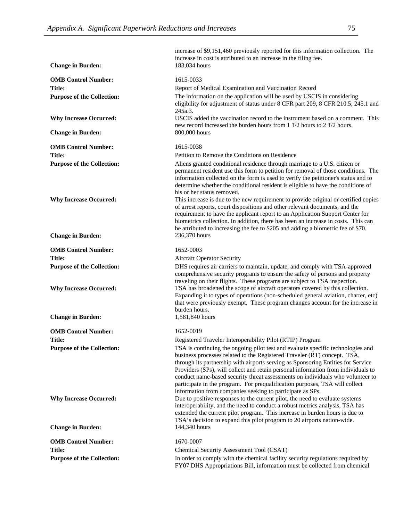|                                                                    | increase of \$9,151,460 previously reported for this information collection. The<br>increase in cost is attributed to an increase in the filing fee.                                                                                                                                                                                                                                                                                                                                                                                                               |
|--------------------------------------------------------------------|--------------------------------------------------------------------------------------------------------------------------------------------------------------------------------------------------------------------------------------------------------------------------------------------------------------------------------------------------------------------------------------------------------------------------------------------------------------------------------------------------------------------------------------------------------------------|
| <b>Change in Burden:</b>                                           | 183,034 hours                                                                                                                                                                                                                                                                                                                                                                                                                                                                                                                                                      |
| <b>OMB Control Number:</b>                                         | 1615-0033                                                                                                                                                                                                                                                                                                                                                                                                                                                                                                                                                          |
| <b>Title:</b>                                                      | Report of Medical Examination and Vaccination Record                                                                                                                                                                                                                                                                                                                                                                                                                                                                                                               |
| <b>Purpose of the Collection:</b>                                  | The information on the application will be used by USCIS in considering<br>eligibility for adjustment of status under 8 CFR part 209, 8 CFR 210.5, 245.1 and<br>245a.3.                                                                                                                                                                                                                                                                                                                                                                                            |
| <b>Why Increase Occurred:</b><br><b>Change in Burden:</b>          | USCIS added the vaccination record to the instrument based on a comment. This<br>new record increased the burden hours from 1 1/2 hours to 2 1/2 hours.<br>800,000 hours                                                                                                                                                                                                                                                                                                                                                                                           |
|                                                                    |                                                                                                                                                                                                                                                                                                                                                                                                                                                                                                                                                                    |
| <b>OMB Control Number:</b>                                         | 1615-0038                                                                                                                                                                                                                                                                                                                                                                                                                                                                                                                                                          |
| <b>Title:</b>                                                      | Petition to Remove the Conditions on Residence                                                                                                                                                                                                                                                                                                                                                                                                                                                                                                                     |
| <b>Purpose of the Collection:</b><br><b>Why Increase Occurred:</b> | Aliens granted conditional residence through marriage to a U.S. citizen or<br>permanent resident use this form to petition for removal of those conditions. The<br>information collected on the form is used to verify the petitioner's status and to<br>determine whether the conditional resident is eligible to have the conditions of<br>his or her status removed.<br>This increase is due to the new requirement to provide original or certified copies                                                                                                     |
|                                                                    | of arrest reports, court dispositions and other relevant documents, and the<br>requirement to have the applicant report to an Application Support Center for<br>biometrics collection. In addition, there has been an increase in costs. This can<br>be attributed to increasing the fee to \$205 and adding a biometric fee of \$70.                                                                                                                                                                                                                              |
| <b>Change in Burden:</b>                                           | 236,370 hours                                                                                                                                                                                                                                                                                                                                                                                                                                                                                                                                                      |
| <b>OMB Control Number:</b>                                         | 1652-0003                                                                                                                                                                                                                                                                                                                                                                                                                                                                                                                                                          |
| <b>Title:</b>                                                      | <b>Aircraft Operator Security</b>                                                                                                                                                                                                                                                                                                                                                                                                                                                                                                                                  |
| <b>Purpose of the Collection:</b>                                  | DHS requires air carriers to maintain, update, and comply with TSA-approved<br>comprehensive security programs to ensure the safety of persons and property<br>traveling on their flights. These programs are subject to TSA inspection.                                                                                                                                                                                                                                                                                                                           |
| <b>Why Increase Occurred:</b>                                      | TSA has broadened the scope of aircraft operators covered by this collection.<br>Expanding it to types of operations (non-scheduled general aviation, charter, etc)<br>that were previously exempt. These program changes account for the increase in<br>burden hours.                                                                                                                                                                                                                                                                                             |
| <b>Change in Burden:</b>                                           | 1,581,840 hours                                                                                                                                                                                                                                                                                                                                                                                                                                                                                                                                                    |
| <b>OMB Control Number:</b>                                         | 1652-0019                                                                                                                                                                                                                                                                                                                                                                                                                                                                                                                                                          |
| Title:                                                             | Registered Traveler Interoperability Pilot (RTIP) Program                                                                                                                                                                                                                                                                                                                                                                                                                                                                                                          |
| <b>Purpose of the Collection:</b>                                  | TSA is continuing the ongoing pilot test and evaluate specific technologies and<br>business processes related to the Registered Traveler (RT) concept. TSA,<br>through its partnership with airports serving as Sponsoring Entities for Service<br>Providers (SPs), will collect and retain personal information from individuals to<br>conduct name-based security threat assessments on individuals who volunteer to<br>participate in the program. For prequalification purposes, TSA will collect<br>information from companies seeking to participate as SPs. |
| <b>Why Increase Occurred:</b><br><b>Change in Burden:</b>          | Due to positive responses to the current pilot, the need to evaluate systems<br>interoperability, and the need to conduct a robust metrics analysis, TSA has<br>extended the current pilot program. This increase in burden hours is due to<br>TSA's decision to expand this pilot program to 20 airports nation-wide.<br>144,340 hours                                                                                                                                                                                                                            |
|                                                                    | 1670-0007                                                                                                                                                                                                                                                                                                                                                                                                                                                                                                                                                          |
| <b>OMB Control Number:</b><br><b>Title:</b>                        | Chemical Security Assessment Tool (CSAT)                                                                                                                                                                                                                                                                                                                                                                                                                                                                                                                           |
| <b>Purpose of the Collection:</b>                                  | In order to comply with the chemical facility security regulations required by                                                                                                                                                                                                                                                                                                                                                                                                                                                                                     |
|                                                                    | FY07 DHS Appropriations Bill, information must be collected from chemical                                                                                                                                                                                                                                                                                                                                                                                                                                                                                          |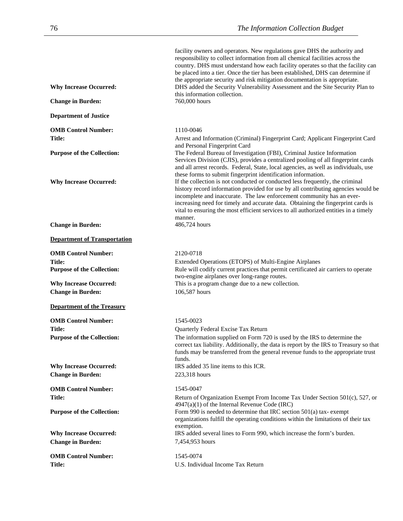facility owners and operators. New regulations gave DHS the authority and responsibility to collect information from all chemical facilities across the country. DHS must understand how each facility operates so that the facility can be placed into a tier. Once the tier has been established, DHS can determine if the appropriate security and risk mitigation documentation is appropriate.

| <b>Change in Burden:</b>            | 760,000 hours                                                                                                                                                                                                                                                                                                                                                                                                                                                                                       |
|-------------------------------------|-----------------------------------------------------------------------------------------------------------------------------------------------------------------------------------------------------------------------------------------------------------------------------------------------------------------------------------------------------------------------------------------------------------------------------------------------------------------------------------------------------|
| <b>Department of Justice</b>        |                                                                                                                                                                                                                                                                                                                                                                                                                                                                                                     |
| <b>OMB Control Number:</b>          | 1110-0046                                                                                                                                                                                                                                                                                                                                                                                                                                                                                           |
| Title:                              | Arrest and Information (Criminal) Fingerprint Card; Applicant Fingerprint Card                                                                                                                                                                                                                                                                                                                                                                                                                      |
| <b>Purpose of the Collection:</b>   | and Personal Fingerprint Card<br>The Federal Bureau of Investigation (FBI), Criminal Justice Information<br>Services Division (CJIS), provides a centralized pooling of all fingerprint cards<br>and all arrest records. Federal, State, local agencies, as well as individuals, use                                                                                                                                                                                                                |
| <b>Why Increase Occurred:</b>       | these forms to submit fingerprint identification information.<br>If the collection is not conducted or conducted less frequently, the criminal<br>history record information provided for use by all contributing agencies would be<br>incomplete and inaccurate. The law enforcement community has an ever-<br>increasing need for timely and accurate data. Obtaining the fingerprint cards is<br>vital to ensuring the most efficient services to all authorized entities in a timely<br>manner. |
| <b>Change in Burden:</b>            | 486,724 hours                                                                                                                                                                                                                                                                                                                                                                                                                                                                                       |
| <b>Department of Transportation</b> |                                                                                                                                                                                                                                                                                                                                                                                                                                                                                                     |
| <b>OMB Control Number:</b>          | 2120-0718                                                                                                                                                                                                                                                                                                                                                                                                                                                                                           |
| Title:                              | Extended Operations (ETOPS) of Multi-Engine Airplanes                                                                                                                                                                                                                                                                                                                                                                                                                                               |
| <b>Purpose of the Collection:</b>   | Rule will codify current practices that permit certificated air carriers to operate                                                                                                                                                                                                                                                                                                                                                                                                                 |
| <b>Why Increase Occurred:</b>       | two-engine airplanes over long-range routes.<br>This is a program change due to a new collection.                                                                                                                                                                                                                                                                                                                                                                                                   |
| <b>Change in Burden:</b>            | 106,587 hours                                                                                                                                                                                                                                                                                                                                                                                                                                                                                       |
|                                     |                                                                                                                                                                                                                                                                                                                                                                                                                                                                                                     |
| <b>Department of the Treasury</b>   |                                                                                                                                                                                                                                                                                                                                                                                                                                                                                                     |
| <b>OMB Control Number:</b>          | 1545-0023                                                                                                                                                                                                                                                                                                                                                                                                                                                                                           |
| <b>Title:</b>                       | Quarterly Federal Excise Tax Return                                                                                                                                                                                                                                                                                                                                                                                                                                                                 |
| <b>Purpose of the Collection:</b>   | The information supplied on Form 720 is used by the IRS to determine the<br>correct tax liability. Additionally, the data is report by the IRS to Treasury so that<br>funds may be transferred from the general revenue funds to the appropriate trust<br>funds.                                                                                                                                                                                                                                    |
| <b>Why Increase Occurred:</b>       | IRS added 35 line items to this ICR.                                                                                                                                                                                                                                                                                                                                                                                                                                                                |
| <b>Change in Burden:</b>            |                                                                                                                                                                                                                                                                                                                                                                                                                                                                                                     |
|                                     | 223,318 hours                                                                                                                                                                                                                                                                                                                                                                                                                                                                                       |
| <b>OMB Control Number:</b>          | 1545-0047                                                                                                                                                                                                                                                                                                                                                                                                                                                                                           |
| <b>Title:</b>                       | Return of Organization Exempt From Income Tax Under Section 501(c), 527, or                                                                                                                                                                                                                                                                                                                                                                                                                         |
| <b>Purpose of the Collection:</b>   | $4947(a)(1)$ of the Internal Revenue Code (IRC)<br>Form 990 is needed to determine that IRC section 501(a) tax-exempt<br>organizations fulfill the operating conditions within the limitations of their tax<br>exemption.                                                                                                                                                                                                                                                                           |
| <b>Why Increase Occurred:</b>       | IRS added several lines to Form 990, which increase the form's burden.                                                                                                                                                                                                                                                                                                                                                                                                                              |
| <b>Change in Burden:</b>            | 7,454,953 hours                                                                                                                                                                                                                                                                                                                                                                                                                                                                                     |
| <b>OMB Control Number:</b>          | 1545-0074                                                                                                                                                                                                                                                                                                                                                                                                                                                                                           |
| <b>Title:</b>                       | U.S. Individual Income Tax Return                                                                                                                                                                                                                                                                                                                                                                                                                                                                   |

Why Increase Occurred: DHS added the Security Vulnerability Assessment and the Site Security Plan to this information collection.<br>760,000 hours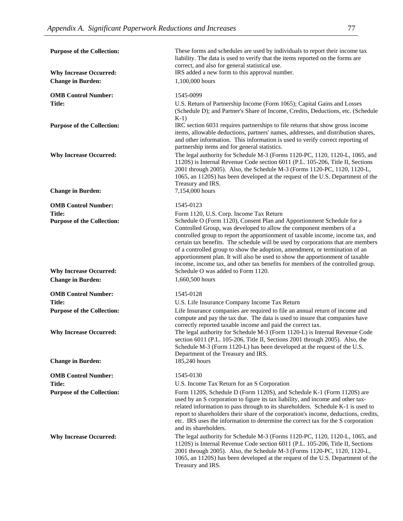| <b>Purpose of the Collection:</b>                  | These forms and schedules are used by individuals to report their income tax<br>liability. The data is used to verify that the items reported on the forms are                                                                                                                                                                                                                                                                                                                                                                 |
|----------------------------------------------------|--------------------------------------------------------------------------------------------------------------------------------------------------------------------------------------------------------------------------------------------------------------------------------------------------------------------------------------------------------------------------------------------------------------------------------------------------------------------------------------------------------------------------------|
| <b>Why Increase Occurred:</b>                      | correct, and also for general statistical use.<br>IRS added a new form to this approval number.                                                                                                                                                                                                                                                                                                                                                                                                                                |
| <b>Change in Burden:</b>                           | 1,100,000 hours                                                                                                                                                                                                                                                                                                                                                                                                                                                                                                                |
| <b>OMB Control Number:</b>                         | 1545-0099                                                                                                                                                                                                                                                                                                                                                                                                                                                                                                                      |
| Title:                                             | U.S. Return of Partnership Income (Form 1065); Capital Gains and Losses<br>(Schedule D); and Partner's Share of Income, Credits, Deductions, etc. (Schedule<br>$K-1$                                                                                                                                                                                                                                                                                                                                                           |
| <b>Purpose of the Collection:</b>                  | IRC section 6031 requires partnerships to file returns that show gross income<br>items, allowable deductions, partners' names, addresses, and distribution shares,<br>and other information. This information is used to verify correct reporting of<br>partnership items and for general statistics.                                                                                                                                                                                                                          |
| <b>Why Increase Occurred:</b>                      | The legal authority for Schedule M-3 (Forms 1120-PC, 1120, 1120-L, 1065, and<br>1120S) is Internal Revenue Code section 6011 (P.L. 105-206, Title II, Sections<br>2001 through 2005). Also, the Schedule M-3 (Forms 1120-PC, 1120, 1120-L,<br>1065, an 1120S) has been developed at the request of the U.S. Department of the<br>Treasury and IRS.                                                                                                                                                                             |
| <b>Change in Burden:</b>                           | 7,154,000 hours                                                                                                                                                                                                                                                                                                                                                                                                                                                                                                                |
| <b>OMB Control Number:</b>                         | 1545-0123                                                                                                                                                                                                                                                                                                                                                                                                                                                                                                                      |
| <b>Title:</b><br><b>Purpose of the Collection:</b> | Form 1120, U.S. Corp. Income Tax Return<br>Schedule O (Form 1120), Consent Plan and Apportionment Schedule for a<br>Controlled Group, was developed to allow the component members of a<br>controlled group to report the apportionment of taxable income, income tax, and<br>certain tax benefits. The schedule will be used by corporations that are members<br>of a controlled group to show the adoption, amendment, or termination of an<br>apportionment plan. It will also be used to show the apportionment of taxable |
| <b>Why Increase Occurred:</b>                      | income, income tax, and other tax benefits for members of the controlled group.<br>Schedule O was added to Form 1120.                                                                                                                                                                                                                                                                                                                                                                                                          |
| <b>Change in Burden:</b>                           | 1,660,500 hours                                                                                                                                                                                                                                                                                                                                                                                                                                                                                                                |
| <b>OMB Control Number:</b>                         | 1545-0128                                                                                                                                                                                                                                                                                                                                                                                                                                                                                                                      |
| Title:                                             | U.S. Life Insurance Company Income Tax Return                                                                                                                                                                                                                                                                                                                                                                                                                                                                                  |
| <b>Purpose of the Collection:</b>                  | Life Insurance companies are required to file an annual return of income and<br>compute and pay the tax due. The data is used to insure that companies have<br>correctly reported taxable income and paid the correct tax.                                                                                                                                                                                                                                                                                                     |
| <b>Why Increase Occurred:</b>                      | The legal authority for Schedule M-3 (Form 1120-L) is Internal Revenue Code<br>section 6011 (P.L. 105-206, Title II, Sections 2001 through 2005). Also, the<br>Schedule M-3 (Form 1120-L) has been developed at the request of the U.S.<br>Department of the Treasury and IRS.                                                                                                                                                                                                                                                 |
| <b>Change in Burden:</b>                           | 185,240 hours                                                                                                                                                                                                                                                                                                                                                                                                                                                                                                                  |
| <b>OMB Control Number:</b>                         | 1545-0130                                                                                                                                                                                                                                                                                                                                                                                                                                                                                                                      |
| <b>Title:</b>                                      | U.S. Income Tax Return for an S Corporation                                                                                                                                                                                                                                                                                                                                                                                                                                                                                    |
| <b>Purpose of the Collection:</b>                  | Form 1120S, Schedule D (Form 1120S), and Schedule K-1 (Form 1120S) are<br>used by an S corporation to figure its tax liability, and income and other tax-<br>related information to pass through to its shareholders. Schedule K-1 is used to<br>report to shareholders their share of the corporation's income, deductions, credits,<br>etc. IRS uses the information to determine the correct tax for the S corporation<br>and its shareholders.                                                                             |
| <b>Why Increase Occurred:</b>                      | The legal authority for Schedule M-3 (Forms 1120-PC, 1120, 1120-L, 1065, and<br>1120S) is Internal Revenue Code section 6011 (P.L. 105-206, Title II, Sections<br>2001 through 2005). Also, the Schedule M-3 (Forms 1120-PC, 1120, 1120-L,<br>1065, an 1120S) has been developed at the request of the U.S. Department of the<br>Treasury and IRS.                                                                                                                                                                             |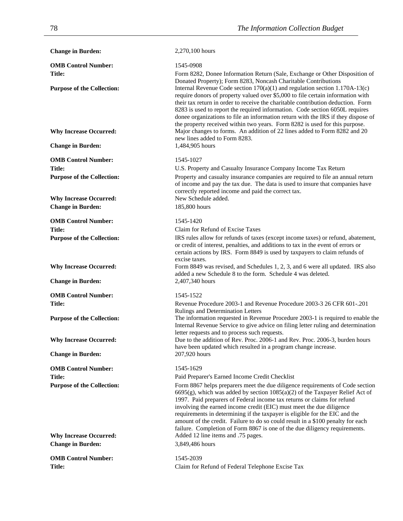**Change in Burden:** 2,270,100 hours **OMB Control Number:** 1545-0908 **Title:** Form 8282, Donee Information Return (Sale, Exchange or Other Disposition of Donated Property); Form 8283, Noncash Charitable Contributions **Purpose of the Collection:** Internal Revenue Code section 170(a)(1) and regulation section 1.170A-13(c) require donors of property valued over \$5,000 to file certain information with their tax return in order to receive the charitable contribution deduction. Form 8283 is used to report the required information. Code section 6050L requires donee organizations to file an information return with the IRS if they dispose of the property received within two years. Form 8282 is used for this purpose. **Why Increase Occurred:** Major changes to forms. An addition of 22 lines added to Form 8282 and 20 new lines added to Form 8283. **Change in Burden:** 1,484,905 hours **OMB Control Number:** 1545-1027 **Title:** U.S. Property and Casualty Insurance Company Income Tax Return **Purpose of the Collection:** Property and casualty insurance companies are required to file an annual return of income and pay the tax due. The data is used to insure that companies have correctly reported income and paid the correct tax. **Why Increase Occurred:** New Schedule added. **Change in Burden:** 185,800 hours **OMB Control Number:** 1545-1420 **Title:** Claim for Refund of Excise Taxes **Purpose of the Collection: IRS** rules allow for refunds of taxes (except income taxes) or refund, abatement, or credit of interest, penalties, and additions to tax in the event of errors or certain actions by IRS. Form 8849 is used by taxpayers to claim refunds of excise taxes. Why Increase Occurred: Form 8849 was revised, and Schedules 1, 2, 3, and 6 were all updated. IRS also added a new Schedule 8 to the form. Schedule 4 was deleted. **Change in Burden:** 2,407,340 hours **OMB Control Number:** 1545-1522 **Title:** Revenue Procedure 2003-1 and Revenue Procedure 2003-3 26 CFR 601-.201 Rulings and Determination Letters **Purpose of the Collection:** The information requested in Revenue Procedure 2003-1 is required to enable the Internal Revenue Service to give advice on filing letter ruling and determination letter requests and to process such requests. **Why Increase Occurred:** Due to the addition of Rev. Proc. 2006-1 and Rev. Proc. 2006-3, burden hours have been updated which resulted in a program change increase. **Change in Burden:** 207,920 hours **OMB Control Number:** 1545-1629 **Title:** Paid Preparer's Earned Income Credit Checklist **Purpose of the Collection:** Form 8867 helps preparers meet the due diligence requirements of Code section 6695(g), which was added by section  $1085(a)(2)$  of the Taxpayer Relief Act of 1997. Paid preparers of Federal income tax returns or claims for refund involving the earned income credit (EIC) must meet the due diligence requirements in determining if the taxpayer is eligible for the EIC and the amount of the credit. Failure to do so could result in a \$100 penalty for each failure. Completion of Form 8867 is one of the due diligency requirements. **Why Increase Occurred:**  $\qquad \qquad \text{Aded 12 line items and .75 pages.}$ **Change in Burden:** 3,849,486 hours **OMB Control Number:** 1545-2039 **Title:** Claim for Refund of Federal Telephone Excise Tax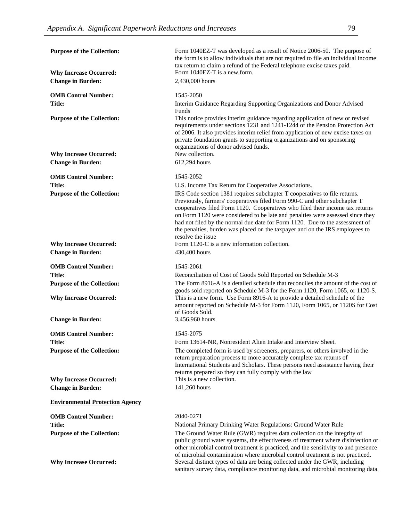| <b>Purpose of the Collection:</b>      | Form 1040EZ-T was developed as a result of Notice 2006-50. The purpose of<br>the form is to allow individuals that are not required to file an individual income                                                                                                                                                                                                                                                                                                                                               |
|----------------------------------------|----------------------------------------------------------------------------------------------------------------------------------------------------------------------------------------------------------------------------------------------------------------------------------------------------------------------------------------------------------------------------------------------------------------------------------------------------------------------------------------------------------------|
| <b>Why Increase Occurred:</b>          | tax return to claim a refund of the Federal telephone excise taxes paid.<br>Form 1040EZ-T is a new form.                                                                                                                                                                                                                                                                                                                                                                                                       |
| <b>Change in Burden:</b>               | 2,430,000 hours                                                                                                                                                                                                                                                                                                                                                                                                                                                                                                |
| <b>OMB Control Number:</b>             | 1545-2050                                                                                                                                                                                                                                                                                                                                                                                                                                                                                                      |
| Title:                                 | Interim Guidance Regarding Supporting Organizations and Donor Advised<br>Funds                                                                                                                                                                                                                                                                                                                                                                                                                                 |
| <b>Purpose of the Collection:</b>      | This notice provides interim guidance regarding application of new or revised<br>requirements under sections 1231 and 1241-1244 of the Pension Protection Act<br>of 2006. It also provides interim relief from application of new excise taxes on<br>private foundation grants to supporting organizations and on sponsoring<br>organizations of donor advised funds.                                                                                                                                          |
| <b>Why Increase Occurred:</b>          | New collection.                                                                                                                                                                                                                                                                                                                                                                                                                                                                                                |
| <b>Change in Burden:</b>               | 612,294 hours                                                                                                                                                                                                                                                                                                                                                                                                                                                                                                  |
| <b>OMB Control Number:</b>             | 1545-2052                                                                                                                                                                                                                                                                                                                                                                                                                                                                                                      |
| <b>Title:</b>                          | U.S. Income Tax Return for Cooperative Associations.                                                                                                                                                                                                                                                                                                                                                                                                                                                           |
| <b>Purpose of the Collection:</b>      | IRS Code section 1381 requires subchapter T cooperatives to file returns.<br>Previously, farmers' cooperatives filed Form 990-C and other subchapter T<br>cooperatives filed Form 1120. Cooperatives who filed their income tax returns<br>on Form 1120 were considered to be late and penalties were assessed since they<br>had not filed by the normal due date for Form 1120. Due to the assessment of<br>the penalties, burden was placed on the taxpayer and on the IRS employees to<br>resolve the issue |
| <b>Why Increase Occurred:</b>          | Form 1120-C is a new information collection.                                                                                                                                                                                                                                                                                                                                                                                                                                                                   |
| <b>Change in Burden:</b>               | 430,400 hours                                                                                                                                                                                                                                                                                                                                                                                                                                                                                                  |
| <b>OMB Control Number:</b>             | 1545-2061                                                                                                                                                                                                                                                                                                                                                                                                                                                                                                      |
| <b>Title:</b>                          | Reconciliation of Cost of Goods Sold Reported on Schedule M-3                                                                                                                                                                                                                                                                                                                                                                                                                                                  |
| <b>Purpose of the Collection:</b>      | The Form 8916-A is a detailed schedule that reconciles the amount of the cost of<br>goods sold reported on Schedule M-3 for the Form 1120, Form 1065, or 1120-S.                                                                                                                                                                                                                                                                                                                                               |
| <b>Why Increase Occurred:</b>          | This is a new form. Use Form 8916-A to provide a detailed schedule of the<br>amount reported on Schedule M-3 for Form 1120, Form 1065, or 1120S for Cost<br>of Goods Sold.                                                                                                                                                                                                                                                                                                                                     |
| <b>Change in Burden:</b>               | 3,456,960 hours                                                                                                                                                                                                                                                                                                                                                                                                                                                                                                |
| <b>OMB Control Number:</b>             | 1545-2075                                                                                                                                                                                                                                                                                                                                                                                                                                                                                                      |
| <b>Title:</b>                          | Form 13614-NR, Nonresident Alien Intake and Interview Sheet.                                                                                                                                                                                                                                                                                                                                                                                                                                                   |
| <b>Purpose of the Collection:</b>      | The completed form is used by screeners, preparers, or others involved in the<br>return preparation process to more accurately complete tax returns of<br>International Students and Scholars. These persons need assistance having their                                                                                                                                                                                                                                                                      |
|                                        | returns prepared so they can fully comply with the law                                                                                                                                                                                                                                                                                                                                                                                                                                                         |
| <b>Why Increase Occurred:</b>          | This is a new collection.                                                                                                                                                                                                                                                                                                                                                                                                                                                                                      |
| <b>Change in Burden:</b>               | 141,260 hours                                                                                                                                                                                                                                                                                                                                                                                                                                                                                                  |
| <b>Environmental Protection Agency</b> |                                                                                                                                                                                                                                                                                                                                                                                                                                                                                                                |
| <b>OMB Control Number:</b>             | 2040-0271                                                                                                                                                                                                                                                                                                                                                                                                                                                                                                      |
| <b>Title:</b>                          | National Primary Drinking Water Regulations: Ground Water Rule                                                                                                                                                                                                                                                                                                                                                                                                                                                 |
| <b>Purpose of the Collection:</b>      | The Ground Water Rule (GWR) requires data collection on the integrity of<br>public ground water systems, the effectiveness of treatment where disinfection or<br>other microbial control treatment is practiced, and the sensitivity to and presence                                                                                                                                                                                                                                                           |
| <b>Why Increase Occurred:</b>          | of microbial contamination where microbial control treatment is not practiced.<br>Several distinct types of data are being collected under the GWR, including<br>sanitary survey data, compliance monitoring data, and microbial monitoring data.                                                                                                                                                                                                                                                              |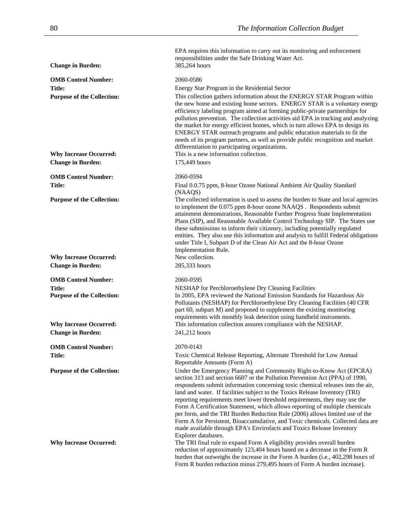EPA requires this information to carry out its monitoring and enforcement

responsibilities under the Safe Drinking Water Act. **Change in Burden:** 385,264 hours **OMB Control Number:** 2060-0586 **Title:** Energy Star Program in the Residential Sector **Purpose of the Collection:** This collection gathers information about the ENERGY STAR Program within the new home and existing home sectors. ENERGY STAR is a voluntary energy efficiency labeling program aimed at forming public-private partnerships for pollution prevention. The collection activities aid EPA in tracking and analyzing the market for energy efficient homes, which in turn allows EPA to design its ENERGY STAR outreach programs and public education materials to fit the needs of its program partners, as well as provide public recognition and market differentiation to participating organizations. **Why Increase Occurred:** This is a new information collection. **Change in Burden:** 175,449 hours **OMB Control Number:** 2060-0594 **Title:** Final 0.0.75 ppm, 8-hour Ozone National Ambient Air Quality Standard (NAAQS) **Purpose of the Collection:** The collected information is used to assess the burden to State and local agencies to implement the 0.075 ppm 8-hour ozone NAAQS . Respondents submit attainment demonstrations, Reasonable Further Progress State Implementation Plans (SIP), and Reasonable Available Control Technology SIP. The States use these submissions to inform their citizenry, including potentially regulated entities. They also use this information and analysis to fulfill Federal obligations under Title I, Subpart D of the Clean Air Act and the 8-hour Ozone Implementation Rule. **Why Increase Occurred: Change in Burden:** 285,333 hours **OMB Control Number:** 2060-0595 **Title: NESHAP** for Perchloroethylene Dry Cleaning Facilities **Purpose of the Collection:** In 2005, EPA reviewed the National Emission Standards for Hazardous Air Pollutants (NESHAP) for Perchloroethylene Dry Cleaning Facilities (40 CFR part 60, subpart M) and proposed to supplement the existing monitoring requirements with monthly leak detection using handheld instruments. **Why Increase Occurred:** This information collection assures compliance with the NESHAP. **Change in Burden:** 241,212 hours **OMB Control Number:** 2070-0143 **Title:** Toxic Chemical Release Reporting, Alternate Threshold for Low Annual Reportable Amounts (Form A) **Purpose of the Collection:** Under the Emergency Planning and Community Right-to-Know Act (EPCRA) section 313 and section 6607 or the Pollution Prevention Act (PPA) of 1990, respondents submit information concerning toxic chemical releases into the air, land and water. If facilities subject to the Toxics Release Inventory (TRI) reporting requirements meet lower threshold requirements, they may use the Form A Certification Statement, which allows reporting of multiple chemicals per form, and the TRI Burden Reduction Rule (2006) allows limited use of the Form A for Persistent, Bioaccumulative, and Toxic chemicals. Collected data are made available through EPA's Envirofacts and Toxics Release Inventory Explorer databases. Why Increase Occurred: The TRI final rule to expand Form A eligibility provides overall burden reduction of approximately 123,404 hours based on a decrease in the Form R burden that outweighs the increase in the Form A burden (i.e., 402,298 hours of Form R burden reduction minus 279,495 hours of Form A burden increase).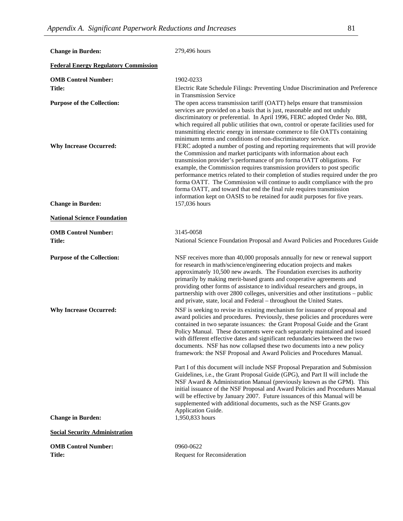| <b>Change in Burden:</b>                                  | 279,496 hours                                                                                                                                                                                                                                                                                                                                                                                                                                                                                                                                                                                                                                                                                                                                                                                                                                                                                                                                                         |
|-----------------------------------------------------------|-----------------------------------------------------------------------------------------------------------------------------------------------------------------------------------------------------------------------------------------------------------------------------------------------------------------------------------------------------------------------------------------------------------------------------------------------------------------------------------------------------------------------------------------------------------------------------------------------------------------------------------------------------------------------------------------------------------------------------------------------------------------------------------------------------------------------------------------------------------------------------------------------------------------------------------------------------------------------|
| <b>Federal Energy Regulatory Commission</b>               |                                                                                                                                                                                                                                                                                                                                                                                                                                                                                                                                                                                                                                                                                                                                                                                                                                                                                                                                                                       |
| <b>OMB Control Number:</b><br>Title:                      | 1902-0233<br>Electric Rate Schedule Filings: Preventing Undue Discrimination and Preference<br>in Transmission Service                                                                                                                                                                                                                                                                                                                                                                                                                                                                                                                                                                                                                                                                                                                                                                                                                                                |
| <b>Purpose of the Collection:</b>                         | The open access transmission tariff (OATT) helps ensure that transmission<br>services are provided on a basis that is just, reasonable and not unduly<br>discriminatory or preferential. In April 1996, FERC adopted Order No. 888,<br>which required all public utilities that own, control or operate facilities used for<br>transmitting electric energy in interstate commerce to file OATTs containing<br>minimum terms and conditions of non-discriminatory service.                                                                                                                                                                                                                                                                                                                                                                                                                                                                                            |
| <b>Why Increase Occurred:</b><br><b>Change in Burden:</b> | FERC adopted a number of posting and reporting requirements that will provide<br>the Commission and market participants with information about each<br>transmission provider's performance of pro forma OATT obligations. For<br>example, the Commission requires transmission providers to post specific<br>performance metrics related to their completion of studies required under the pro<br>forma OATT. The Commission will continue to audit compliance with the pro<br>forma OATT, and toward that end the final rule requires transmission<br>information kept on OASIS to be retained for audit purposes for five years.<br>157,036 hours                                                                                                                                                                                                                                                                                                                   |
| <b>National Science Foundation</b>                        |                                                                                                                                                                                                                                                                                                                                                                                                                                                                                                                                                                                                                                                                                                                                                                                                                                                                                                                                                                       |
|                                                           | 3145-0058                                                                                                                                                                                                                                                                                                                                                                                                                                                                                                                                                                                                                                                                                                                                                                                                                                                                                                                                                             |
| <b>OMB Control Number:</b><br><b>Title:</b>               | National Science Foundation Proposal and Award Policies and Procedures Guide                                                                                                                                                                                                                                                                                                                                                                                                                                                                                                                                                                                                                                                                                                                                                                                                                                                                                          |
| <b>Purpose of the Collection:</b>                         | NSF receives more than 40,000 proposals annually for new or renewal support<br>for research in math/science/engineering education projects and makes<br>approximately 10,500 new awards. The Foundation exercises its authority<br>primarily by making merit-based grants and cooperative agreements and<br>providing other forms of assistance to individual researchers and groups, in<br>partnership with over 2800 colleges, universities and other institutions - public<br>and private, state, local and Federal - throughout the United States.                                                                                                                                                                                                                                                                                                                                                                                                                |
| <b>Why Increase Occurred:</b>                             | NSF is seeking to revise its existing mechanism for issuance of proposal and<br>award policies and procedures. Previously, these policies and procedures were<br>contained in two separate issuances: the Grant Proposal Guide and the Grant<br>Policy Manual. These documents were each separately maintained and issued<br>with different effective dates and significant redundancies between the two<br>documents. NSF has now collapsed these two documents into a new policy<br>framework: the NSF Proposal and Award Policies and Procedures Manual.<br>Part I of this document will include NSF Proposal Preparation and Submission<br>Guidelines, i.e., the Grant Proposal Guide (GPG), and Part II will include the<br>NSF Award & Administration Manual (previously known as the GPM). This<br>initial issuance of the NSF Proposal and Award Policies and Procedures Manual<br>will be effective by January 2007. Future issuances of this Manual will be |
| <b>Change in Burden:</b>                                  | supplemented with additional documents, such as the NSF Grants.gov<br>Application Guide.<br>1,950,833 hours                                                                                                                                                                                                                                                                                                                                                                                                                                                                                                                                                                                                                                                                                                                                                                                                                                                           |
| <b>Social Security Administration</b>                     |                                                                                                                                                                                                                                                                                                                                                                                                                                                                                                                                                                                                                                                                                                                                                                                                                                                                                                                                                                       |
| <b>OMB Control Number:</b>                                | 0960-0622                                                                                                                                                                                                                                                                                                                                                                                                                                                                                                                                                                                                                                                                                                                                                                                                                                                                                                                                                             |
| <b>Title:</b>                                             | <b>Request for Reconsideration</b>                                                                                                                                                                                                                                                                                                                                                                                                                                                                                                                                                                                                                                                                                                                                                                                                                                                                                                                                    |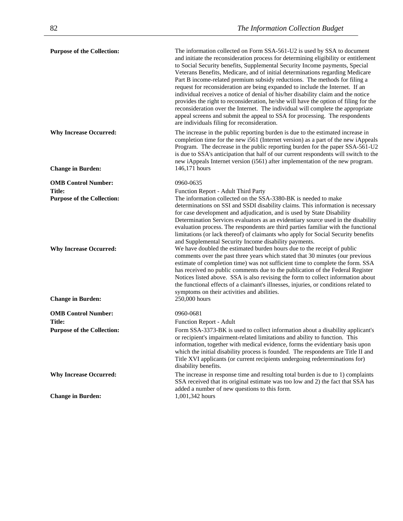| <b>Purpose of the Collection:</b>                         | The information collected on Form SSA-561-U2 is used by SSA to document<br>and initiate the reconsideration process for determining eligibility or entitlement<br>to Social Security benefits, Supplemental Security Income payments, Special<br>Veterans Benefits, Medicare, and of initial determinations regarding Medicare<br>Part B income-related premium subsidy reductions. The methods for filing a<br>request for reconsideration are being expanded to include the Internet. If an<br>individual receives a notice of denial of his/her disability claim and the notice<br>provides the right to reconsideration, he/she will have the option of filing for the<br>reconsideration over the Internet. The individual will complete the appropriate<br>appeal screens and submit the appeal to SSA for processing. The respondents<br>are individuals filing for reconsideration. |
|-----------------------------------------------------------|---------------------------------------------------------------------------------------------------------------------------------------------------------------------------------------------------------------------------------------------------------------------------------------------------------------------------------------------------------------------------------------------------------------------------------------------------------------------------------------------------------------------------------------------------------------------------------------------------------------------------------------------------------------------------------------------------------------------------------------------------------------------------------------------------------------------------------------------------------------------------------------------|
| <b>Why Increase Occurred:</b><br><b>Change in Burden:</b> | The increase in the public reporting burden is due to the estimated increase in<br>completion time for the new i561 (Internet version) as a part of the new iAppeals<br>Program. The decrease in the public reporting burden for the paper SSA-561-U2<br>is due to SSA's anticipation that half of our current respondents will switch to the<br>new iAppeals Internet version (i561) after implementation of the new program.<br>146,171 hours                                                                                                                                                                                                                                                                                                                                                                                                                                             |
| <b>OMB Control Number:</b>                                | 0960-0635                                                                                                                                                                                                                                                                                                                                                                                                                                                                                                                                                                                                                                                                                                                                                                                                                                                                                   |
| Title:                                                    | Function Report - Adult Third Party                                                                                                                                                                                                                                                                                                                                                                                                                                                                                                                                                                                                                                                                                                                                                                                                                                                         |
| <b>Purpose of the Collection:</b>                         | The information collected on the SSA-3380-BK is needed to make<br>determinations on SSI and SSDI disability claims. This information is necessary<br>for case development and adjudication, and is used by State Disability<br>Determination Services evaluators as an evidentiary source used in the disability<br>evaluation process. The respondents are third parties familiar with the functional<br>limitations (or lack thereof) of claimants who apply for Social Security benefits<br>and Supplemental Security Income disability payments.                                                                                                                                                                                                                                                                                                                                        |
| <b>Why Increase Occurred:</b>                             | We have doubled the estimated burden hours due to the receipt of public<br>comments over the past three years which stated that 30 minutes (our previous<br>estimate of completion time) was not sufficient time to complete the form. SSA<br>has received no public comments due to the publication of the Federal Register<br>Notices listed above. SSA is also revising the form to collect information about<br>the functional effects of a claimant's illnesses, injuries, or conditions related to<br>symptoms on their activities and abilities.                                                                                                                                                                                                                                                                                                                                     |
| <b>Change in Burden:</b>                                  | 250,000 hours                                                                                                                                                                                                                                                                                                                                                                                                                                                                                                                                                                                                                                                                                                                                                                                                                                                                               |
| <b>OMB Control Number:</b>                                | 0960-0681                                                                                                                                                                                                                                                                                                                                                                                                                                                                                                                                                                                                                                                                                                                                                                                                                                                                                   |
| Title:                                                    | Function Report - Adult                                                                                                                                                                                                                                                                                                                                                                                                                                                                                                                                                                                                                                                                                                                                                                                                                                                                     |
| <b>Purpose of the Collection:</b>                         | Form SSA-3373-BK is used to collect information about a disability applicant's<br>or recipient's impairment-related limitations and ability to function. This<br>information, together with medical evidence, forms the evidentiary basis upon<br>which the initial disability process is founded. The respondents are Title II and<br>Title XVI applicants (or current recipients undergoing redeterminations for)<br>disability benefits.                                                                                                                                                                                                                                                                                                                                                                                                                                                 |
| <b>Why Increase Occurred:</b>                             | The increase in response time and resulting total burden is due to 1) complaints<br>SSA received that its original estimate was too low and 2) the fact that SSA has<br>added a number of new questions to this form.                                                                                                                                                                                                                                                                                                                                                                                                                                                                                                                                                                                                                                                                       |
| <b>Change in Burden:</b>                                  | 1,001,342 hours                                                                                                                                                                                                                                                                                                                                                                                                                                                                                                                                                                                                                                                                                                                                                                                                                                                                             |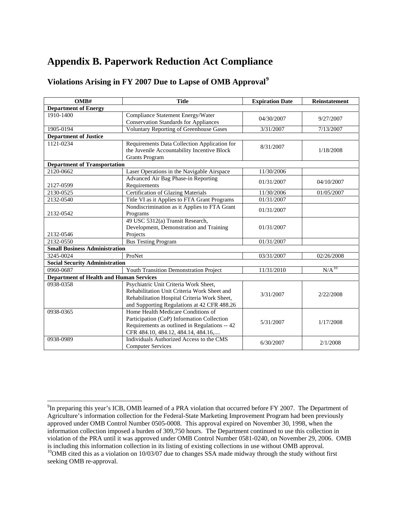# <span id="page-88-0"></span>**Appendix B. Paperwork Reduction Act Compliance**

### **Violations Arising in FY 2007 Due to Lapse of OMB Approval[9](#page-88-0)**

| OMB#                                           | <b>Title</b>                                   | <b>Expiration Date</b> | Reinstatement     |
|------------------------------------------------|------------------------------------------------|------------------------|-------------------|
| <b>Department of Energy</b>                    |                                                |                        |                   |
| 1910-1400                                      | Compliance Statement Energy/Water              | 04/30/2007             | 9/27/2007         |
|                                                | <b>Conservation Standards for Appliances</b>   |                        |                   |
| 1905-0194                                      | <b>Voluntary Reporting of Greenhouse Gases</b> | 3/31/2007              | 7/13/2007         |
| <b>Department of Justice</b>                   |                                                |                        |                   |
| 1121-0234                                      | Requirements Data Collection Application for   | 8/31/2007              |                   |
|                                                | the Juvenile Accountability Incentive Block    |                        | 1/18/2008         |
|                                                | <b>Grants Program</b>                          |                        |                   |
| <b>Department of Transportation</b>            |                                                |                        |                   |
| 2120-0662                                      | Laser Operations in the Navigable Airspace     | 11/30/2006             |                   |
|                                                | Advanced Air Bag Phase-in Reporting            | 01/31/2007             | 04/10/2007        |
| 2127-0599                                      | Requirements                                   |                        |                   |
| 2130-0525                                      | <b>Certification of Glazing Materials</b>      | 11/30/2006             | 01/05/2007        |
| 2132-0540                                      | Title VI as it Applies to FTA Grant Programs   | 01/31/2007             |                   |
|                                                | Nondiscrimination as it Applies to FTA Grant   | 01/31/2007             |                   |
| 2132-0542                                      | Programs                                       |                        |                   |
|                                                | 49 USC 5312(a) Transit Research,               |                        |                   |
|                                                | Development, Demonstration and Training        | 01/31/2007             |                   |
| 2132-0546                                      | Projects                                       |                        |                   |
| 2132-0550                                      | <b>Bus Testing Program</b>                     | 01/31/2007             |                   |
| <b>Small Business Administration</b>           |                                                |                        |                   |
| 3245-0024                                      | ProNet                                         | 03/31/2007             | 02/26/2008        |
| <b>Social Security Administration</b>          |                                                |                        |                   |
| 0960-0687                                      | Youth Transition Demonstration Project         | 11/31/2010             | N/A <sup>10</sup> |
| <b>Department of Health and Human Services</b> |                                                |                        |                   |
| 0938-0358                                      | Psychiatric Unit Criteria Work Sheet,          |                        |                   |
|                                                | Rehabilitation Unit Criteria Work Sheet and    | 3/31/2007              | 2/22/2008         |
|                                                | Rehabilitation Hospital Criteria Work Sheet,   |                        |                   |
|                                                | and Supporting Regulations at 42 CFR 488.26    |                        |                   |
| 0938-0365                                      | Home Health Medicare Conditions of             |                        |                   |
|                                                | Participation (CoP) Information Collection     | 5/31/2007              | 1/17/2008         |
|                                                | Requirements as outlined in Regulations -- 42  |                        |                   |
|                                                | CFR 484.10, 484.12, 484.14, 484.16,            |                        |                   |
| 0938-0989                                      | Individuals Authorized Access to the CMS       | 6/30/2007              | 2/1/2008          |
|                                                | <b>Computer Services</b>                       |                        |                   |

seeking OMB re-approval.

<sup>&</sup>lt;sup>9</sup>In preparing this year's ICB, OMB learned of a PRA violation that occurred before FY 2007. The Department of Agriculture's information collection for the Federal-State Marketing Improvement Program had been previously approved under OMB Control Number 0505-0008. This approval expired on November 30, 1998, when the information collection imposed a burden of 309,750 hours. The Department continued to use this collection in violation of the PRA until it was approved under OMB Control Number 0581-0240, on November 29, 2006. OMB is including this information collection in its listing of existing collections in use without OMB approval. <sup>10</sup>OMB cited this as a violation on 10/03/07 due to changes SSA made midway through the study without first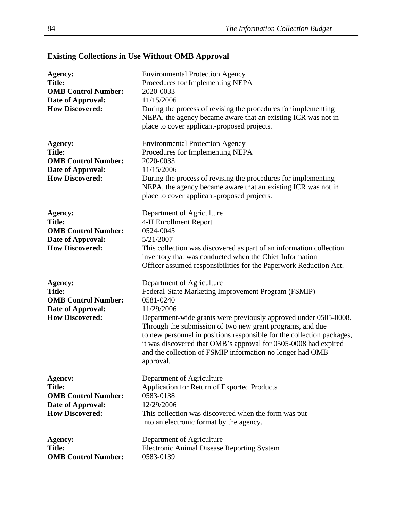| Agency:<br><b>Title:</b><br><b>OMB Control Number:</b><br>Date of Approval:<br><b>How Discovered:</b>        | <b>Environmental Protection Agency</b><br>Procedures for Implementing NEPA<br>2020-0033<br>11/15/2006<br>During the process of revising the procedures for implementing<br>NEPA, the agency became aware that an existing ICR was not in<br>place to cover applicant-proposed projects.                                                                                                                                                                             |
|--------------------------------------------------------------------------------------------------------------|---------------------------------------------------------------------------------------------------------------------------------------------------------------------------------------------------------------------------------------------------------------------------------------------------------------------------------------------------------------------------------------------------------------------------------------------------------------------|
| Agency:<br><b>Title:</b><br><b>OMB Control Number:</b><br>Date of Approval:<br><b>How Discovered:</b>        | <b>Environmental Protection Agency</b><br>Procedures for Implementing NEPA<br>2020-0033<br>11/15/2006<br>During the process of revising the procedures for implementing<br>NEPA, the agency became aware that an existing ICR was not in<br>place to cover applicant-proposed projects.                                                                                                                                                                             |
| Agency:<br><b>Title:</b><br><b>OMB Control Number:</b><br>Date of Approval:<br><b>How Discovered:</b>        | Department of Agriculture<br>4-H Enrollment Report<br>0524-0045<br>5/21/2007<br>This collection was discovered as part of an information collection<br>inventory that was conducted when the Chief Information<br>Officer assumed responsibilities for the Paperwork Reduction Act.                                                                                                                                                                                 |
| <b>Agency:</b><br><b>Title:</b><br><b>OMB Control Number:</b><br>Date of Approval:<br><b>How Discovered:</b> | Department of Agriculture<br>Federal-State Marketing Improvement Program (FSMIP)<br>0581-0240<br>11/29/2006<br>Department-wide grants were previously approved under 0505-0008.<br>Through the submission of two new grant programs, and due<br>to new personnel in positions responsible for the collection packages,<br>it was discovered that OMB's approval for 0505-0008 had expired<br>and the collection of FSMIP information no longer had OMB<br>approval. |
| <b>Agency:</b><br><b>Title:</b><br><b>OMB Control Number:</b><br>Date of Approval:<br><b>How Discovered:</b> | Department of Agriculture<br>Application for Return of Exported Products<br>0583-0138<br>12/29/2006<br>This collection was discovered when the form was put<br>into an electronic format by the agency.                                                                                                                                                                                                                                                             |
| <b>Agency:</b><br><b>Title:</b><br><b>OMB Control Number:</b>                                                | Department of Agriculture<br><b>Electronic Animal Disease Reporting System</b><br>0583-0139                                                                                                                                                                                                                                                                                                                                                                         |

# **Existing Collections in Use Without OMB Approval**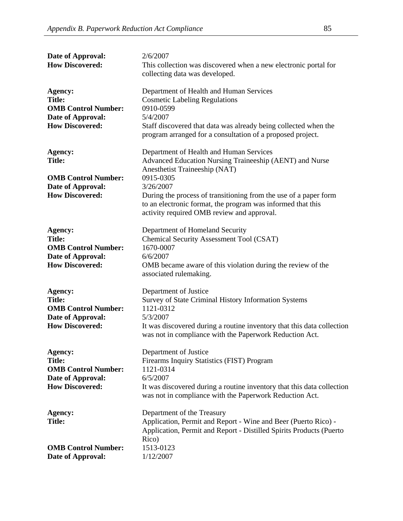| Date of Approval:<br><b>How Discovered:</b>                                                           | 2/6/2007<br>This collection was discovered when a new electronic portal for<br>collecting data was developed.                                                                                                                                                                                                                                  |
|-------------------------------------------------------------------------------------------------------|------------------------------------------------------------------------------------------------------------------------------------------------------------------------------------------------------------------------------------------------------------------------------------------------------------------------------------------------|
| Agency:<br><b>Title:</b><br><b>OMB Control Number:</b><br>Date of Approval:<br><b>How Discovered:</b> | Department of Health and Human Services<br><b>Cosmetic Labeling Regulations</b><br>0910-0599<br>5/4/2007<br>Staff discovered that data was already being collected when the<br>program arranged for a consultation of a proposed project.                                                                                                      |
| Agency:<br><b>Title:</b><br><b>OMB Control Number:</b><br>Date of Approval:<br><b>How Discovered:</b> | Department of Health and Human Services<br>Advanced Education Nursing Traineeship (AENT) and Nurse<br>Anesthetist Traineeship (NAT)<br>0915-0305<br>3/26/2007<br>During the process of transitioning from the use of a paper form<br>to an electronic format, the program was informed that this<br>activity required OMB review and approval. |
| Agency:<br><b>Title:</b><br><b>OMB Control Number:</b><br>Date of Approval:<br><b>How Discovered:</b> | Department of Homeland Security<br><b>Chemical Security Assessment Tool (CSAT)</b><br>1670-0007<br>6/6/2007<br>OMB became aware of this violation during the review of the<br>associated rulemaking.                                                                                                                                           |
| Agency:<br><b>Title:</b><br><b>OMB Control Number:</b><br>Date of Approval:<br><b>How Discovered:</b> | Department of Justice<br>Survey of State Criminal History Information Systems<br>1121-0312<br>5/3/2007<br>It was discovered during a routine inventory that this data collection<br>was not in compliance with the Paperwork Reduction Act.                                                                                                    |
| Agency:<br><b>Title:</b><br><b>OMB Control Number:</b><br>Date of Approval:<br><b>How Discovered:</b> | Department of Justice<br>Firearms Inquiry Statistics (FIST) Program<br>1121-0314<br>6/5/2007<br>It was discovered during a routine inventory that this data collection<br>was not in compliance with the Paperwork Reduction Act.                                                                                                              |
| Agency:<br><b>Title:</b><br><b>OMB Control Number:</b><br>Date of Approval:                           | Department of the Treasury<br>Application, Permit and Report - Wine and Beer (Puerto Rico) -<br>Application, Permit and Report - Distilled Spirits Products (Puerto<br>Rico)<br>1513-0123<br>1/12/2007                                                                                                                                         |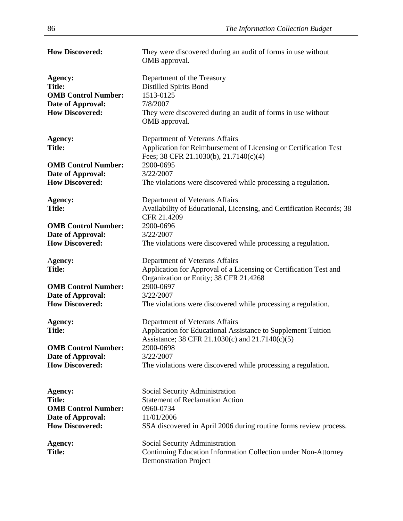| <b>How Discovered:</b>     | They were discovered during an audit of forms in use without<br>OMB approval. |
|----------------------------|-------------------------------------------------------------------------------|
| <b>Agency:</b>             | Department of the Treasury                                                    |
| <b>Title:</b>              | <b>Distilled Spirits Bond</b>                                                 |
| <b>OMB Control Number:</b> | 1513-0125                                                                     |
| Date of Approval:          | 7/8/2007                                                                      |
| <b>How Discovered:</b>     | They were discovered during an audit of forms in use without                  |
|                            | OMB approval.                                                                 |
| <b>Agency:</b>             | Department of Veterans Affairs                                                |
| <b>Title:</b>              | Application for Reimbursement of Licensing or Certification Test              |
|                            | Fees; 38 CFR 21.1030(b), 21.7140(c)(4)                                        |
| <b>OMB Control Number:</b> | 2900-0695                                                                     |
| Date of Approval:          | 3/22/2007                                                                     |
| <b>How Discovered:</b>     | The violations were discovered while processing a regulation.                 |
| Agency:                    | Department of Veterans Affairs                                                |
| <b>Title:</b>              | Availability of Educational, Licensing, and Certification Records; 38         |
|                            | CFR 21.4209                                                                   |
| <b>OMB Control Number:</b> | 2900-0696                                                                     |
| Date of Approval:          | 3/22/2007                                                                     |
| <b>How Discovered:</b>     | The violations were discovered while processing a regulation.                 |
| Agency:                    | Department of Veterans Affairs                                                |
| <b>Title:</b>              | Application for Approval of a Licensing or Certification Test and             |
|                            | Organization or Entity; 38 CFR 21.4268                                        |
| <b>OMB Control Number:</b> | 2900-0697                                                                     |
| Date of Approval:          | 3/22/2007                                                                     |
| <b>How Discovered:</b>     | The violations were discovered while processing a regulation.                 |
| Agency:                    | Department of Veterans Affairs                                                |
| <b>Title:</b>              | Application for Educational Assistance to Supplement Tuition                  |
|                            | Assistance; 38 CFR 21.1030(c) and 21.7140(c)(5)                               |
| <b>OMB Control Number:</b> | 2900-0698                                                                     |
| Date of Approval:          | 3/22/2007                                                                     |
| <b>How Discovered:</b>     | The violations were discovered while processing a regulation.                 |
| Agency:                    | Social Security Administration                                                |
| <b>Title:</b>              | <b>Statement of Reclamation Action</b>                                        |
| <b>OMB Control Number:</b> | 0960-0734                                                                     |
| Date of Approval:          | 11/01/2006                                                                    |
| <b>How Discovered:</b>     | SSA discovered in April 2006 during routine forms review process.             |
|                            |                                                                               |
| Agency:                    | Social Security Administration                                                |
| <b>Title:</b>              | Continuing Education Information Collection under Non-Attorney                |
|                            | <b>Demonstration Project</b>                                                  |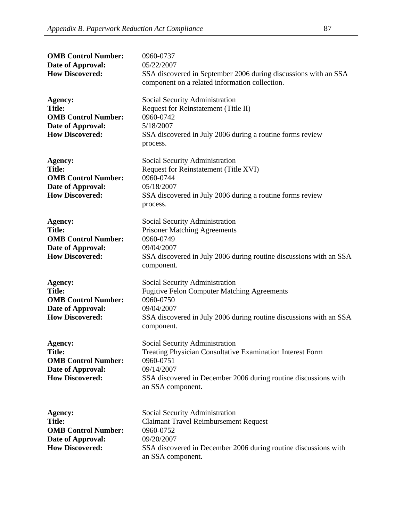| <b>OMB Control Number:</b><br>Date of Approval:<br><b>How Discovered:</b>                             | 0960-0737<br>05/22/2007<br>SSA discovered in September 2006 during discussions with an SSA<br>component on a related information collection.                                                                          |
|-------------------------------------------------------------------------------------------------------|-----------------------------------------------------------------------------------------------------------------------------------------------------------------------------------------------------------------------|
| Agency:<br><b>Title:</b><br><b>OMB Control Number:</b><br>Date of Approval:<br><b>How Discovered:</b> | Social Security Administration<br>Request for Reinstatement (Title II)<br>0960-0742<br>5/18/2007<br>SSA discovered in July 2006 during a routine forms review<br>process.                                             |
| Agency:<br><b>Title:</b><br><b>OMB Control Number:</b><br>Date of Approval:<br><b>How Discovered:</b> | Social Security Administration<br>Request for Reinstatement (Title XVI)<br>0960-0744<br>05/18/2007<br>SSA discovered in July 2006 during a routine forms review<br>process.                                           |
| Agency:<br><b>Title:</b><br><b>OMB Control Number:</b><br>Date of Approval:<br><b>How Discovered:</b> | Social Security Administration<br><b>Prisoner Matching Agreements</b><br>0960-0749<br>09/04/2007<br>SSA discovered in July 2006 during routine discussions with an SSA<br>component.                                  |
| Agency:<br><b>Title:</b><br><b>OMB Control Number:</b><br>Date of Approval:<br><b>How Discovered:</b> | Social Security Administration<br><b>Fugitive Felon Computer Matching Agreements</b><br>0960-0750<br>09/04/2007<br>SSA discovered in July 2006 during routine discussions with an SSA<br>component.                   |
| Agency:<br><b>Title:</b><br><b>OMB Control Number:</b><br>Date of Approval:<br><b>How Discovered:</b> | Social Security Administration<br><b>Treating Physician Consultative Examination Interest Form</b><br>0960-0751<br>09/14/2007<br>SSA discovered in December 2006 during routine discussions with<br>an SSA component. |
| Agency:<br><b>Title:</b><br><b>OMB Control Number:</b><br>Date of Approval:<br><b>How Discovered:</b> | <b>Social Security Administration</b><br><b>Claimant Travel Reimbursement Request</b><br>0960-0752<br>09/20/2007<br>SSA discovered in December 2006 during routine discussions with<br>an SSA component.              |